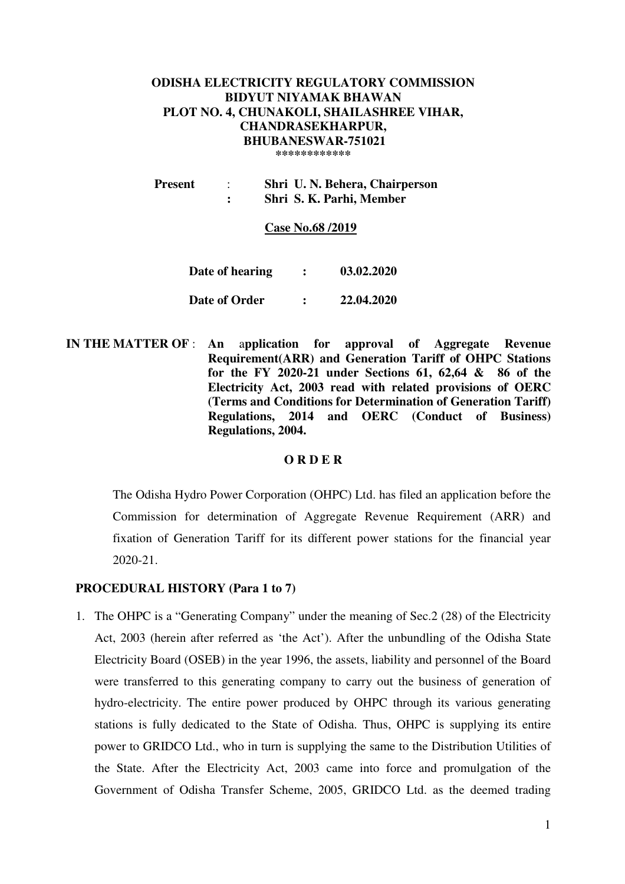### **ODISHA ELECTRICITY REGULATORY COMMISSION BIDYUT NIYAMAK BHAWAN PLOT NO. 4, CHUNAKOLI, SHAILASHREE VIHAR, CHANDRASEKHARPUR, BHUBANESWAR-751021 \*\*\*\*\*\*\*\*\*\*\*\***

 **Present** : **Shri U. N. Behera, Chairperson : Shri S. K. Parhi, Member** 

**Case No.68 /2019**

| Date of hearing | 03.02.2020 |
|-----------------|------------|
| Date of Order   | 22.04.2020 |

 **IN THE MATTER OF** : **An** a**pplication for approval of Aggregate Revenue Requirement(ARR) and Generation Tariff of OHPC Stations for the FY 2020-21 under Sections 61, 62,64 & 86 of the Electricity Act, 2003 read with related provisions of OERC (Terms and Conditions for Determination of Generation Tariff) Regulations, 2014 and OERC (Conduct of Business) Regulations, 2004.** 

#### **O R D E R**

The Odisha Hydro Power Corporation (OHPC) Ltd. has filed an application before the Commission for determination of Aggregate Revenue Requirement (ARR) and fixation of Generation Tariff for its different power stations for the financial year 2020-21.

### **PROCEDURAL HISTORY (Para 1 to 7)**

1. The OHPC is a "Generating Company" under the meaning of Sec.2 (28) of the Electricity Act, 2003 (herein after referred as 'the Act'). After the unbundling of the Odisha State Electricity Board (OSEB) in the year 1996, the assets, liability and personnel of the Board were transferred to this generating company to carry out the business of generation of hydro-electricity. The entire power produced by OHPC through its various generating stations is fully dedicated to the State of Odisha. Thus, OHPC is supplying its entire power to GRIDCO Ltd., who in turn is supplying the same to the Distribution Utilities of the State. After the Electricity Act, 2003 came into force and promulgation of the Government of Odisha Transfer Scheme, 2005, GRIDCO Ltd. as the deemed trading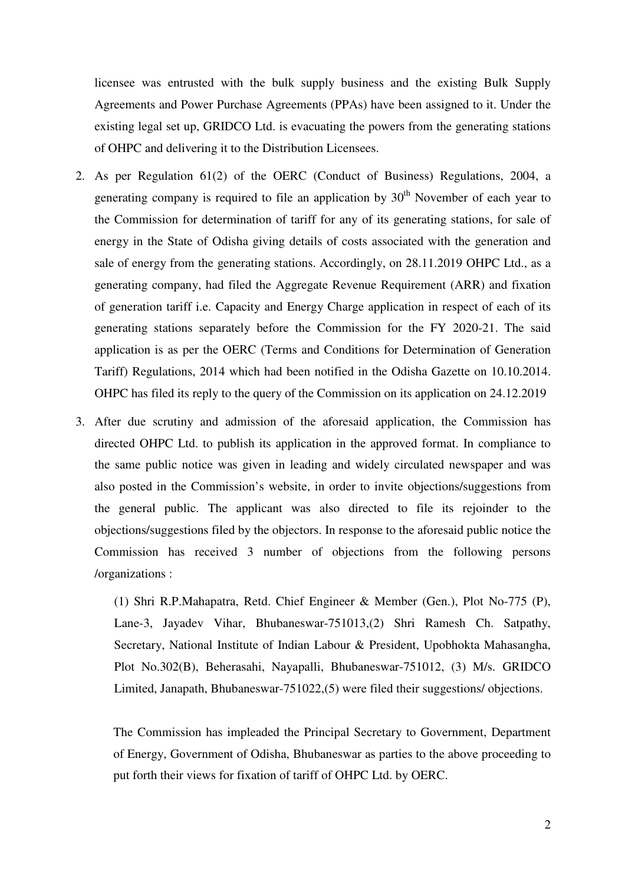licensee was entrusted with the bulk supply business and the existing Bulk Supply Agreements and Power Purchase Agreements (PPAs) have been assigned to it. Under the existing legal set up, GRIDCO Ltd. is evacuating the powers from the generating stations of OHPC and delivering it to the Distribution Licensees.

- 2. As per Regulation 61(2) of the OERC (Conduct of Business) Regulations, 2004, a generating company is required to file an application by  $30<sup>th</sup>$  November of each year to the Commission for determination of tariff for any of its generating stations, for sale of energy in the State of Odisha giving details of costs associated with the generation and sale of energy from the generating stations. Accordingly, on 28.11.2019 OHPC Ltd., as a generating company, had filed the Aggregate Revenue Requirement (ARR) and fixation of generation tariff i.e. Capacity and Energy Charge application in respect of each of its generating stations separately before the Commission for the FY 2020-21. The said application is as per the OERC (Terms and Conditions for Determination of Generation Tariff) Regulations, 2014 which had been notified in the Odisha Gazette on 10.10.2014. OHPC has filed its reply to the query of the Commission on its application on 24.12.2019
- 3. After due scrutiny and admission of the aforesaid application, the Commission has directed OHPC Ltd. to publish its application in the approved format. In compliance to the same public notice was given in leading and widely circulated newspaper and was also posted in the Commission's website, in order to invite objections/suggestions from the general public. The applicant was also directed to file its rejoinder to the objections/suggestions filed by the objectors. In response to the aforesaid public notice the Commission has received 3 number of objections from the following persons /organizations :

(1) Shri R.P.Mahapatra, Retd. Chief Engineer & Member (Gen.), Plot No-775 (P), Lane-3, Jayadev Vihar, Bhubaneswar-751013,(2) Shri Ramesh Ch. Satpathy, Secretary, National Institute of Indian Labour & President, Upobhokta Mahasangha, Plot No.302(B), Beherasahi, Nayapalli, Bhubaneswar-751012, (3) M/s. GRIDCO Limited, Janapath, Bhubaneswar-751022,(5) were filed their suggestions/ objections.

The Commission has impleaded the Principal Secretary to Government, Department of Energy, Government of Odisha, Bhubaneswar as parties to the above proceeding to put forth their views for fixation of tariff of OHPC Ltd. by OERC.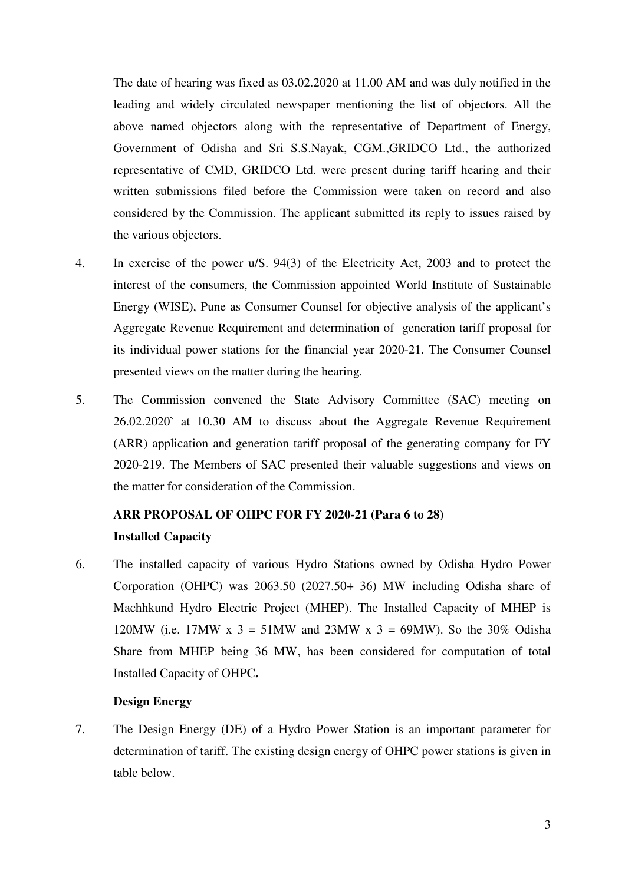The date of hearing was fixed as 03.02.2020 at 11.00 AM and was duly notified in the leading and widely circulated newspaper mentioning the list of objectors. All the above named objectors along with the representative of Department of Energy, Government of Odisha and Sri S.S.Nayak, CGM.,GRIDCO Ltd., the authorized representative of CMD, GRIDCO Ltd. were present during tariff hearing and their written submissions filed before the Commission were taken on record and also considered by the Commission. The applicant submitted its reply to issues raised by the various objectors.

- 4. In exercise of the power u/S. 94(3) of the Electricity Act, 2003 and to protect the interest of the consumers, the Commission appointed World Institute of Sustainable Energy (WISE), Pune as Consumer Counsel for objective analysis of the applicant's Aggregate Revenue Requirement and determination of generation tariff proposal for its individual power stations for the financial year 2020-21. The Consumer Counsel presented views on the matter during the hearing.
- 5. The Commission convened the State Advisory Committee (SAC) meeting on 26.02.2020` at 10.30 AM to discuss about the Aggregate Revenue Requirement (ARR) application and generation tariff proposal of the generating company for FY 2020-219. The Members of SAC presented their valuable suggestions and views on the matter for consideration of the Commission.

# **ARR PROPOSAL OF OHPC FOR FY 2020-21 (Para 6 to 28) Installed Capacity**

6. The installed capacity of various Hydro Stations owned by Odisha Hydro Power Corporation (OHPC) was 2063.50 (2027.50+ 36) MW including Odisha share of Machhkund Hydro Electric Project (MHEP). The Installed Capacity of MHEP is 120MW (i.e. 17MW x 3 = 51MW and 23MW x 3 = 69MW). So the 30% Odisha Share from MHEP being 36 MW, has been considered for computation of total Installed Capacity of OHPC**.**

### **Design Energy**

7. The Design Energy (DE) of a Hydro Power Station is an important parameter for determination of tariff. The existing design energy of OHPC power stations is given in table below.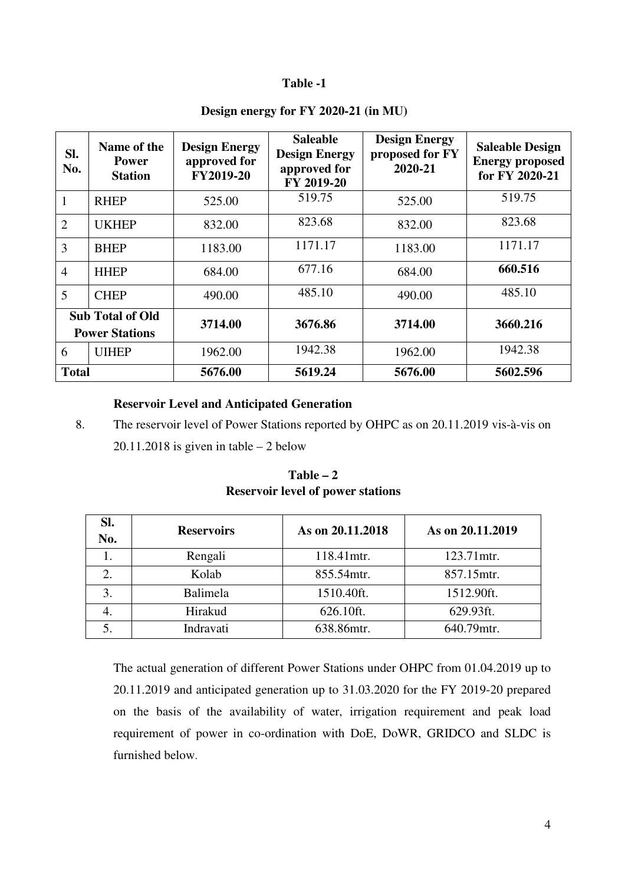### **Table -1**

| SI.<br>No.                                       | Name of the<br><b>Power</b><br><b>Station</b> | <b>Design Energy</b><br>approved for<br><b>FY2019-20</b> | <b>Saleable</b><br><b>Design Energy</b><br>approved for<br>FY 2019-20 | <b>Design Energy</b><br>proposed for FY<br>2020-21 | <b>Saleable Design</b><br><b>Energy proposed</b><br>for FY 2020-21 |
|--------------------------------------------------|-----------------------------------------------|----------------------------------------------------------|-----------------------------------------------------------------------|----------------------------------------------------|--------------------------------------------------------------------|
|                                                  | <b>RHEP</b>                                   | 525.00                                                   | 519.75                                                                | 525.00                                             | 519.75                                                             |
| $\overline{2}$                                   | <b>UKHEP</b>                                  | 832.00                                                   | 823.68                                                                | 832.00                                             | 823.68                                                             |
| 3                                                | <b>BHEP</b>                                   | 1183.00                                                  | 1171.17                                                               | 1183.00                                            | 1171.17                                                            |
| $\overline{4}$                                   | <b>HHEP</b>                                   | 684.00                                                   | 677.16                                                                | 684.00                                             | 660.516                                                            |
| 5                                                | <b>CHEP</b>                                   | 490.00                                                   | 485.10                                                                | 490.00                                             | 485.10                                                             |
| <b>Sub Total of Old</b><br><b>Power Stations</b> |                                               | 3714.00                                                  | 3676.86                                                               | 3714.00                                            | 3660.216                                                           |
| 6                                                | <b>UIHEP</b>                                  | 1962.00                                                  | 1942.38                                                               | 1962.00                                            | 1942.38                                                            |
| <b>Total</b>                                     |                                               | 5676.00                                                  | 5619.24                                                               | 5676.00                                            | 5602.596                                                           |

# **Design energy for FY 2020-21 (in MU)**

### **Reservoir Level and Anticipated Generation**

8. The reservoir level of Power Stations reported by OHPC as on 20.11.2019 vis-à-vis on 20.11.2018 is given in table  $-2$  below

| SI.<br>No. | <b>Reservoirs</b> | As on 20.11.2018 | As on 20.11.2019 |
|------------|-------------------|------------------|------------------|
|            | Rengali           | 118.41mtr.       | 123.71mtr.       |
|            | Kolab             | 855.54mtr.       | 857.15mtr.       |
| 3.         | Balimela          | 1510.40ft.       | 1512.90ft.       |
|            | Hirakud           | 626.10ft.        | 629.93ft.        |
|            | Indravati         | 638.86mtr.       | 640.79mtr.       |

**Table – 2 Reservoir level of power stations** 

The actual generation of different Power Stations under OHPC from 01.04.2019 up to 20.11.2019 and anticipated generation up to 31.03.2020 for the FY 2019-20 prepared on the basis of the availability of water, irrigation requirement and peak load requirement of power in co-ordination with DoE, DoWR, GRIDCO and SLDC is furnished below.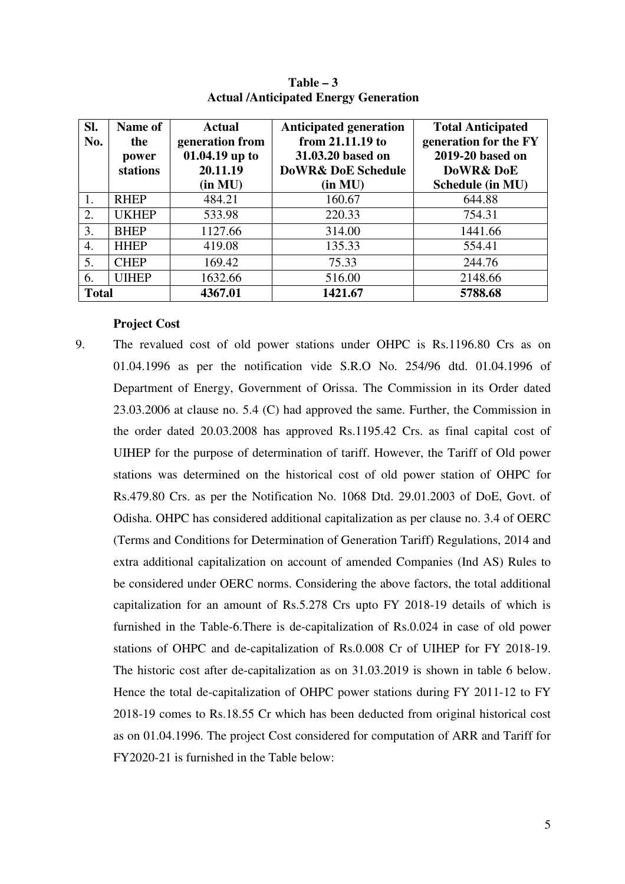| SI.<br>No.   | Name of<br>the<br>power<br>stations | <b>Actual</b><br>generation from<br>01.04.19 up to<br>20.11.19<br>(in MU) | <b>Anticipated generation</b><br>from 21.11.19 to<br>31.03.20 based on<br><b>DoWR&amp; DoE Schedule</b><br>(in MU) | <b>Total Anticipated</b><br>generation for the FY<br>2019-20 based on<br>DoWR& DoE<br>Schedule (in MU) |
|--------------|-------------------------------------|---------------------------------------------------------------------------|--------------------------------------------------------------------------------------------------------------------|--------------------------------------------------------------------------------------------------------|
| 1.           | <b>RHEP</b>                         | 484.21                                                                    | 160.67                                                                                                             | 644.88                                                                                                 |
| 2.           | <b>UKHEP</b>                        | 533.98                                                                    | 220.33                                                                                                             | 754.31                                                                                                 |
| 3.           | <b>BHEP</b>                         | 1127.66                                                                   | 314.00                                                                                                             | 1441.66                                                                                                |
| 4.           | <b>HHEP</b>                         | 419.08                                                                    | 135.33                                                                                                             | 554.41                                                                                                 |
| 5.           | <b>CHEP</b>                         | 169.42                                                                    | 75.33                                                                                                              | 244.76                                                                                                 |
| 6.           | <b>UIHEP</b>                        | 1632.66                                                                   | 516.00                                                                                                             | 2148.66                                                                                                |
| <b>Total</b> |                                     | 4367.01                                                                   | 1421.67                                                                                                            | 5788.68                                                                                                |

**Table – 3 Actual /Anticipated Energy Generation** 

#### **Project Cost**

9. The revalued cost of old power stations under OHPC is Rs.1196.80 Crs as on 01.04.1996 as per the notification vide S.R.O No. 254/96 dtd. 01.04.1996 of Department of Energy, Government of Orissa. The Commission in its Order dated 23.03.2006 at clause no. 5.4 (C) had approved the same. Further, the Commission in the order dated 20.03.2008 has approved Rs.1195.42 Crs. as final capital cost of UIHEP for the purpose of determination of tariff. However, the Tariff of Old power stations was determined on the historical cost of old power station of OHPC for Rs.479.80 Crs. as per the Notification No. 1068 Dtd. 29.01.2003 of DoE, Govt. of Odisha. OHPC has considered additional capitalization as per clause no. 3.4 of OERC (Terms and Conditions for Determination of Generation Tariff) Regulations, 2014 and extra additional capitalization on account of amended Companies (Ind AS) Rules to be considered under OERC norms. Considering the above factors, the total additional capitalization for an amount of Rs.5.278 Crs upto FY 2018-19 details of which is furnished in the Table-6.There is de-capitalization of Rs.0.024 in case of old power stations of OHPC and de-capitalization of Rs.0.008 Cr of UIHEP for FY 2018-19. The historic cost after de-capitalization as on 31.03.2019 is shown in table 6 below. Hence the total de-capitalization of OHPC power stations during FY 2011-12 to FY 2018-19 comes to Rs.18.55 Cr which has been deducted from original historical cost as on 01.04.1996. The project Cost considered for computation of ARR and Tariff for FY2020-21 is furnished in the Table below: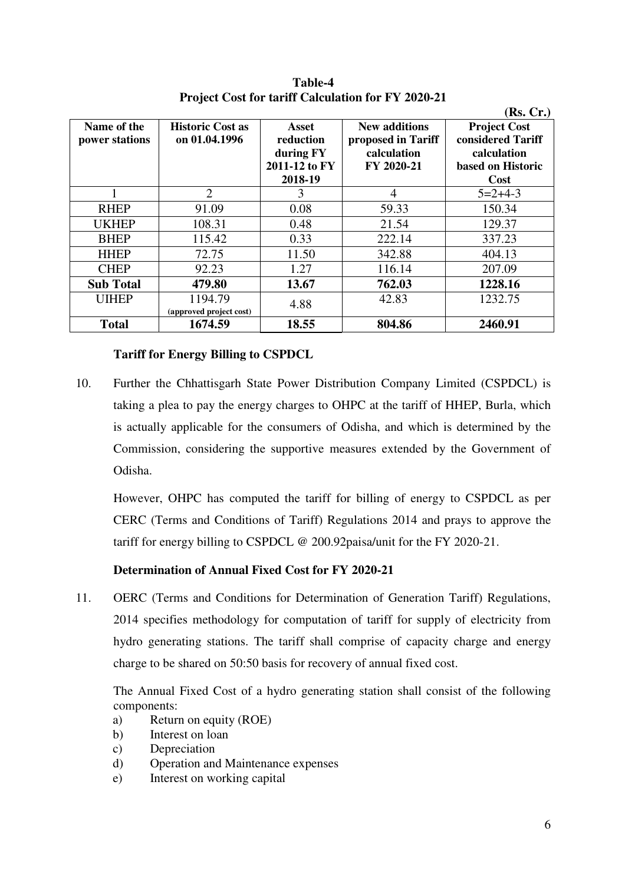| Name of the<br>power stations | <b>Historic Cost as</b><br>on 01.04.1996 | Asset<br>reduction<br>during FY<br>2011-12 to FY<br>2018-19 | <b>New additions</b><br>proposed in Tariff<br>calculation<br>FY 2020-21 | (Rs, Cr.)<br><b>Project Cost</b><br>considered Tariff<br>calculation<br>based on Historic<br>Cost |
|-------------------------------|------------------------------------------|-------------------------------------------------------------|-------------------------------------------------------------------------|---------------------------------------------------------------------------------------------------|
|                               | $\mathcal{D}_{\mathcal{L}}$              | 3                                                           | 4                                                                       | $5=2+4-3$                                                                                         |
| <b>RHEP</b>                   | 91.09                                    | 0.08                                                        | 59.33                                                                   | 150.34                                                                                            |
| <b>UKHEP</b>                  | 108.31                                   | 0.48                                                        | 21.54                                                                   | 129.37                                                                                            |
| <b>BHEP</b>                   | 115.42                                   | 0.33                                                        | 222.14                                                                  | 337.23                                                                                            |
| <b>HHEP</b>                   | 72.75                                    | 11.50                                                       | 342.88                                                                  | 404.13                                                                                            |
| <b>CHEP</b>                   | 92.23                                    | 1.27                                                        | 116.14                                                                  | 207.09                                                                                            |
| <b>Sub Total</b>              | 479.80                                   | 13.67                                                       | 762.03                                                                  | 1228.16                                                                                           |
| <b>UIHEP</b>                  | 1194.79<br>(approved project cost)       | 4.88                                                        | 42.83                                                                   | 1232.75                                                                                           |
| <b>Total</b>                  | 1674.59                                  | 18.55                                                       | 804.86                                                                  | 2460.91                                                                                           |

**Table-4 Project Cost for tariff Calculation for FY 2020-21** 

# **Tariff for Energy Billing to CSPDCL**

10. Further the Chhattisgarh State Power Distribution Company Limited (CSPDCL) is taking a plea to pay the energy charges to OHPC at the tariff of HHEP, Burla, which is actually applicable for the consumers of Odisha, and which is determined by the Commission, considering the supportive measures extended by the Government of Odisha.

However, OHPC has computed the tariff for billing of energy to CSPDCL as per CERC (Terms and Conditions of Tariff) Regulations 2014 and prays to approve the tariff for energy billing to CSPDCL @ 200.92paisa/unit for the FY 2020-21.

# **Determination of Annual Fixed Cost for FY 2020-21**

11. OERC (Terms and Conditions for Determination of Generation Tariff) Regulations, 2014 specifies methodology for computation of tariff for supply of electricity from hydro generating stations. The tariff shall comprise of capacity charge and energy charge to be shared on 50:50 basis for recovery of annual fixed cost.

The Annual Fixed Cost of a hydro generating station shall consist of the following components:

- a) Return on equity (ROE)
- b) Interest on loan
- c) Depreciation
- d) Operation and Maintenance expenses
- e) Interest on working capital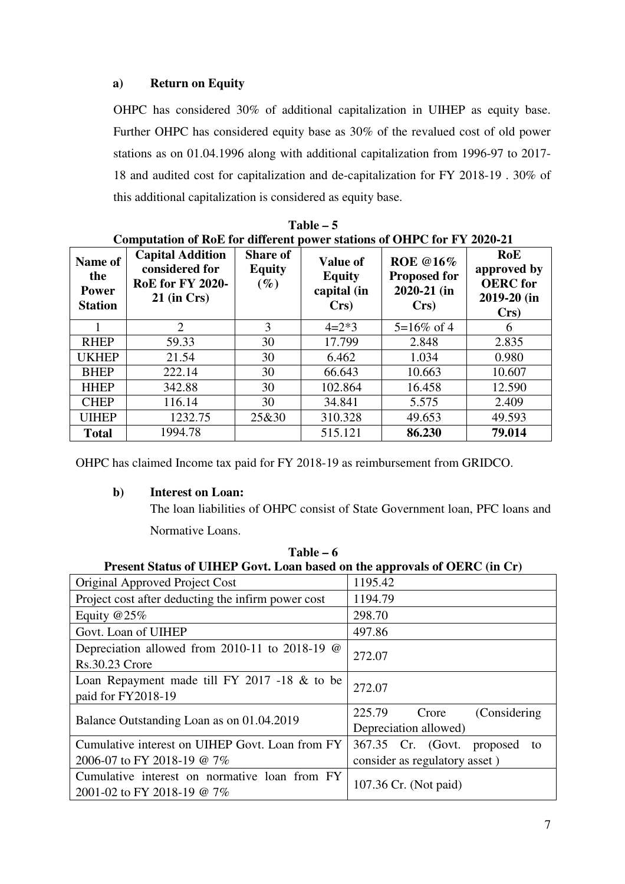# **a) Return on Equity**

OHPC has considered 30% of additional capitalization in UIHEP as equity base. Further OHPC has considered equity base as 30% of the revalued cost of old power stations as on 01.04.1996 along with additional capitalization from 1996-97 to 2017- 18 and audited cost for capitalization and de-capitalization for FY 2018-19 . 30% of this additional capitalization is considered as equity base.

| Name of<br>the<br><b>Power</b><br><b>Station</b> | <b>Capital Addition</b><br>considered for<br><b>RoE</b> for FY 2020-<br>$21$ (in Crs) | <b>Share of</b><br><b>Equity</b><br>$(\%)$ | <b>Value of</b><br><b>Equity</b><br>capital (in<br>Crs | <b>ROE</b> @16%<br><b>Proposed for</b><br>$2020 - 21$ (in<br>Crs | RoE<br>approved by<br><b>OERC</b> for<br>2019-20 (in<br>Crs |
|--------------------------------------------------|---------------------------------------------------------------------------------------|--------------------------------------------|--------------------------------------------------------|------------------------------------------------------------------|-------------------------------------------------------------|
|                                                  | 2                                                                                     | 3                                          | $4=2*3$                                                | $5=16\%$ of 4                                                    | 6                                                           |
| <b>RHEP</b>                                      | 59.33                                                                                 | 30                                         | 17.799                                                 | 2.848                                                            | 2.835                                                       |
| <b>UKHEP</b>                                     | 21.54                                                                                 | 30                                         | 6.462                                                  | 1.034                                                            | 0.980                                                       |
| <b>BHEP</b>                                      | 222.14                                                                                | 30                                         | 66.643                                                 | 10.663                                                           | 10.607                                                      |
| <b>HHEP</b>                                      | 342.88                                                                                | 30                                         | 102.864                                                | 16.458                                                           | 12.590                                                      |
| <b>CHEP</b>                                      | 116.14                                                                                | 30                                         | 34.841                                                 | 5.575                                                            | 2.409                                                       |
| <b>UIHEP</b>                                     | 1232.75                                                                               | 25&30                                      | 310.328                                                | 49.653                                                           | 49.593                                                      |
| <b>Total</b>                                     | 1994.78                                                                               |                                            | 515.121                                                | 86.230                                                           | 79.014                                                      |

**Table – 5 Computation of RoE for different power stations of OHPC for FY 2020-21** 

OHPC has claimed Income tax paid for FY 2018-19 as reimbursement from GRIDCO.

# **b) Interest on Loan:**

The loan liabilities of OHPC consist of State Government loan, PFC loans and Normative Loans.

| 1 apie – o                                                                     |                                                           |  |  |  |  |  |  |  |
|--------------------------------------------------------------------------------|-----------------------------------------------------------|--|--|--|--|--|--|--|
| Present Status of UIHEP Govt. Loan based on the approvals of OERC (in Cr)      |                                                           |  |  |  |  |  |  |  |
| Original Approved Project Cost                                                 | 1195.42                                                   |  |  |  |  |  |  |  |
| Project cost after deducting the infirm power cost                             | 1194.79                                                   |  |  |  |  |  |  |  |
| Equity $@25\%$                                                                 | 298.70                                                    |  |  |  |  |  |  |  |
| Govt. Loan of UIHEP                                                            | 497.86                                                    |  |  |  |  |  |  |  |
| Depreciation allowed from 2010-11 to 2018-19 $\omega$<br><b>Rs.30.23 Crore</b> | 272.07                                                    |  |  |  |  |  |  |  |
| Loan Repayment made till FY 2017 -18 $&$ to be<br>paid for FY2018-19           | 272.07                                                    |  |  |  |  |  |  |  |
| Balance Outstanding Loan as on 01.04.2019                                      | 225.79<br>(Considering)<br>Crore<br>Depreciation allowed) |  |  |  |  |  |  |  |
| Cumulative interest on UIHEP Govt. Loan from FY                                | 367.35 Cr. (Govt.<br>proposed<br>to                       |  |  |  |  |  |  |  |
| 2006-07 to FY 2018-19 @ 7%                                                     | consider as regulatory asset)                             |  |  |  |  |  |  |  |
| Cumulative interest on normative loan from FY<br>2001-02 to FY 2018-19 @ 7%    | 107.36 Cr. (Not paid)                                     |  |  |  |  |  |  |  |

 $**I**<sub>a</sub>$  $\leq$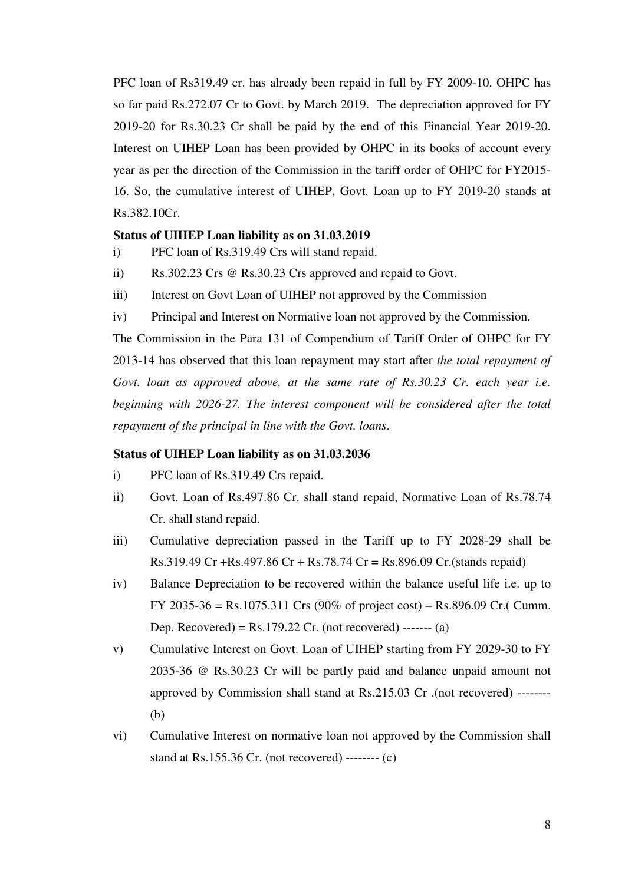PFC loan of Rs319.49 cr. has already been repaid in full by FY 2009-10. OHPC has so far paid Rs.272.07 Cr to Govt. by March 2019. The depreciation approved for FY 2019-20 for Rs.30.23 Cr shall be paid by the end of this Financial Year 2019-20. Interest on UIHEP Loan has been provided by OHPC in its books of account every year as per the direction of the Commission in the tariff order of OHPC for FY2015- 16. So, the cumulative interest of UIHEP, Govt. Loan up to FY 2019-20 stands at Rs.382.10Cr.

### **Status of UIHEP Loan liability as on 31.03.2019**

- i) PFC loan of Rs.319.49 Crs will stand repaid.
- ii) Rs.302.23 Crs @ Rs.30.23 Crs approved and repaid to Govt.
- iii) Interest on Govt Loan of UIHEP not approved by the Commission
- iv) Principal and Interest on Normative loan not approved by the Commission.

The Commission in the Para 131 of Compendium of Tariff Order of OHPC for FY 2013-14 has observed that this loan repayment may start after *the total repayment of*  Govt. loan as approved above, at the same rate of Rs.30.23 Cr. each year i.e. *beginning with 2026-27. The interest component will be considered after the total repayment of the principal in line with the Govt. loans*.

#### **Status of UIHEP Loan liability as on 31.03.2036**

- i) PFC loan of Rs.319.49 Crs repaid.
- ii) Govt. Loan of Rs.497.86 Cr. shall stand repaid, Normative Loan of Rs.78.74 Cr. shall stand repaid.
- iii) Cumulative depreciation passed in the Tariff up to FY 2028-29 shall be Rs.319.49 Cr +Rs.497.86 Cr + Rs.78.74 Cr = Rs.896.09 Cr.(stands repaid)
- iv) Balance Depreciation to be recovered within the balance useful life i.e. up to FY 2035-36 = Rs.1075.311 Crs (90% of project cost) – Rs.896.09 Cr.( Cumm. Dep. Recovered) =  $Rs.179.22$  Cr. (not recovered) ------- (a)
- v) Cumulative Interest on Govt. Loan of UIHEP starting from FY 2029-30 to FY 2035-36 @ Rs.30.23 Cr will be partly paid and balance unpaid amount not approved by Commission shall stand at Rs.215.03 Cr .(not recovered) -------- (b)
- vi) Cumulative Interest on normative loan not approved by the Commission shall stand at Rs.155.36 Cr. (not recovered) -------- (c)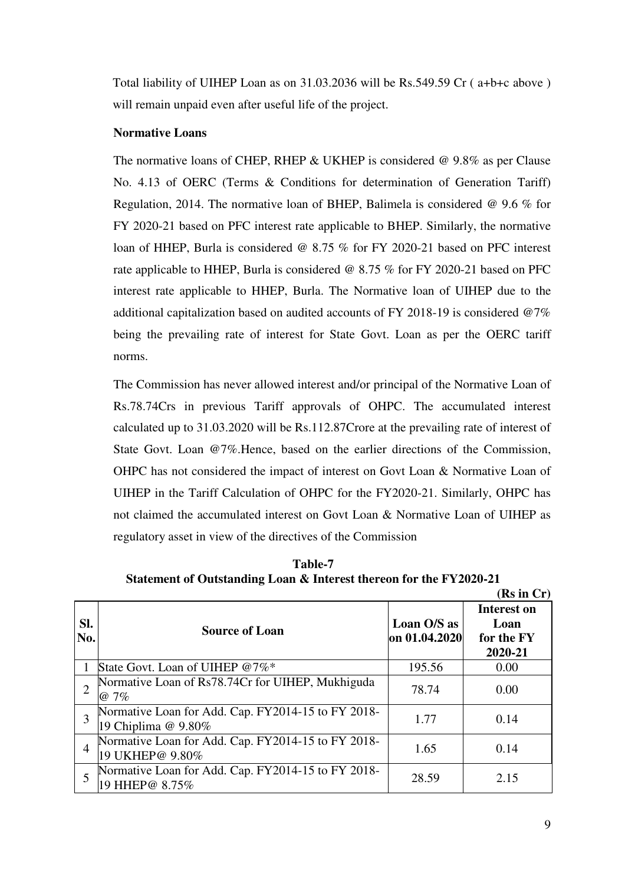Total liability of UIHEP Loan as on 31.03.2036 will be Rs.549.59 Cr ( a+b+c above ) will remain unpaid even after useful life of the project.

# **Normative Loans**

The normative loans of CHEP, RHEP  $&$  UKHEP is considered  $&$  9.8% as per Clause No. 4.13 of OERC (Terms & Conditions for determination of Generation Tariff) Regulation, 2014. The normative loan of BHEP, Balimela is considered @ 9.6 % for FY 2020-21 based on PFC interest rate applicable to BHEP. Similarly, the normative loan of HHEP, Burla is considered @ 8.75 % for FY 2020-21 based on PFC interest rate applicable to HHEP, Burla is considered @ 8.75 % for FY 2020-21 based on PFC interest rate applicable to HHEP, Burla. The Normative loan of UIHEP due to the additional capitalization based on audited accounts of FY 2018-19 is considered @7% being the prevailing rate of interest for State Govt. Loan as per the OERC tariff norms.

The Commission has never allowed interest and/or principal of the Normative Loan of Rs.78.74Crs in previous Tariff approvals of OHPC. The accumulated interest calculated up to 31.03.2020 will be Rs.112.87Crore at the prevailing rate of interest of State Govt. Loan @7%.Hence, based on the earlier directions of the Commission, OHPC has not considered the impact of interest on Govt Loan & Normative Loan of UIHEP in the Tariff Calculation of OHPC for the FY2020-21. Similarly, OHPC has not claimed the accumulated interest on Govt Loan & Normative Loan of UIHEP as regulatory asset in view of the directives of the Commission

**Table-7 Statement of Outstanding Loan & Interest thereon for the FY2020-21** 

|            |                                                                           |                              | (Rs in Cr)                                          |
|------------|---------------------------------------------------------------------------|------------------------------|-----------------------------------------------------|
| SI.<br>No. | <b>Source of Loan</b>                                                     | Loan O/S as<br>on 01.04.2020 | <b>Interest on</b><br>Loan<br>for the FY<br>2020-21 |
|            | State Govt. Loan of UIHEP @7%*                                            | 195.56                       | 0.00                                                |
|            | Normative Loan of Rs78.74Cr for UIHEP, Mukhiguda<br>$@7\%$                | 78.74                        | 0.00                                                |
| 3          | Normative Loan for Add. Cap. FY2014-15 to FY 2018-<br>19 Chiplima @ 9.80% | 1.77                         | 0.14                                                |
| 4          | Normative Loan for Add. Cap. FY2014-15 to FY 2018-<br>19 UKHEP@ 9.80%     | 1.65                         | 0.14                                                |
|            | Normative Loan for Add. Cap. FY2014-15 to FY 2018-<br>19 HHEP@ 8.75%      | 28.59                        | 2.15                                                |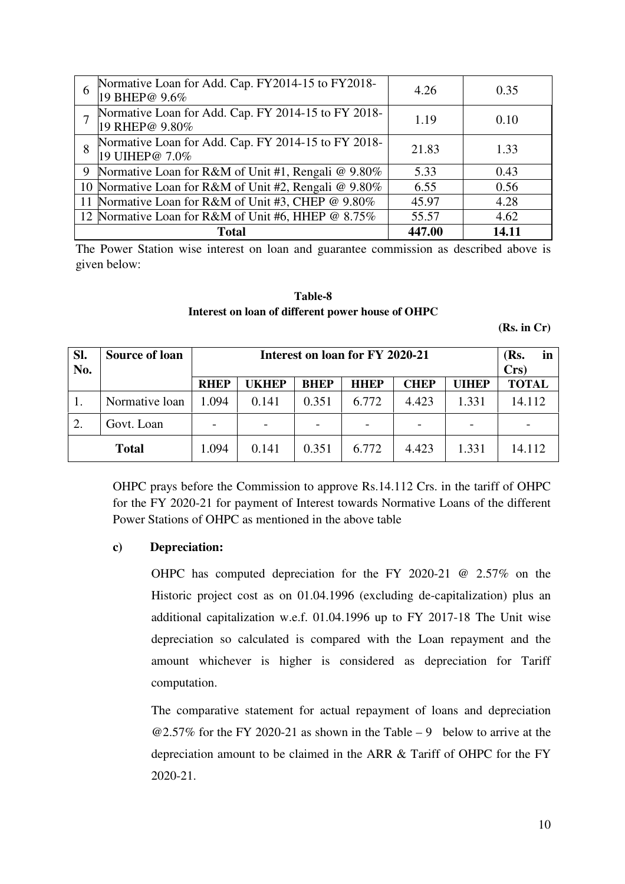| 6 | Normative Loan for Add. Cap. FY2014-15 to FY2018-<br>19 BHEP@ 9.6%    | 4.26   | 0.35  |
|---|-----------------------------------------------------------------------|--------|-------|
|   | Normative Loan for Add. Cap. FY 2014-15 to FY 2018-<br>19 RHEP@ 9.80% | 1.19   | 0.10  |
| 8 | Normative Loan for Add. Cap. FY 2014-15 to FY 2018-<br>19 UIHEP@ 7.0% | 21.83  | 1.33  |
|   | 9 Normative Loan for R&M of Unit #1, Rengali @ 9.80%                  | 5.33   | 0.43  |
|   | 10 Normative Loan for R&M of Unit #2, Rengali @ 9.80%                 | 6.55   | 0.56  |
|   | 11 Normative Loan for R&M of Unit #3, CHEP @ 9.80%                    | 45.97  | 4.28  |
|   | 12 Normative Loan for R&M of Unit #6, HHEP @ 8.75%                    | 55.57  | 4.62  |
|   | <b>Total</b>                                                          | 447.00 | 14.11 |

The Power Station wise interest on loan and guarantee commission as described above is given below:

**Table-8 Interest on loan of different power house of OHPC** 

**(Rs. in Cr)** 

| SI. | <b>Source of loan</b> |                          | Interest on loan for FY 2020-21 |             |             |             |              |              |  |
|-----|-----------------------|--------------------------|---------------------------------|-------------|-------------|-------------|--------------|--------------|--|
| No. |                       |                          |                                 |             |             |             |              |              |  |
|     |                       | <b>RHEP</b>              | UKHEP                           | <b>BHEP</b> | <b>HHEP</b> | <b>CHEP</b> | <b>UIHEP</b> | <b>TOTAL</b> |  |
|     | Normative loan        | 1.094                    | 0.141                           | 0.351       | 6.772       | 4.423       | 1.331        | 14.112       |  |
| 2.  | Govt. Loan            | $\overline{\phantom{a}}$ |                                 |             |             |             |              |              |  |
|     | <b>Total</b>          | 1.094                    | 0.141                           | 0.351       | 6.772       | 4.423       | 1.331        | 14.112       |  |

OHPC prays before the Commission to approve Rs.14.112 Crs. in the tariff of OHPC for the FY 2020-21 for payment of Interest towards Normative Loans of the different Power Stations of OHPC as mentioned in the above table

### **c) Depreciation:**

OHPC has computed depreciation for the FY 2020-21 @ 2.57% on the Historic project cost as on 01.04.1996 (excluding de-capitalization) plus an additional capitalization w.e.f. 01.04.1996 up to FY 2017-18 The Unit wise depreciation so calculated is compared with the Loan repayment and the amount whichever is higher is considered as depreciation for Tariff computation.

The comparative statement for actual repayment of loans and depreciation  $@2.57\%$  for the FY 2020-21 as shown in the Table – 9 below to arrive at the depreciation amount to be claimed in the ARR & Tariff of OHPC for the FY 2020-21.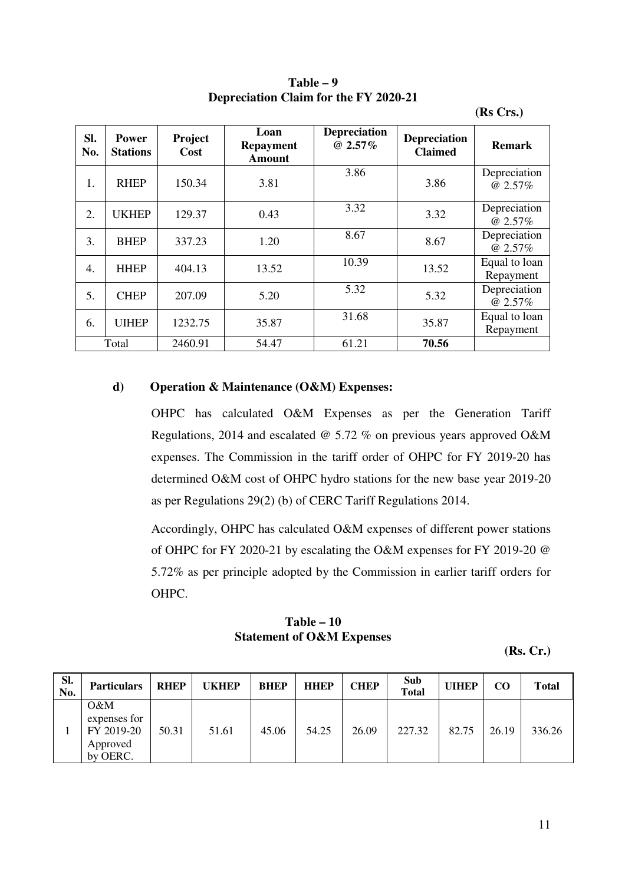| Sl.<br>No. | Power<br><b>Stations</b> | Project<br>Cost | Loan<br><b>Repayment</b><br><b>Amount</b> | <b>Depreciation</b><br>@ $2.57\%$ | <b>Depreciation</b><br><b>Claimed</b> | <b>Remark</b>              |
|------------|--------------------------|-----------------|-------------------------------------------|-----------------------------------|---------------------------------------|----------------------------|
| 1.         | <b>RHEP</b>              | 150.34          | 3.81                                      | 3.86                              | 3.86                                  | Depreciation<br>@ 2.57%    |
| 2.         | <b>UKHEP</b>             | 129.37          | 0.43                                      | 3.32                              | 3.32                                  | Depreciation<br>@ 2.57%    |
| 3.         | <b>BHEP</b>              | 337.23          | 1.20                                      | 8.67                              | 8.67                                  | Depreciation<br>@ 2.57%    |
| 4.         | <b>HHEP</b>              | 404.13          | 13.52                                     | 10.39                             | 13.52                                 | Equal to loan<br>Repayment |
| 5.         | <b>CHEP</b>              | 207.09          | 5.20                                      | 5.32                              | 5.32                                  | Depreciation<br>@ 2.57%    |
| 6.         | <b>UIHEP</b>             | 1232.75         | 35.87                                     | 31.68                             | 35.87                                 | Equal to loan<br>Repayment |
|            | Total                    | 2460.91         | 54.47                                     | 61.21                             | 70.56                                 |                            |

**Table – 9 Depreciation Claim for the FY 2020-21** 

### **(Rs Crs.)**

## **d) Operation & Maintenance (O&M) Expenses:**

OHPC has calculated O&M Expenses as per the Generation Tariff Regulations, 2014 and escalated @ 5.72 % on previous years approved O&M expenses. The Commission in the tariff order of OHPC for FY 2019-20 has determined O&M cost of OHPC hydro stations for the new base year 2019-20 as per Regulations 29(2) (b) of CERC Tariff Regulations 2014.

Accordingly, OHPC has calculated O&M expenses of different power stations of OHPC for FY 2020-21 by escalating the O&M expenses for FY 2019-20 @ 5.72% as per principle adopted by the Commission in earlier tariff orders for OHPC.

# **Table – 10 Statement of O&M Expenses**

**(Rs. Cr.)** 

| SI.<br>No. | <b>Particulars</b>                                           | <b>RHEP</b> | <b>UKHEP</b> | <b>BHEP</b> | <b>HHEP</b> | <b>CHEP</b> | Sub<br><b>Total</b> | <b>UIHEP</b> | $_{\rm CO}$ | <b>Total</b> |
|------------|--------------------------------------------------------------|-------------|--------------|-------------|-------------|-------------|---------------------|--------------|-------------|--------------|
|            | $O\&M$<br>expenses for<br>FY 2019-20<br>Approved<br>by OERC. | 50.31       | 51.61        | 45.06       | 54.25       | 26.09       | 227.32              | 82.75        | 26.19       | 336.26       |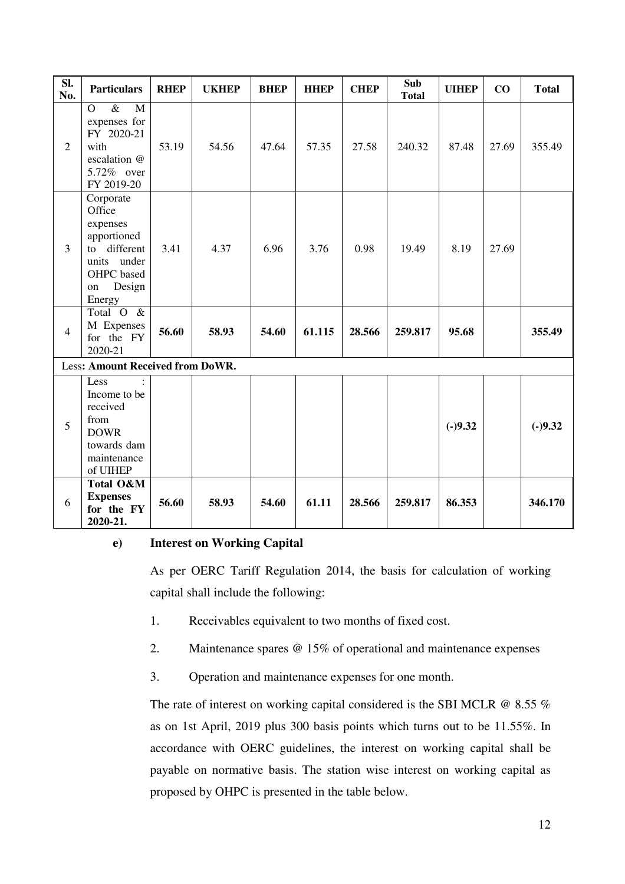| SI.<br>No.     | <b>Particulars</b>                                                                                                    | <b>RHEP</b> | <b>UKHEP</b> | <b>BHEP</b> | <b>HHEP</b> | <b>CHEP</b> | Sub<br><b>Total</b> | <b>UIHEP</b> | CO    | <b>Total</b> |
|----------------|-----------------------------------------------------------------------------------------------------------------------|-------------|--------------|-------------|-------------|-------------|---------------------|--------------|-------|--------------|
| $\overline{2}$ | $\&$<br>M<br>$\overline{O}$<br>expenses for<br>FY 2020-21<br>with<br>escalation @<br>5.72% over<br>FY 2019-20         | 53.19       | 54.56        | 47.64       | 57.35       | 27.58       | 240.32              | 87.48        | 27.69 | 355.49       |
| $\overline{3}$ | Corporate<br>Office<br>expenses<br>apportioned<br>to different<br>units under<br>OHPC based<br>Design<br>on<br>Energy | 3.41        | 4.37         | 6.96        | 3.76        | 0.98        | 19.49               | 8.19         | 27.69 |              |
| $\overline{4}$ | Total O &<br>M Expenses<br>for the FY<br>2020-21                                                                      | 56.60       | 58.93        | 54.60       | 61.115      | 28.566      | 259.817             | 95.68        |       | 355.49       |
|                | Less: Amount Received from DoWR.                                                                                      |             |              |             |             |             |                     |              |       |              |
| 5              | Less<br>Income to be<br>received<br>from<br><b>DOWR</b><br>towards dam<br>maintenance<br>of UIHEP                     |             |              |             |             |             |                     | $(-)9.32$    |       | $(-)9.32$    |
| 6              | Total O&M<br><b>Expenses</b><br>for the FY<br>2020-21.                                                                | 56.60       | 58.93        | 54.60       | 61.11       | 28.566      | 259.817             | 86.353       |       | 346.170      |

# **e) Interest on Working Capital**

As per OERC Tariff Regulation 2014, the basis for calculation of working capital shall include the following:

- 1. Receivables equivalent to two months of fixed cost.
- 2. Maintenance spares @ 15% of operational and maintenance expenses
- 3. Operation and maintenance expenses for one month.

The rate of interest on working capital considered is the SBI MCLR  $@ 8.55 \%$ as on 1st April, 2019 plus 300 basis points which turns out to be 11.55%. In accordance with OERC guidelines, the interest on working capital shall be payable on normative basis. The station wise interest on working capital as proposed by OHPC is presented in the table below.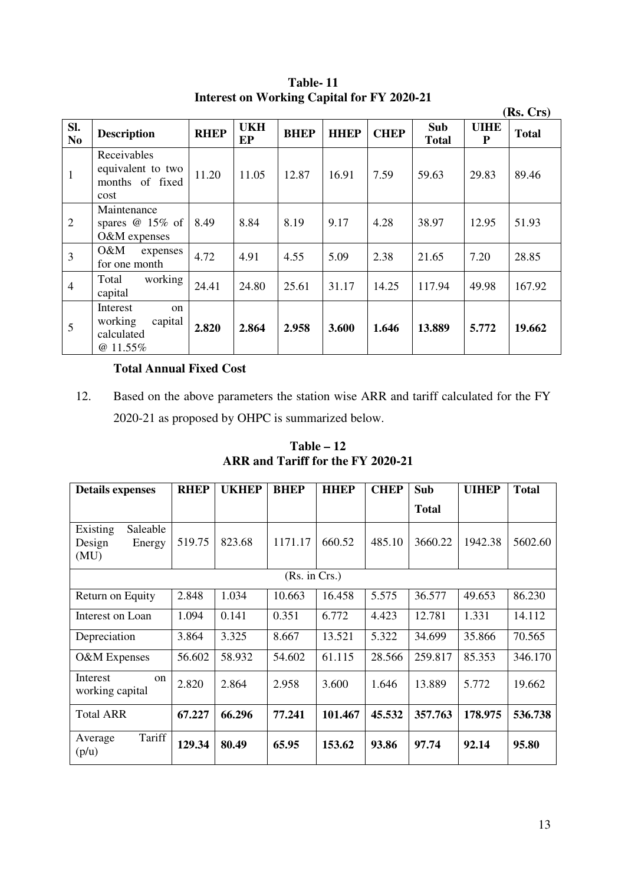|                       |                                                                             |             |                  |             |             |             |                     |                  | (Rs. Crs)    |
|-----------------------|-----------------------------------------------------------------------------|-------------|------------------|-------------|-------------|-------------|---------------------|------------------|--------------|
| SI.<br>N <sub>0</sub> | <b>Description</b>                                                          | <b>RHEP</b> | <b>UKH</b><br>EP | <b>BHEP</b> | <b>HHEP</b> | <b>CHEP</b> | Sub<br><b>Total</b> | <b>UIHE</b><br>P | <b>Total</b> |
| $\mathbf{1}$          | Receivables<br>equivalent to two<br>months of fixed<br>cost                 | 11.20       | 11.05            | 12.87       | 16.91       | 7.59        | 59.63               | 29.83            | 89.46        |
| $\overline{2}$        | Maintenance<br>spares $\omega$ 15% of<br>O&M expenses                       | 8.49        | 8.84             | 8.19        | 9.17        | 4.28        | 38.97               | 12.95            | 51.93        |
| $\overline{3}$        | O&M<br>expenses<br>for one month                                            | 4.72        | 4.91             | 4.55        | 5.09        | 2.38        | 21.65               | 7.20             | 28.85        |
| $\overline{4}$        | working<br>Total<br>capital                                                 | 24.41       | 24.80            | 25.61       | 31.17       | 14.25       | 117.94              | 49.98            | 167.92       |
| 5                     | Interest<br><sub>on</sub><br>working<br>capital<br>calculated<br>$@11.55\%$ | 2.820       | 2.864            | 2.958       | 3.600       | 1.646       | 13.889              | 5.772            | 19.662       |

**Table- 11 Interest on Working Capital for FY 2020-21** 

# **Total Annual Fixed Cost**

12. Based on the above parameters the station wise ARR and tariff calculated for the FY 2020-21 as proposed by OHPC is summarized below.

**Table – 12 ARR and Tariff for the FY 2020-21** 

| <b>Details expenses</b>                          | <b>RHEP</b> | <b>UKHEP</b> | <b>BHEP</b>   | <b>HHEP</b> | <b>CHEP</b> | Sub          | <b>UIHEP</b> | <b>Total</b> |
|--------------------------------------------------|-------------|--------------|---------------|-------------|-------------|--------------|--------------|--------------|
|                                                  |             |              |               |             |             | <b>Total</b> |              |              |
| Existing<br>Saleable<br>Design<br>Energy<br>(MU) | 519.75      | 823.68       | 1171.17       | 660.52      | 485.10      | 3660.22      | 1942.38      | 5602.60      |
|                                                  |             |              | (Rs. in Crs.) |             |             |              |              |              |
| Return on Equity                                 | 2.848       | 1.034        | 10.663        | 16.458      | 5.575       | 36.577       | 49.653       | 86.230       |
| Interest on Loan                                 | 1.094       | 0.141        | 0.351         | 6.772       | 4.423       | 12.781       | 1.331        | 14.112       |
| Depreciation                                     | 3.864       | 3.325        | 8.667         | 13.521      | 5.322       | 34.699       | 35.866       | 70.565       |
| O&M Expenses                                     | 56.602      | 58.932       | 54.602        | 61.115      | 28.566      | 259.817      | 85.353       | 346.170      |
| Interest<br><sub>on</sub><br>working capital     | 2.820       | 2.864        | 2.958         | 3.600       | 1.646       | 13.889       | 5.772        | 19.662       |
| <b>Total ARR</b>                                 | 67.227      | 66.296       | 77.241        | 101.467     | 45.532      | 357.763      | 178.975      | 536.738      |
| Tariff<br>Average<br>(p/u)                       | 129.34      | 80.49        | 65.95         | 153.62      | 93.86       | 97.74        | 92.14        | 95.80        |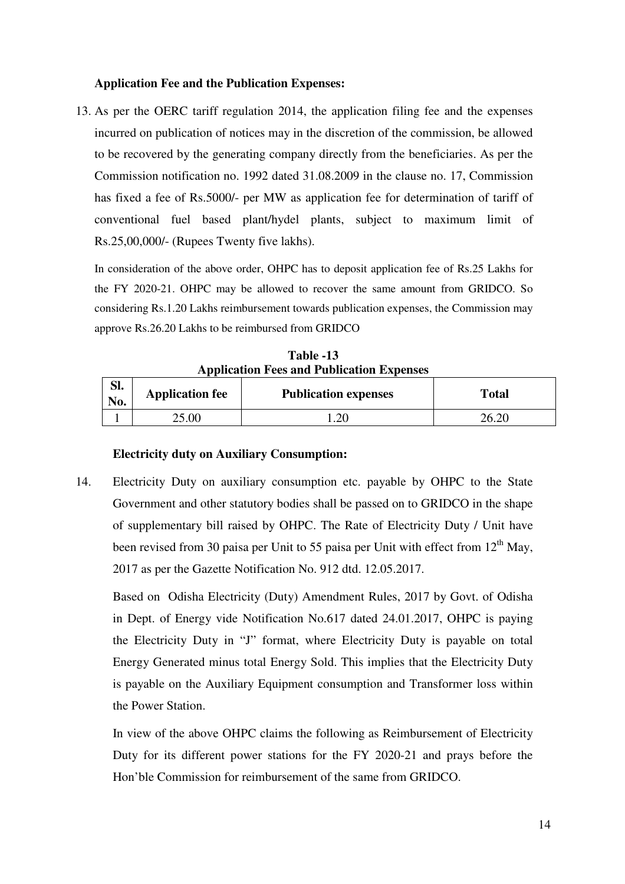### **Application Fee and the Publication Expenses:**

13. As per the OERC tariff regulation 2014, the application filing fee and the expenses incurred on publication of notices may in the discretion of the commission, be allowed to be recovered by the generating company directly from the beneficiaries. As per the Commission notification no. 1992 dated 31.08.2009 in the clause no. 17, Commission has fixed a fee of Rs.5000/- per MW as application fee for determination of tariff of conventional fuel based plant/hydel plants, subject to maximum limit of Rs.25,00,000/- (Rupees Twenty five lakhs).

In consideration of the above order, OHPC has to deposit application fee of Rs.25 Lakhs for the FY 2020-21. OHPC may be allowed to recover the same amount from GRIDCO. So considering Rs.1.20 Lakhs reimbursement towards publication expenses, the Commission may approve Rs.26.20 Lakhs to be reimbursed from GRIDCO

**Table -13 Application Fees and Publication Expenses**

| C1<br>ы.<br>No. | <b>Application fee</b> | <b>Publication expenses</b> | <b>Total</b> |
|-----------------|------------------------|-----------------------------|--------------|
|                 | 25.00                  | 1.20                        | 26.20        |

#### **Electricity duty on Auxiliary Consumption:**

14. Electricity Duty on auxiliary consumption etc. payable by OHPC to the State Government and other statutory bodies shall be passed on to GRIDCO in the shape of supplementary bill raised by OHPC. The Rate of Electricity Duty / Unit have been revised from 30 paisa per Unit to 55 paisa per Unit with effect from  $12<sup>th</sup>$  May, 2017 as per the Gazette Notification No. 912 dtd. 12.05.2017.

Based on Odisha Electricity (Duty) Amendment Rules, 2017 by Govt. of Odisha in Dept. of Energy vide Notification No.617 dated 24.01.2017, OHPC is paying the Electricity Duty in "J" format, where Electricity Duty is payable on total Energy Generated minus total Energy Sold. This implies that the Electricity Duty is payable on the Auxiliary Equipment consumption and Transformer loss within the Power Station.

In view of the above OHPC claims the following as Reimbursement of Electricity Duty for its different power stations for the FY 2020-21 and prays before the Hon'ble Commission for reimbursement of the same from GRIDCO.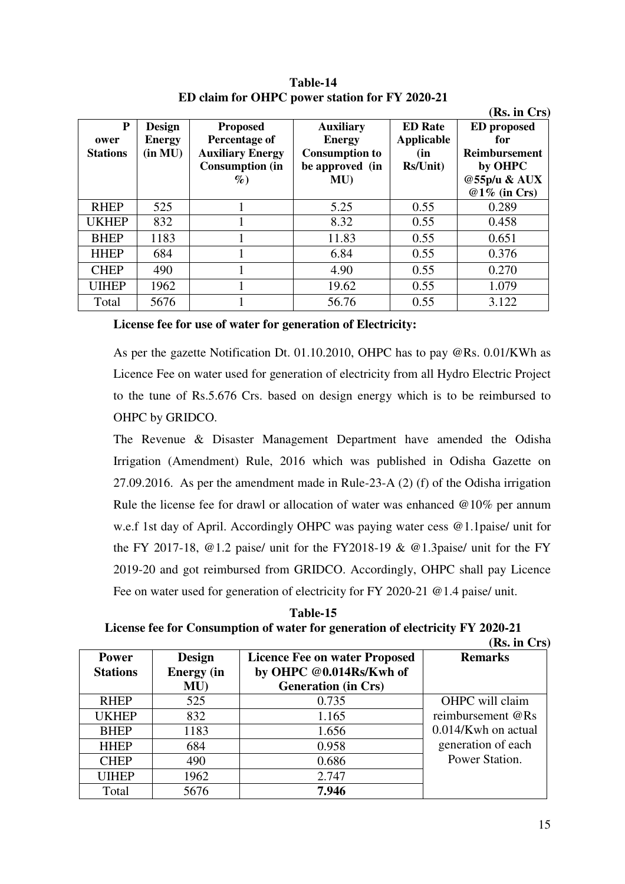|                 |               |                         |                       |                | (Rs. in Crs)         |
|-----------------|---------------|-------------------------|-----------------------|----------------|----------------------|
| P               | <b>Design</b> | <b>Proposed</b>         | <b>Auxiliary</b>      | <b>ED</b> Rate | <b>ED</b> proposed   |
| ower            | <b>Energy</b> | Percentage of           | <b>Energy</b>         | Applicable     | for                  |
| <b>Stations</b> | (in MU)       | <b>Auxiliary Energy</b> | <b>Consumption to</b> | (in            | <b>Reimbursement</b> |
|                 |               | <b>Consumption (in</b>  | be approved (in       | Rs/Unit)       | by OHPC              |
|                 |               | $\%$                    | MU                    |                | @55p/u & AUX         |
|                 |               |                         |                       |                | $@1\%$ (in Crs)      |
| <b>RHEP</b>     | 525           |                         | 5.25                  | 0.55           | 0.289                |
| <b>UKHEP</b>    | 832           |                         | 8.32                  | 0.55           | 0.458                |
| <b>BHEP</b>     | 1183          |                         | 11.83                 | 0.55           | 0.651                |
| <b>HHEP</b>     | 684           |                         | 6.84                  | 0.55           | 0.376                |
| <b>CHEP</b>     | 490           |                         | 4.90                  | 0.55           | 0.270                |
| <b>UIHEP</b>    | 1962          |                         | 19.62                 | 0.55           | 1.079                |
| Total           | 5676          |                         | 56.76                 | 0.55           | 3.122                |

**Table-14 ED claim for OHPC power station for FY 2020-21**

#### **License fee for use of water for generation of Electricity:**

As per the gazette Notification Dt. 01.10.2010, OHPC has to pay @Rs. 0.01/KWh as Licence Fee on water used for generation of electricity from all Hydro Electric Project to the tune of Rs.5.676 Crs. based on design energy which is to be reimbursed to OHPC by GRIDCO.

The Revenue & Disaster Management Department have amended the Odisha Irrigation (Amendment) Rule, 2016 which was published in Odisha Gazette on 27.09.2016. As per the amendment made in Rule-23-A (2) (f) of the Odisha irrigation Rule the license fee for drawl or allocation of water was enhanced @10% per annum w.e.f 1st day of April. Accordingly OHPC was paying water cess @1.1paise/ unit for the FY 2017-18,  $@1.2$  paise/ unit for the FY2018-19 &  $@1.3$ paise/ unit for the FY 2019-20 and got reimbursed from GRIDCO. Accordingly, OHPC shall pay Licence Fee on water used for generation of electricity for FY 2020-21 @ 1.4 paise/ unit.

**Table-15 License fee for Consumption of water for generation of electricity FY 2020-21**   $(\mathbf{D}_\mathbf{c} \text{ in } \mathbf{C}_{\mathbf{r}})$ 

|                 |                   |                                      | (KS. III UFS           |
|-----------------|-------------------|--------------------------------------|------------------------|
| <b>Power</b>    | <b>Design</b>     | <b>Licence Fee on water Proposed</b> | <b>Remarks</b>         |
| <b>Stations</b> | <b>Energy</b> (in | by OHPC @0.014Rs/Kwh of              |                        |
|                 | MU                | <b>Generation (in Crs)</b>           |                        |
| <b>RHEP</b>     | 525               | 0.735                                | OHPC will claim        |
| <b>UKHEP</b>    | 832               | 1.165                                | reimbursement @Rs      |
| <b>BHEP</b>     | 1183              | 1.656                                | $0.014$ /Kwh on actual |
| <b>HHEP</b>     | 684               | 0.958                                | generation of each     |
| <b>CHEP</b>     | 490               | 0.686                                | Power Station.         |
| <b>UIHEP</b>    | 1962              | 2.747                                |                        |
| Total           | 5676              | 7.946                                |                        |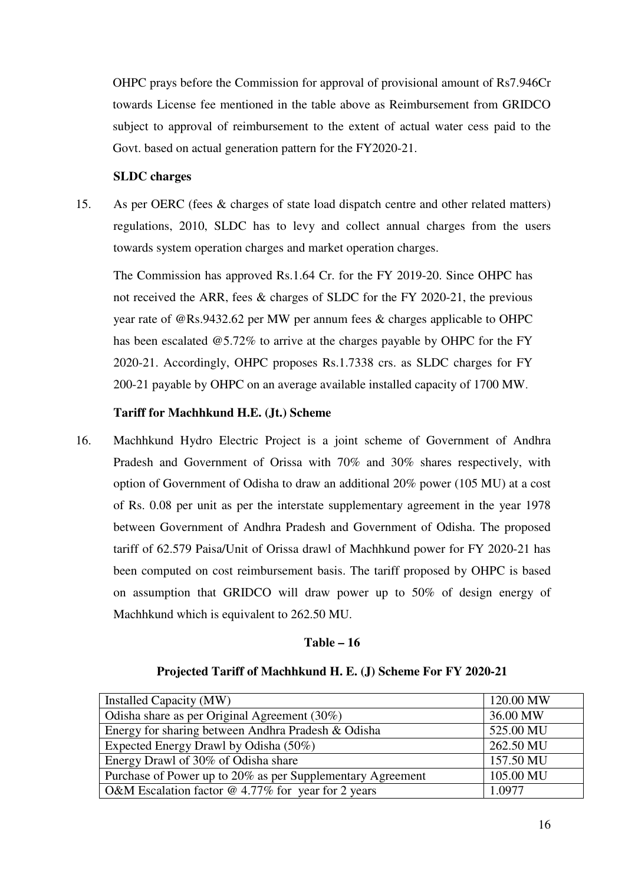OHPC prays before the Commission for approval of provisional amount of Rs7.946Cr towards License fee mentioned in the table above as Reimbursement from GRIDCO subject to approval of reimbursement to the extent of actual water cess paid to the Govt. based on actual generation pattern for the FY2020-21.

# **SLDC charges**

15. As per OERC (fees & charges of state load dispatch centre and other related matters) regulations, 2010, SLDC has to levy and collect annual charges from the users towards system operation charges and market operation charges.

The Commission has approved Rs.1.64 Cr. for the FY 2019-20. Since OHPC has not received the ARR, fees & charges of SLDC for the FY 2020-21, the previous year rate of @Rs.9432.62 per MW per annum fees & charges applicable to OHPC has been escalated @5.72% to arrive at the charges payable by OHPC for the FY 2020-21. Accordingly, OHPC proposes Rs.1.7338 crs. as SLDC charges for FY 200-21 payable by OHPC on an average available installed capacity of 1700 MW.

# **Tariff for Machhkund H.E. (Jt.) Scheme**

16. Machhkund Hydro Electric Project is a joint scheme of Government of Andhra Pradesh and Government of Orissa with 70% and 30% shares respectively, with option of Government of Odisha to draw an additional 20% power (105 MU) at a cost of Rs. 0.08 per unit as per the interstate supplementary agreement in the year 1978 between Government of Andhra Pradesh and Government of Odisha. The proposed tariff of 62.579 Paisa/Unit of Orissa drawl of Machhkund power for FY 2020-21 has been computed on cost reimbursement basis. The tariff proposed by OHPC is based on assumption that GRIDCO will draw power up to 50% of design energy of Machhkund which is equivalent to 262.50 MU.

# **Table – 16**

# **Projected Tariff of Machhkund H. E. (J) Scheme For FY 2020-21**

| Installed Capacity (MW)                                    | 120.00 MW |
|------------------------------------------------------------|-----------|
| Odisha share as per Original Agreement (30%)               | 36.00 MW  |
| Energy for sharing between Andhra Pradesh & Odisha         | 525.00 MU |
| Expected Energy Drawl by Odisha (50%)                      | 262.50 MU |
| Energy Drawl of 30% of Odisha share                        | 157.50 MU |
| Purchase of Power up to 20% as per Supplementary Agreement | 105.00 MU |
| O&M Escalation factor $@$ 4.77% for year for 2 years       | 1.0977    |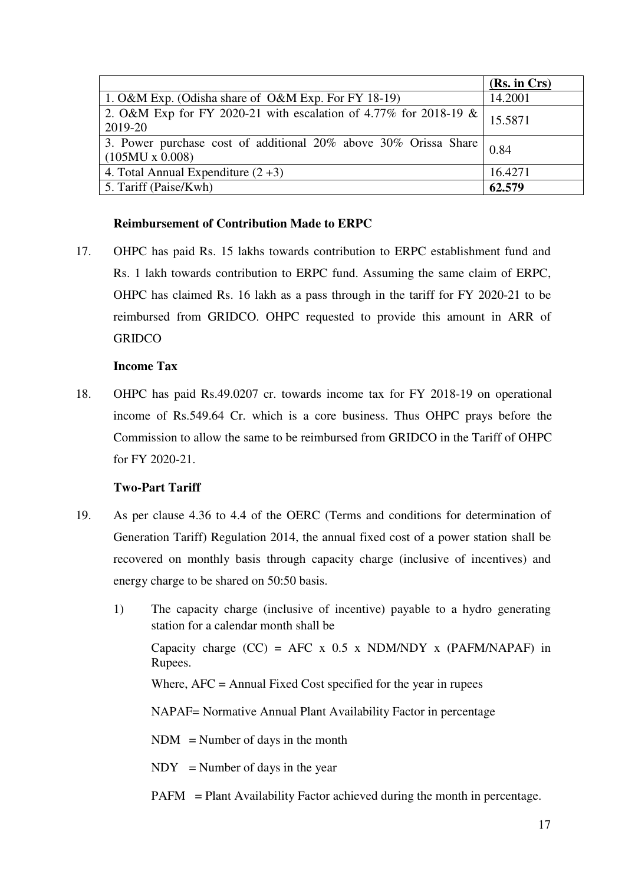|                                                                                                 | (Rs. in Crs) |
|-------------------------------------------------------------------------------------------------|--------------|
| 1. O&M Exp. (Odisha share of O&M Exp. For FY 18-19)                                             | 14.2001      |
| 2. O&M Exp for FY 2020-21 with escalation of 4.77% for 2018-19 &<br>2019-20                     | 15.5871      |
| 3. Power purchase cost of additional $20\%$ above $30\%$ Orissa Share<br>$(105MU \times 0.008)$ | 0.84         |
| 4. Total Annual Expenditure $(2+3)$                                                             | 16.4271      |
| 5. Tariff (Paise/Kwh)                                                                           | 62.579       |

# **Reimbursement of Contribution Made to ERPC**

17. OHPC has paid Rs. 15 lakhs towards contribution to ERPC establishment fund and Rs. 1 lakh towards contribution to ERPC fund. Assuming the same claim of ERPC, OHPC has claimed Rs. 16 lakh as a pass through in the tariff for FY 2020-21 to be reimbursed from GRIDCO. OHPC requested to provide this amount in ARR of **GRIDCO** 

### **Income Tax**

18. OHPC has paid Rs.49.0207 cr. towards income tax for FY 2018-19 on operational income of Rs.549.64 Cr. which is a core business. Thus OHPC prays before the Commission to allow the same to be reimbursed from GRIDCO in the Tariff of OHPC for FY 2020-21.

### **Two-Part Tariff**

- 19. As per clause 4.36 to 4.4 of the OERC (Terms and conditions for determination of Generation Tariff) Regulation 2014, the annual fixed cost of a power station shall be recovered on monthly basis through capacity charge (inclusive of incentives) and energy charge to be shared on 50:50 basis.
	- 1) The capacity charge (inclusive of incentive) payable to a hydro generating station for a calendar month shall be Capacity charge  $(CC) = AFC \times 0.5 \times NDM/NDY \times (PAFM/NAPAF)$  in Rupees. Where, AFC = Annual Fixed Cost specified for the year in rupees NAPAF= Normative Annual Plant Availability Factor in percentage  $NDM = Number of days in the month$  $NDY = Number of days in the year$ 
		- PAFM = Plant Availability Factor achieved during the month in percentage.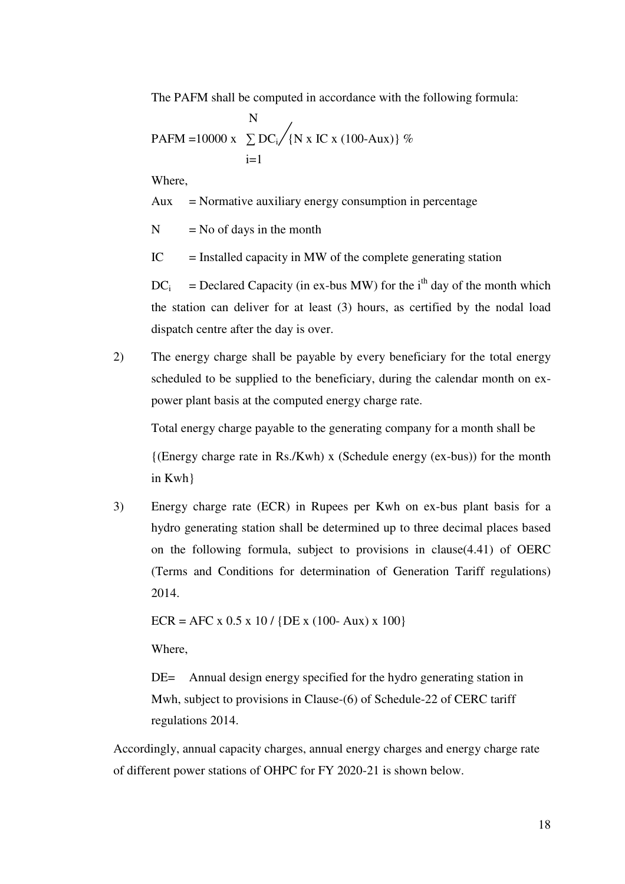The PAFM shall be computed in accordance with the following formula:

$$
N
$$
  
PAFM = 10000 x  $\sum_{i=1}^{N} DC_i / \{N \times IC \times (100-Aux)\}\%$ 

Where,

 $Aux = \text{Normative auxiliary energy consumption in percentage}$ 

 $N = No$  of days in the month

 $IC =$  Installed capacity in MW of the complete generating station

 $DC_i$  $=$  Declared Capacity (in ex-bus MW) for the i<sup>th</sup> day of the month which the station can deliver for at least (3) hours, as certified by the nodal load dispatch centre after the day is over.

2) The energy charge shall be payable by every beneficiary for the total energy scheduled to be supplied to the beneficiary, during the calendar month on expower plant basis at the computed energy charge rate.

Total energy charge payable to the generating company for a month shall be

 $({\rm Energy \, charge \, rate \, in \, Rs./Kwh}) \times (Scheduling \, energy \, (ex-bus))$  for the month in Kwh}

3) Energy charge rate (ECR) in Rupees per Kwh on ex-bus plant basis for a hydro generating station shall be determined up to three decimal places based on the following formula, subject to provisions in clause(4.41) of OERC (Terms and Conditions for determination of Generation Tariff regulations) 2014.

 $ECR = AFC \times 0.5 \times 10 / {DE \times (100 - Aux) \times 100}$ 

Where,

DE= Annual design energy specified for the hydro generating station in Mwh, subject to provisions in Clause-(6) of Schedule-22 of CERC tariff regulations 2014.

Accordingly, annual capacity charges, annual energy charges and energy charge rate of different power stations of OHPC for FY 2020-21 is shown below.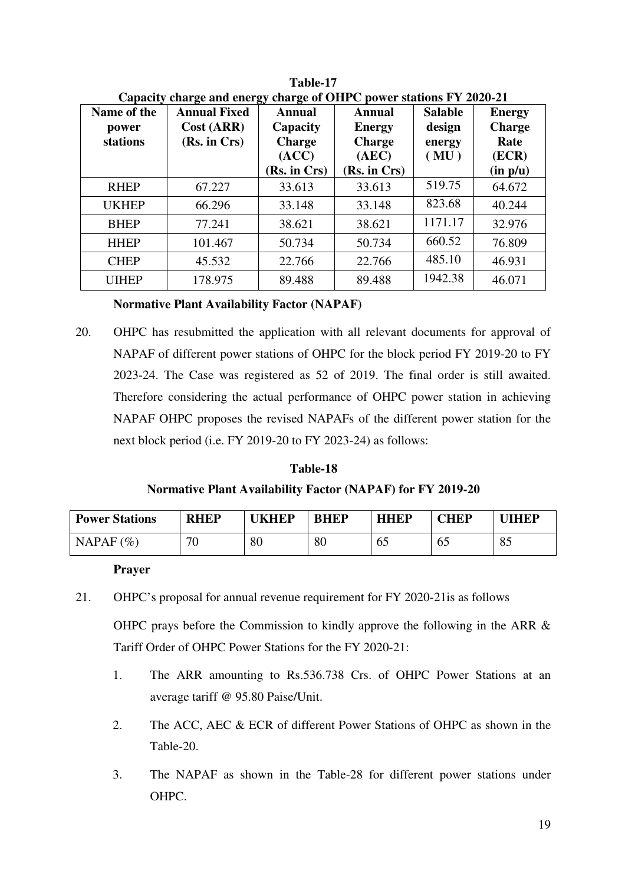| Name of the<br>power<br>stations | <b>Annual Fixed</b><br>Cost (ARR)<br>(Rs. in Crs) | Annual<br>Capacity<br><b>Charge</b><br>(ACC) | <b>Annual</b><br><b>Energy</b><br><b>Charge</b><br>(AEC) | <b>Salable</b><br>design<br>energy<br>(MU) | <b>Energy</b><br><b>Charge</b><br>Rate<br>(ECR) |
|----------------------------------|---------------------------------------------------|----------------------------------------------|----------------------------------------------------------|--------------------------------------------|-------------------------------------------------|
|                                  |                                                   | (Rs. in Crs)                                 | (Rs. in Crs)                                             |                                            | (in p/u)                                        |
| <b>RHEP</b>                      | 67.227                                            | 33.613                                       | 33.613                                                   | 519.75                                     | 64.672                                          |
| <b>UKHEP</b>                     | 66.296                                            | 33.148                                       | 33.148                                                   | 823.68                                     | 40.244                                          |
| <b>BHEP</b>                      | 77.241                                            | 38.621                                       | 38.621                                                   | 1171.17                                    | 32.976                                          |
| <b>HHEP</b>                      | 101.467                                           | 50.734                                       | 50.734                                                   | 660.52                                     | 76.809                                          |
| <b>CHEP</b>                      | 45.532                                            | 22.766                                       | 22.766                                                   | 485.10                                     | 46.931                                          |
| <b>UIHEP</b>                     | 178.975                                           | 89.488                                       | 89.488                                                   | 1942.38                                    | 46.071                                          |

**Table-17 Capacity charge and energy charge of OHPC power stations FY 2020-21** 

# **Normative Plant Availability Factor (NAPAF)**

20. OHPC has resubmitted the application with all relevant documents for approval of NAPAF of different power stations of OHPC for the block period FY 2019-20 to FY 2023-24. The Case was registered as 52 of 2019. The final order is still awaited. Therefore considering the actual performance of OHPC power station in achieving NAPAF OHPC proposes the revised NAPAFs of the different power station for the next block period (i.e. FY 2019-20 to FY 2023-24) as follows:

# **Table-18**

# **Normative Plant Availability Factor (NAPAF) for FY 2019-20**

| <b>Power Stations</b> | <b>RHEP</b> | <b>TKHEP</b> | <b>BHEP</b> | <b>HHEP</b> | $\mathbf{HEP}$ | <b>THEP</b>     |
|-----------------------|-------------|--------------|-------------|-------------|----------------|-----------------|
| NAPAF $(\% )$         | 70<br>ν     | 80           | 80          | 65          | ნა             | $Q \leq$<br>OJ. |

### **Prayer**

21. OHPC's proposal for annual revenue requirement for FY 2020-21is as follows

OHPC prays before the Commission to kindly approve the following in the ARR & Tariff Order of OHPC Power Stations for the FY 2020-21:

- 1. The ARR amounting to Rs.536.738 Crs. of OHPC Power Stations at an average tariff @ 95.80 Paise/Unit.
- 2. The ACC, AEC & ECR of different Power Stations of OHPC as shown in the Table-20.
- 3. The NAPAF as shown in the Table-28 for different power stations under OHPC.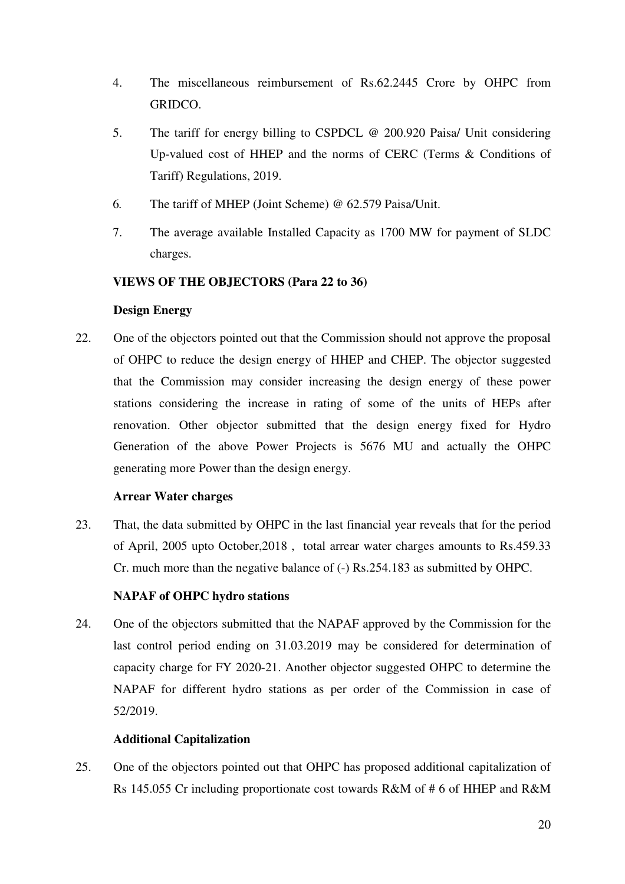- 4. The miscellaneous reimbursement of Rs.62.2445 Crore by OHPC from GRIDCO.
- 5. The tariff for energy billing to CSPDCL @ 200.920 Paisa/ Unit considering Up-valued cost of HHEP and the norms of CERC (Terms & Conditions of Tariff) Regulations, 2019.
- 6. The tariff of MHEP (Joint Scheme) @ 62.579 Paisa/Unit.
- 7. The average available Installed Capacity as 1700 MW for payment of SLDC charges.

# **VIEWS OF THE OBJECTORS (Para 22 to 36)**

# **Design Energy**

22. One of the objectors pointed out that the Commission should not approve the proposal of OHPC to reduce the design energy of HHEP and CHEP. The objector suggested that the Commission may consider increasing the design energy of these power stations considering the increase in rating of some of the units of HEPs after renovation. Other objector submitted that the design energy fixed for Hydro Generation of the above Power Projects is 5676 MU and actually the OHPC generating more Power than the design energy.

# **Arrear Water charges**

23. That, the data submitted by OHPC in the last financial year reveals that for the period of April, 2005 upto October,2018 , total arrear water charges amounts to Rs.459.33 Cr. much more than the negative balance of (-) Rs.254.183 as submitted by OHPC.

# **NAPAF of OHPC hydro stations**

24. One of the objectors submitted that the NAPAF approved by the Commission for the last control period ending on 31.03.2019 may be considered for determination of capacity charge for FY 2020-21. Another objector suggested OHPC to determine the NAPAF for different hydro stations as per order of the Commission in case of 52/2019.

# **Additional Capitalization**

25. One of the objectors pointed out that OHPC has proposed additional capitalization of Rs 145.055 Cr including proportionate cost towards R&M of # 6 of HHEP and R&M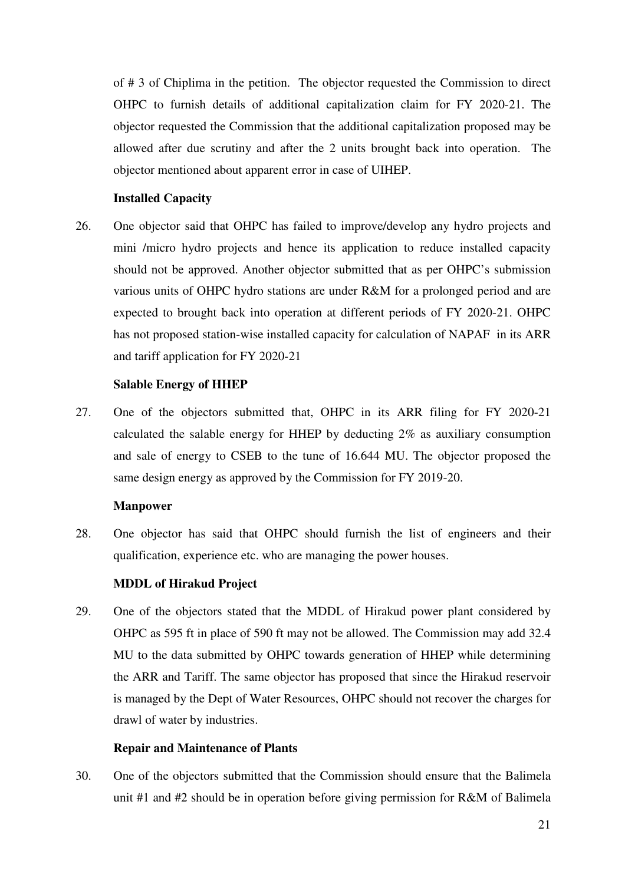of # 3 of Chiplima in the petition. The objector requested the Commission to direct OHPC to furnish details of additional capitalization claim for FY 2020-21. The objector requested the Commission that the additional capitalization proposed may be allowed after due scrutiny and after the 2 units brought back into operation. The objector mentioned about apparent error in case of UIHEP.

### **Installed Capacity**

26. One objector said that OHPC has failed to improve/develop any hydro projects and mini /micro hydro projects and hence its application to reduce installed capacity should not be approved. Another objector submitted that as per OHPC's submission various units of OHPC hydro stations are under R&M for a prolonged period and are expected to brought back into operation at different periods of FY 2020-21. OHPC has not proposed station-wise installed capacity for calculation of NAPAF in its ARR and tariff application for FY 2020-21

# **Salable Energy of HHEP**

27. One of the objectors submitted that, OHPC in its ARR filing for FY 2020-21 calculated the salable energy for HHEP by deducting 2% as auxiliary consumption and sale of energy to CSEB to the tune of 16.644 MU. The objector proposed the same design energy as approved by the Commission for FY 2019-20.

### **Manpower**

28. One objector has said that OHPC should furnish the list of engineers and their qualification, experience etc. who are managing the power houses.

# **MDDL of Hirakud Project**

29. One of the objectors stated that the MDDL of Hirakud power plant considered by OHPC as 595 ft in place of 590 ft may not be allowed. The Commission may add 32.4 MU to the data submitted by OHPC towards generation of HHEP while determining the ARR and Tariff. The same objector has proposed that since the Hirakud reservoir is managed by the Dept of Water Resources, OHPC should not recover the charges for drawl of water by industries.

### **Repair and Maintenance of Plants**

30. One of the objectors submitted that the Commission should ensure that the Balimela unit #1 and #2 should be in operation before giving permission for R&M of Balimela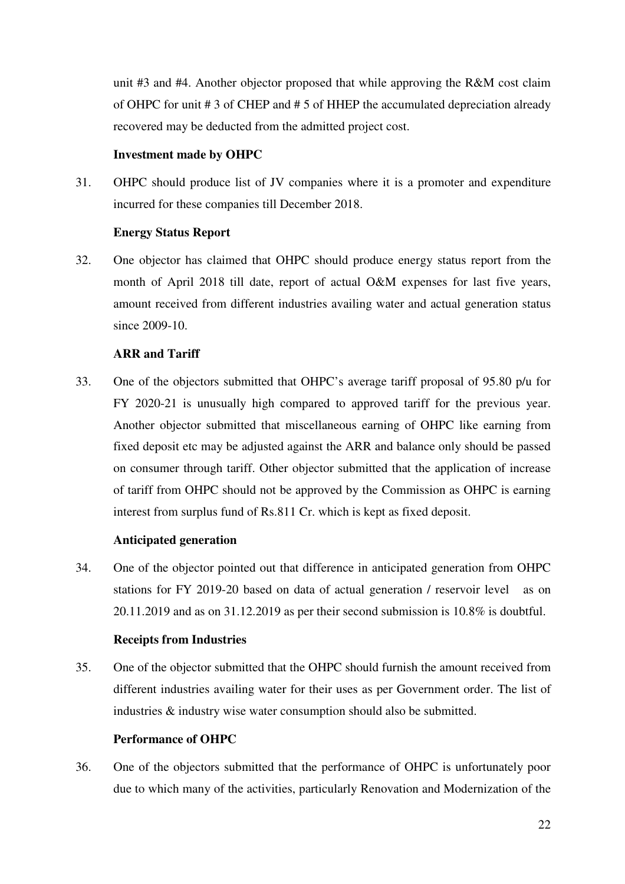unit #3 and #4. Another objector proposed that while approving the R&M cost claim of OHPC for unit # 3 of CHEP and # 5 of HHEP the accumulated depreciation already recovered may be deducted from the admitted project cost.

### **Investment made by OHPC**

31. OHPC should produce list of JV companies where it is a promoter and expenditure incurred for these companies till December 2018.

### **Energy Status Report**

32. One objector has claimed that OHPC should produce energy status report from the month of April 2018 till date, report of actual O&M expenses for last five years, amount received from different industries availing water and actual generation status since 2009-10.

# **ARR and Tariff**

33. One of the objectors submitted that OHPC's average tariff proposal of 95.80 p/u for FY 2020-21 is unusually high compared to approved tariff for the previous year. Another objector submitted that miscellaneous earning of OHPC like earning from fixed deposit etc may be adjusted against the ARR and balance only should be passed on consumer through tariff. Other objector submitted that the application of increase of tariff from OHPC should not be approved by the Commission as OHPC is earning interest from surplus fund of Rs.811 Cr. which is kept as fixed deposit.

# **Anticipated generation**

34. One of the objector pointed out that difference in anticipated generation from OHPC stations for FY 2019-20 based on data of actual generation / reservoir level as on 20.11.2019 and as on 31.12.2019 as per their second submission is 10.8% is doubtful.

### **Receipts from Industries**

35. One of the objector submitted that the OHPC should furnish the amount received from different industries availing water for their uses as per Government order. The list of industries & industry wise water consumption should also be submitted.

### **Performance of OHPC**

36. One of the objectors submitted that the performance of OHPC is unfortunately poor due to which many of the activities, particularly Renovation and Modernization of the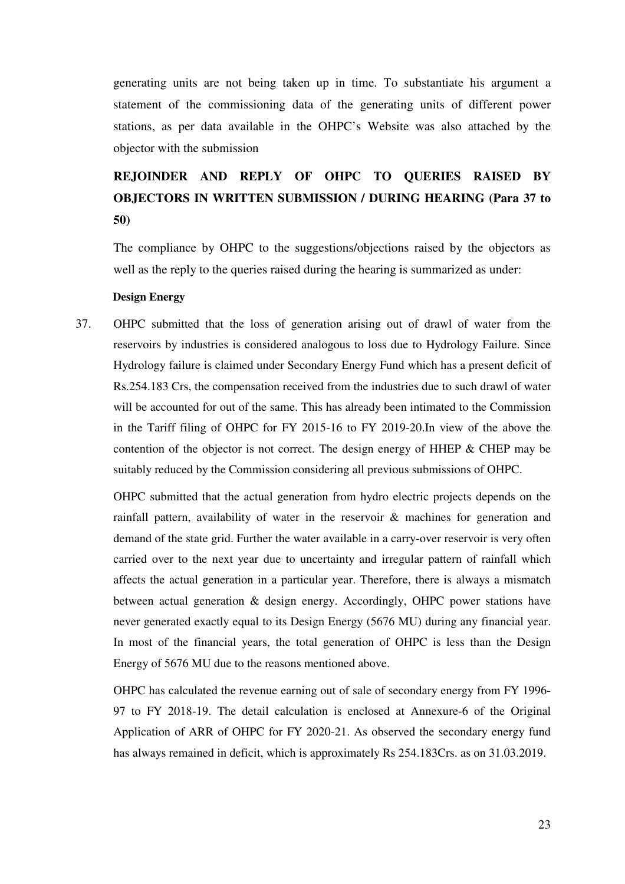generating units are not being taken up in time. To substantiate his argument a statement of the commissioning data of the generating units of different power stations, as per data available in the OHPC's Website was also attached by the objector with the submission

# **REJOINDER AND REPLY OF OHPC TO QUERIES RAISED BY OBJECTORS IN WRITTEN SUBMISSION / DURING HEARING (Para 37 to 50)**

The compliance by OHPC to the suggestions/objections raised by the objectors as well as the reply to the queries raised during the hearing is summarized as under:

#### **Design Energy**

37. OHPC submitted that the loss of generation arising out of drawl of water from the reservoirs by industries is considered analogous to loss due to Hydrology Failure. Since Hydrology failure is claimed under Secondary Energy Fund which has a present deficit of Rs.254.183 Crs, the compensation received from the industries due to such drawl of water will be accounted for out of the same. This has already been intimated to the Commission in the Tariff filing of OHPC for FY 2015-16 to FY 2019-20.In view of the above the contention of the objector is not correct. The design energy of HHEP & CHEP may be suitably reduced by the Commission considering all previous submissions of OHPC.

OHPC submitted that the actual generation from hydro electric projects depends on the rainfall pattern, availability of water in the reservoir & machines for generation and demand of the state grid. Further the water available in a carry-over reservoir is very often carried over to the next year due to uncertainty and irregular pattern of rainfall which affects the actual generation in a particular year. Therefore, there is always a mismatch between actual generation & design energy. Accordingly, OHPC power stations have never generated exactly equal to its Design Energy (5676 MU) during any financial year. In most of the financial years, the total generation of OHPC is less than the Design Energy of 5676 MU due to the reasons mentioned above.

OHPC has calculated the revenue earning out of sale of secondary energy from FY 1996- 97 to FY 2018-19. The detail calculation is enclosed at Annexure-6 of the Original Application of ARR of OHPC for FY 2020-21. As observed the secondary energy fund has always remained in deficit, which is approximately Rs 254.183Crs. as on 31.03.2019.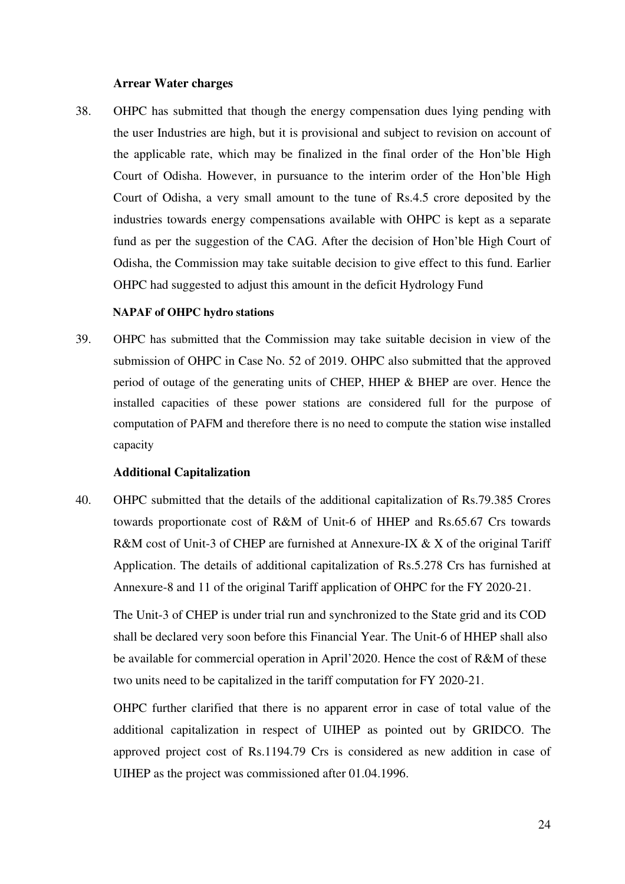#### **Arrear Water charges**

38. OHPC has submitted that though the energy compensation dues lying pending with the user Industries are high, but it is provisional and subject to revision on account of the applicable rate, which may be finalized in the final order of the Hon'ble High Court of Odisha. However, in pursuance to the interim order of the Hon'ble High Court of Odisha, a very small amount to the tune of Rs.4.5 crore deposited by the industries towards energy compensations available with OHPC is kept as a separate fund as per the suggestion of the CAG. After the decision of Hon'ble High Court of Odisha, the Commission may take suitable decision to give effect to this fund. Earlier OHPC had suggested to adjust this amount in the deficit Hydrology Fund

#### **NAPAF of OHPC hydro stations**

39. OHPC has submitted that the Commission may take suitable decision in view of the submission of OHPC in Case No. 52 of 2019. OHPC also submitted that the approved period of outage of the generating units of CHEP, HHEP & BHEP are over. Hence the installed capacities of these power stations are considered full for the purpose of computation of PAFM and therefore there is no need to compute the station wise installed capacity

#### **Additional Capitalization**

40. OHPC submitted that the details of the additional capitalization of Rs.79.385 Crores towards proportionate cost of R&M of Unit-6 of HHEP and Rs.65.67 Crs towards R&M cost of Unit-3 of CHEP are furnished at Annexure-IX & X of the original Tariff Application. The details of additional capitalization of Rs.5.278 Crs has furnished at Annexure-8 and 11 of the original Tariff application of OHPC for the FY 2020-21.

The Unit-3 of CHEP is under trial run and synchronized to the State grid and its COD shall be declared very soon before this Financial Year. The Unit-6 of HHEP shall also be available for commercial operation in April'2020. Hence the cost of R&M of these two units need to be capitalized in the tariff computation for FY 2020-21.

OHPC further clarified that there is no apparent error in case of total value of the additional capitalization in respect of UIHEP as pointed out by GRIDCO. The approved project cost of Rs.1194.79 Crs is considered as new addition in case of UIHEP as the project was commissioned after 01.04.1996.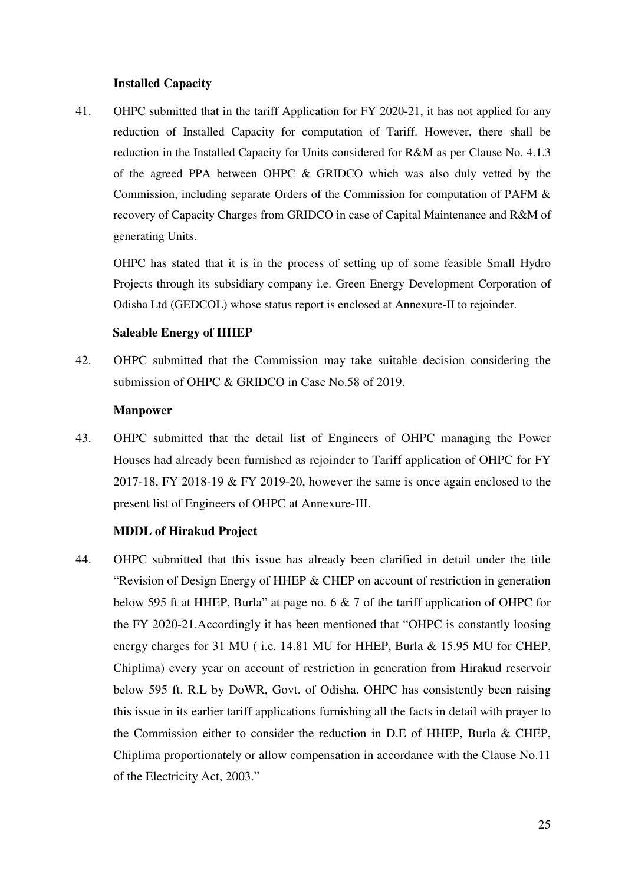#### **Installed Capacity**

41. OHPC submitted that in the tariff Application for FY 2020-21, it has not applied for any reduction of Installed Capacity for computation of Tariff. However, there shall be reduction in the Installed Capacity for Units considered for R&M as per Clause No. 4.1.3 of the agreed PPA between OHPC & GRIDCO which was also duly vetted by the Commission, including separate Orders of the Commission for computation of PAFM & recovery of Capacity Charges from GRIDCO in case of Capital Maintenance and R&M of generating Units.

OHPC has stated that it is in the process of setting up of some feasible Small Hydro Projects through its subsidiary company i.e. Green Energy Development Corporation of Odisha Ltd (GEDCOL) whose status report is enclosed at Annexure-II to rejoinder.

### **Saleable Energy of HHEP**

42. OHPC submitted that the Commission may take suitable decision considering the submission of OHPC & GRIDCO in Case No.58 of 2019.

# **Manpower**

43. OHPC submitted that the detail list of Engineers of OHPC managing the Power Houses had already been furnished as rejoinder to Tariff application of OHPC for FY 2017-18, FY 2018-19 & FY 2019-20, however the same is once again enclosed to the present list of Engineers of OHPC at Annexure-III.

### **MDDL of Hirakud Project**

44. OHPC submitted that this issue has already been clarified in detail under the title "Revision of Design Energy of HHEP & CHEP on account of restriction in generation below 595 ft at HHEP, Burla" at page no. 6 & 7 of the tariff application of OHPC for the FY 2020-21.Accordingly it has been mentioned that "OHPC is constantly loosing energy charges for 31 MU ( i.e. 14.81 MU for HHEP, Burla & 15.95 MU for CHEP, Chiplima) every year on account of restriction in generation from Hirakud reservoir below 595 ft. R.L by DoWR, Govt. of Odisha. OHPC has consistently been raising this issue in its earlier tariff applications furnishing all the facts in detail with prayer to the Commission either to consider the reduction in D.E of HHEP, Burla & CHEP, Chiplima proportionately or allow compensation in accordance with the Clause No.11 of the Electricity Act, 2003."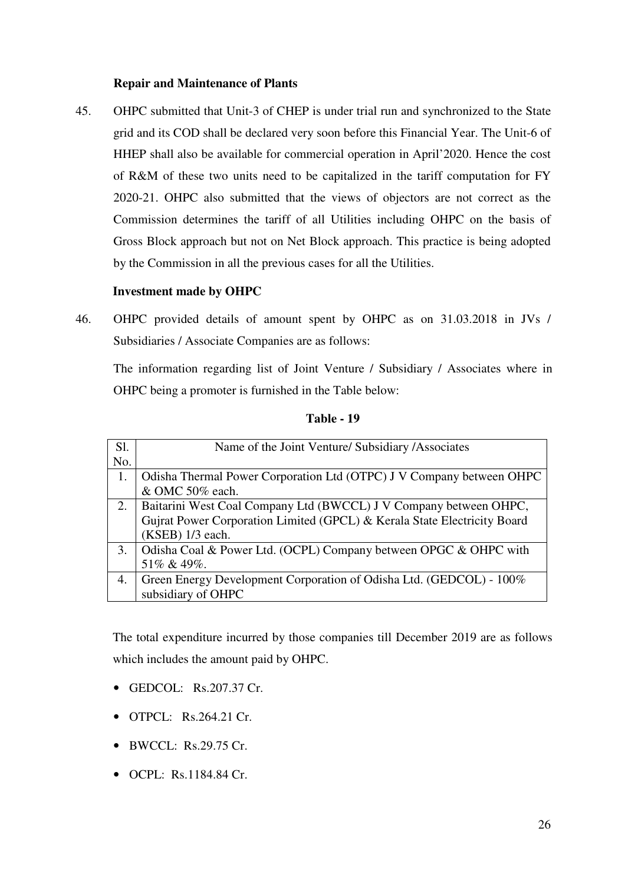### **Repair and Maintenance of Plants**

45. OHPC submitted that Unit-3 of CHEP is under trial run and synchronized to the State grid and its COD shall be declared very soon before this Financial Year. The Unit-6 of HHEP shall also be available for commercial operation in April'2020. Hence the cost of R&M of these two units need to be capitalized in the tariff computation for FY 2020-21. OHPC also submitted that the views of objectors are not correct as the Commission determines the tariff of all Utilities including OHPC on the basis of Gross Block approach but not on Net Block approach. This practice is being adopted by the Commission in all the previous cases for all the Utilities.

### **Investment made by OHPC**

46. OHPC provided details of amount spent by OHPC as on 31.03.2018 in JVs / Subsidiaries / Associate Companies are as follows:

The information regarding list of Joint Venture / Subsidiary / Associates where in OHPC being a promoter is furnished in the Table below:

| Sl. | Name of the Joint Venture/ Subsidiary / Associates                       |
|-----|--------------------------------------------------------------------------|
| No. |                                                                          |
|     | Odisha Thermal Power Corporation Ltd (OTPC) J V Company between OHPC     |
|     | & OMC 50% each.                                                          |
| 2.  | Baitarini West Coal Company Ltd (BWCCL) J V Company between OHPC,        |
|     | Gujrat Power Corporation Limited (GPCL) & Kerala State Electricity Board |
|     | (KSEB) 1/3 each.                                                         |
| 3.  | Odisha Coal & Power Ltd. (OCPL) Company between OPGC & OHPC with         |
|     | 51% & 49%.                                                               |
| 4.  | Green Energy Development Corporation of Odisha Ltd. (GEDCOL) - 100%      |
|     | subsidiary of OHPC                                                       |

 **Table - 19** 

The total expenditure incurred by those companies till December 2019 are as follows which includes the amount paid by OHPC.

- GEDCOL: Rs.207.37 Cr.
- OTPCL: Rs.264.21 Cr.
- BWCCL: Rs.29.75 Cr.
- OCPL: Rs.1184.84 Cr.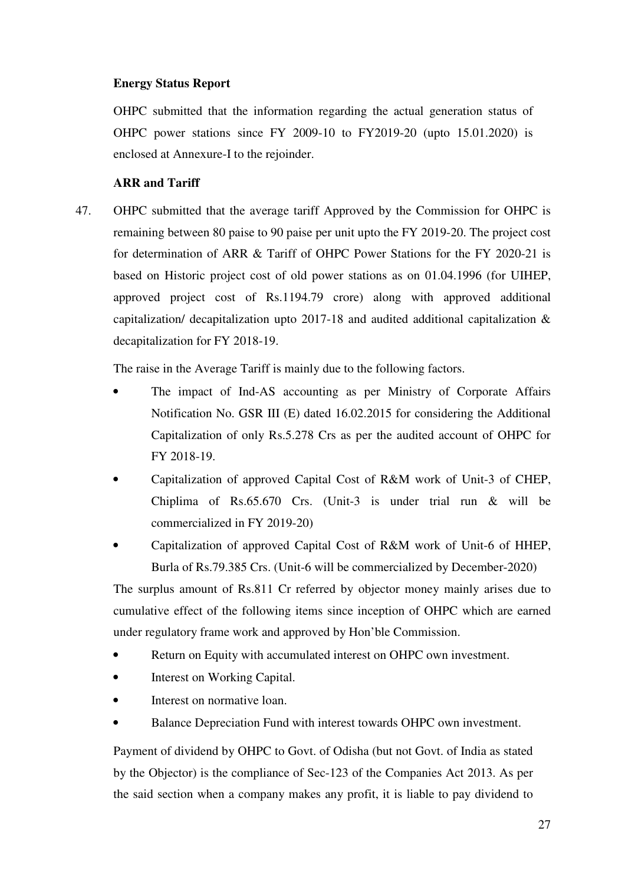# **Energy Status Report**

OHPC submitted that the information regarding the actual generation status of OHPC power stations since FY 2009-10 to FY2019-20 (upto 15.01.2020) is enclosed at Annexure-I to the rejoinder.

# **ARR and Tariff**

47. OHPC submitted that the average tariff Approved by the Commission for OHPC is remaining between 80 paise to 90 paise per unit upto the FY 2019-20. The project cost for determination of ARR & Tariff of OHPC Power Stations for the FY 2020-21 is based on Historic project cost of old power stations as on 01.04.1996 (for UIHEP, approved project cost of Rs.1194.79 crore) along with approved additional capitalization/ decapitalization upto 2017-18 and audited additional capitalization & decapitalization for FY 2018-19.

The raise in the Average Tariff is mainly due to the following factors.

- The impact of Ind-AS accounting as per Ministry of Corporate Affairs Notification No. GSR III (E) dated 16.02.2015 for considering the Additional Capitalization of only Rs.5.278 Crs as per the audited account of OHPC for FY 2018-19.
- Capitalization of approved Capital Cost of R&M work of Unit-3 of CHEP, Chiplima of Rs.65.670 Crs. (Unit-3 is under trial run & will be commercialized in FY 2019-20)
- Capitalization of approved Capital Cost of R&M work of Unit-6 of HHEP, Burla of Rs.79.385 Crs. (Unit-6 will be commercialized by December-2020)

The surplus amount of Rs.811 Cr referred by objector money mainly arises due to cumulative effect of the following items since inception of OHPC which are earned under regulatory frame work and approved by Hon'ble Commission.

- Return on Equity with accumulated interest on OHPC own investment.
- Interest on Working Capital.
- Interest on normative loan.
- Balance Depreciation Fund with interest towards OHPC own investment.

Payment of dividend by OHPC to Govt. of Odisha (but not Govt. of India as stated by the Objector) is the compliance of Sec-123 of the Companies Act 2013. As per the said section when a company makes any profit, it is liable to pay dividend to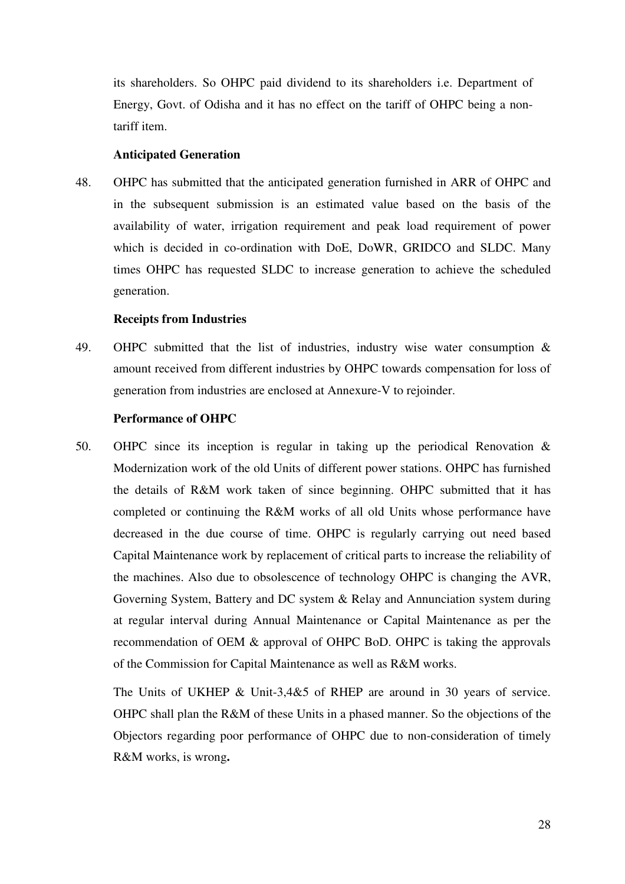its shareholders. So OHPC paid dividend to its shareholders i.e. Department of Energy, Govt. of Odisha and it has no effect on the tariff of OHPC being a nontariff item.

### **Anticipated Generation**

48. OHPC has submitted that the anticipated generation furnished in ARR of OHPC and in the subsequent submission is an estimated value based on the basis of the availability of water, irrigation requirement and peak load requirement of power which is decided in co-ordination with DoE, DoWR, GRIDCO and SLDC. Many times OHPC has requested SLDC to increase generation to achieve the scheduled generation.

#### **Receipts from Industries**

49. OHPC submitted that the list of industries, industry wise water consumption & amount received from different industries by OHPC towards compensation for loss of generation from industries are enclosed at Annexure-V to rejoinder.

#### **Performance of OHPC**

50. OHPC since its inception is regular in taking up the periodical Renovation & Modernization work of the old Units of different power stations. OHPC has furnished the details of R&M work taken of since beginning. OHPC submitted that it has completed or continuing the R&M works of all old Units whose performance have decreased in the due course of time. OHPC is regularly carrying out need based Capital Maintenance work by replacement of critical parts to increase the reliability of the machines. Also due to obsolescence of technology OHPC is changing the AVR, Governing System, Battery and DC system & Relay and Annunciation system during at regular interval during Annual Maintenance or Capital Maintenance as per the recommendation of OEM & approval of OHPC BoD. OHPC is taking the approvals of the Commission for Capital Maintenance as well as R&M works.

The Units of UKHEP & Unit-3,4&5 of RHEP are around in 30 years of service. OHPC shall plan the R&M of these Units in a phased manner. So the objections of the Objectors regarding poor performance of OHPC due to non-consideration of timely R&M works, is wrong**.**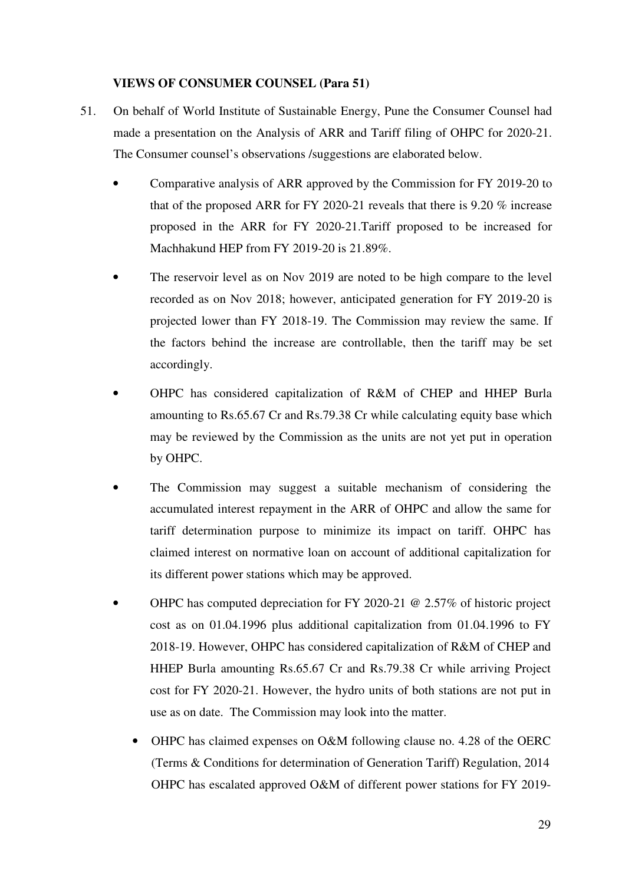### **VIEWS OF CONSUMER COUNSEL (Para 51)**

- 51. On behalf of World Institute of Sustainable Energy, Pune the Consumer Counsel had made a presentation on the Analysis of ARR and Tariff filing of OHPC for 2020-21. The Consumer counsel's observations /suggestions are elaborated below.
	- Comparative analysis of ARR approved by the Commission for FY 2019-20 to that of the proposed ARR for FY 2020-21 reveals that there is 9.20 % increase proposed in the ARR for FY 2020-21.Tariff proposed to be increased for Machhakund HEP from FY 2019-20 is 21.89%.
	- The reservoir level as on Nov 2019 are noted to be high compare to the level recorded as on Nov 2018; however, anticipated generation for FY 2019-20 is projected lower than FY 2018-19. The Commission may review the same. If the factors behind the increase are controllable, then the tariff may be set accordingly.
	- OHPC has considered capitalization of R&M of CHEP and HHEP Burla amounting to Rs.65.67 Cr and Rs.79.38 Cr while calculating equity base which may be reviewed by the Commission as the units are not yet put in operation by OHPC.
	- The Commission may suggest a suitable mechanism of considering the accumulated interest repayment in the ARR of OHPC and allow the same for tariff determination purpose to minimize its impact on tariff. OHPC has claimed interest on normative loan on account of additional capitalization for its different power stations which may be approved.
	- OHPC has computed depreciation for FY 2020-21  $\omega$  2.57% of historic project cost as on 01.04.1996 plus additional capitalization from 01.04.1996 to FY 2018-19. However, OHPC has considered capitalization of R&M of CHEP and HHEP Burla amounting Rs.65.67 Cr and Rs.79.38 Cr while arriving Project cost for FY 2020-21. However, the hydro units of both stations are not put in use as on date. The Commission may look into the matter.
		- OHPC has claimed expenses on O&M following clause no. 4.28 of the OERC (Terms & Conditions for determination of Generation Tariff) Regulation, 2014 OHPC has escalated approved O&M of different power stations for FY 2019-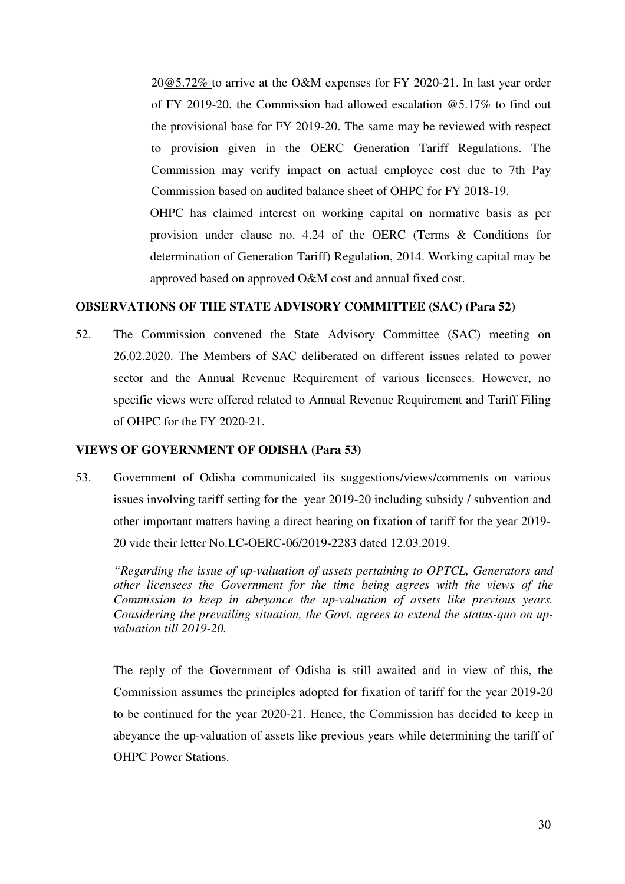20@5.72% to arrive at the O&M expenses for FY 2020-21. In last year order of FY 2019-20, the Commission had allowed escalation @5.17% to find out the provisional base for FY 2019-20. The same may be reviewed with respect to provision given in the OERC Generation Tariff Regulations. The Commission may verify impact on actual employee cost due to 7th Pay Commission based on audited balance sheet of OHPC for FY 2018-19.

OHPC has claimed interest on working capital on normative basis as per provision under clause no. 4.24 of the OERC (Terms & Conditions for determination of Generation Tariff) Regulation, 2014. Working capital may be approved based on approved O&M cost and annual fixed cost.

### **OBSERVATIONS OF THE STATE ADVISORY COMMITTEE (SAC) (Para 52)**

52. The Commission convened the State Advisory Committee (SAC) meeting on 26.02.2020. The Members of SAC deliberated on different issues related to power sector and the Annual Revenue Requirement of various licensees. However, no specific views were offered related to Annual Revenue Requirement and Tariff Filing of OHPC for the FY 2020-21.

### **VIEWS OF GOVERNMENT OF ODISHA (Para 53)**

53. Government of Odisha communicated its suggestions/views/comments on various issues involving tariff setting for the year 2019-20 including subsidy / subvention and other important matters having a direct bearing on fixation of tariff for the year 2019- 20 vide their letter No.LC-OERC-06/2019-2283 dated 12.03.2019.

*"Regarding the issue of up-valuation of assets pertaining to OPTCL, Generators and other licensees the Government for the time being agrees with the views of the Commission to keep in abeyance the up-valuation of assets like previous years. Considering the prevailing situation, the Govt. agrees to extend the status-quo on upvaluation till 2019-20.* 

The reply of the Government of Odisha is still awaited and in view of this, the Commission assumes the principles adopted for fixation of tariff for the year 2019-20 to be continued for the year 2020-21. Hence, the Commission has decided to keep in abeyance the up-valuation of assets like previous years while determining the tariff of OHPC Power Stations.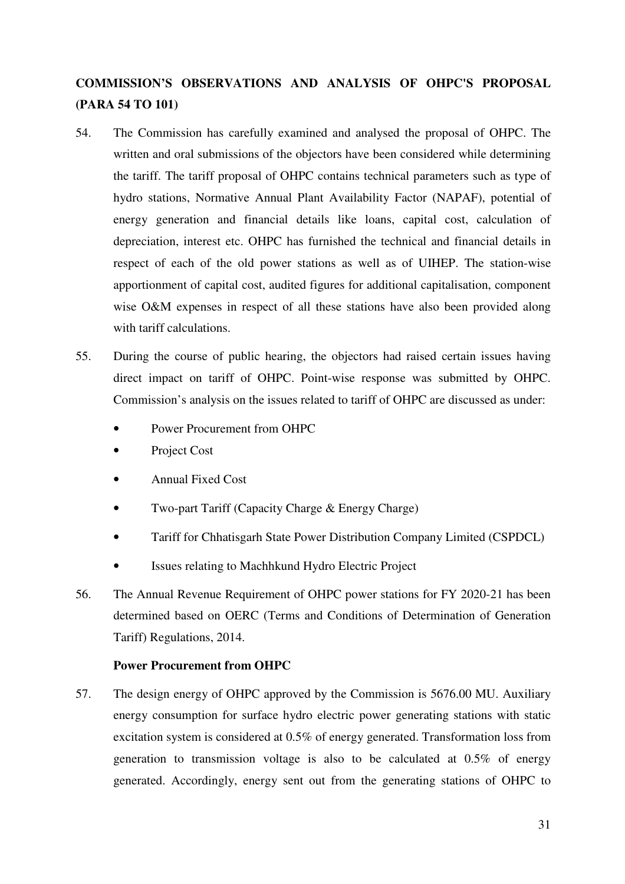# **COMMISSION'S OBSERVATIONS AND ANALYSIS OF OHPC'S PROPOSAL (PARA 54 TO 101)**

- 54. The Commission has carefully examined and analysed the proposal of OHPC. The written and oral submissions of the objectors have been considered while determining the tariff. The tariff proposal of OHPC contains technical parameters such as type of hydro stations, Normative Annual Plant Availability Factor (NAPAF), potential of energy generation and financial details like loans, capital cost, calculation of depreciation, interest etc. OHPC has furnished the technical and financial details in respect of each of the old power stations as well as of UIHEP. The station-wise apportionment of capital cost, audited figures for additional capitalisation, component wise O&M expenses in respect of all these stations have also been provided along with tariff calculations.
- 55. During the course of public hearing, the objectors had raised certain issues having direct impact on tariff of OHPC. Point-wise response was submitted by OHPC. Commission's analysis on the issues related to tariff of OHPC are discussed as under:
	- Power Procurement from OHPC
	- Project Cost
	- Annual Fixed Cost
	- Two-part Tariff (Capacity Charge & Energy Charge)
	- Tariff for Chhatisgarh State Power Distribution Company Limited (CSPDCL)
	- Issues relating to Machhkund Hydro Electric Project
- 56. The Annual Revenue Requirement of OHPC power stations for FY 2020-21 has been determined based on OERC (Terms and Conditions of Determination of Generation Tariff) Regulations, 2014.

### **Power Procurement from OHPC**

57. The design energy of OHPC approved by the Commission is 5676.00 MU. Auxiliary energy consumption for surface hydro electric power generating stations with static excitation system is considered at 0.5% of energy generated. Transformation loss from generation to transmission voltage is also to be calculated at 0.5% of energy generated. Accordingly, energy sent out from the generating stations of OHPC to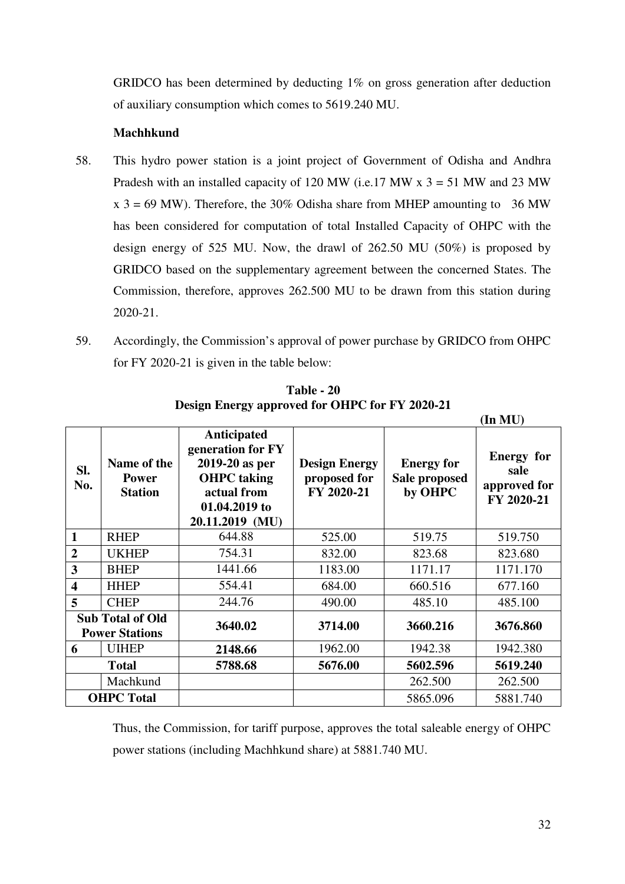GRIDCO has been determined by deducting 1% on gross generation after deduction of auxiliary consumption which comes to 5619.240 MU.

# **Machhkund**

- 58. This hydro power station is a joint project of Government of Odisha and Andhra Pradesh with an installed capacity of 120 MW (i.e. 17 MW  $x$  3 = 51 MW and 23 MW  $x$  3 = 69 MW). Therefore, the 30% Odisha share from MHEP amounting to 36 MW has been considered for computation of total Installed Capacity of OHPC with the design energy of 525 MU. Now, the drawl of 262.50 MU (50%) is proposed by GRIDCO based on the supplementary agreement between the concerned States. The Commission, therefore, approves 262.500 MU to be drawn from this station during 2020-21.
- 59. Accordingly, the Commission's approval of power purchase by GRIDCO from OHPC for FY 2020-21 is given in the table below:

|                                                  |                                               |                                                                                                                             |                                                    |                                               | (In MU)                                                 |
|--------------------------------------------------|-----------------------------------------------|-----------------------------------------------------------------------------------------------------------------------------|----------------------------------------------------|-----------------------------------------------|---------------------------------------------------------|
| SI.<br>No.                                       | Name of the<br><b>Power</b><br><b>Station</b> | Anticipated<br>generation for FY<br>2019-20 as per<br><b>OHPC</b> taking<br>actual from<br>01.04.2019 to<br>20.11.2019 (MU) | <b>Design Energy</b><br>proposed for<br>FY 2020-21 | <b>Energy for</b><br>Sale proposed<br>by OHPC | <b>Energy</b> for<br>sale<br>approved for<br>FY 2020-21 |
| $\mathbf{1}$                                     | <b>RHEP</b>                                   | 644.88                                                                                                                      | 525.00                                             | 519.75                                        | 519.750                                                 |
| $\overline{2}$                                   | <b>UKHEP</b>                                  | 754.31                                                                                                                      | 832.00                                             | 823.68                                        | 823.680                                                 |
| 3                                                | <b>BHEP</b>                                   | 1441.66                                                                                                                     | 1183.00                                            | 1171.17                                       | 1171.170                                                |
| $\overline{\mathbf{4}}$                          | <b>HHEP</b>                                   | 554.41                                                                                                                      | 684.00                                             | 660.516                                       | 677.160                                                 |
| 5                                                | <b>CHEP</b>                                   | 244.76                                                                                                                      | 490.00                                             | 485.10                                        | 485.100                                                 |
| <b>Sub Total of Old</b><br><b>Power Stations</b> |                                               | 3640.02                                                                                                                     | 3714.00                                            | 3660.216                                      | 3676.860                                                |
| 6                                                | <b>UIHEP</b>                                  | 2148.66                                                                                                                     | 1962.00                                            | 1942.38                                       | 1942.380                                                |
|                                                  | <b>Total</b>                                  | 5788.68                                                                                                                     | 5676.00                                            | 5602.596                                      | 5619.240                                                |
|                                                  | Machkund                                      |                                                                                                                             |                                                    | 262.500                                       | 262.500                                                 |
|                                                  | <b>OHPC</b> Total                             |                                                                                                                             |                                                    | 5865.096                                      | 5881.740                                                |

**Table - 20 Design Energy approved for OHPC for FY 2020-21** 

Thus, the Commission, for tariff purpose, approves the total saleable energy of OHPC power stations (including Machhkund share) at 5881.740 MU.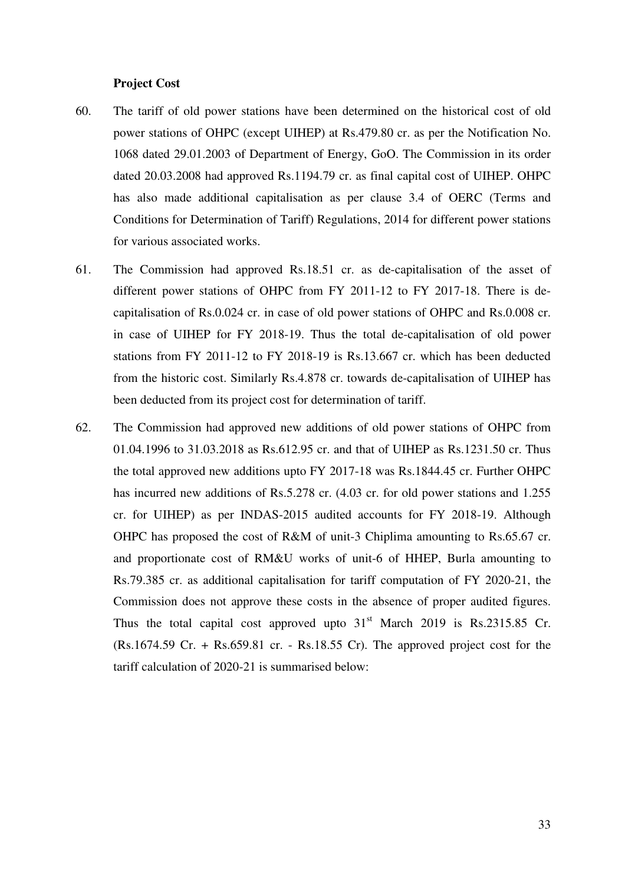#### **Project Cost**

- 60. The tariff of old power stations have been determined on the historical cost of old power stations of OHPC (except UIHEP) at Rs.479.80 cr. as per the Notification No. 1068 dated 29.01.2003 of Department of Energy, GoO. The Commission in its order dated 20.03.2008 had approved Rs.1194.79 cr. as final capital cost of UIHEP. OHPC has also made additional capitalisation as per clause 3.4 of OERC (Terms and Conditions for Determination of Tariff) Regulations, 2014 for different power stations for various associated works.
- 61. The Commission had approved Rs.18.51 cr. as de-capitalisation of the asset of different power stations of OHPC from FY 2011-12 to FY 2017-18. There is decapitalisation of Rs.0.024 cr. in case of old power stations of OHPC and Rs.0.008 cr. in case of UIHEP for FY 2018-19. Thus the total de-capitalisation of old power stations from FY 2011-12 to FY 2018-19 is Rs.13.667 cr. which has been deducted from the historic cost. Similarly Rs.4.878 cr. towards de-capitalisation of UIHEP has been deducted from its project cost for determination of tariff.
- 62. The Commission had approved new additions of old power stations of OHPC from 01.04.1996 to 31.03.2018 as Rs.612.95 cr. and that of UIHEP as Rs.1231.50 cr. Thus the total approved new additions upto FY 2017-18 was Rs.1844.45 cr. Further OHPC has incurred new additions of Rs.5.278 cr. (4.03 cr. for old power stations and 1.255 cr. for UIHEP) as per INDAS-2015 audited accounts for FY 2018-19. Although OHPC has proposed the cost of R&M of unit-3 Chiplima amounting to Rs.65.67 cr. and proportionate cost of RM&U works of unit-6 of HHEP, Burla amounting to Rs.79.385 cr. as additional capitalisation for tariff computation of FY 2020-21, the Commission does not approve these costs in the absence of proper audited figures. Thus the total capital cost approved upto  $31<sup>st</sup>$  March 2019 is Rs.2315.85 Cr. (Rs.1674.59 Cr. + Rs.659.81 cr. - Rs.18.55 Cr). The approved project cost for the tariff calculation of 2020-21 is summarised below: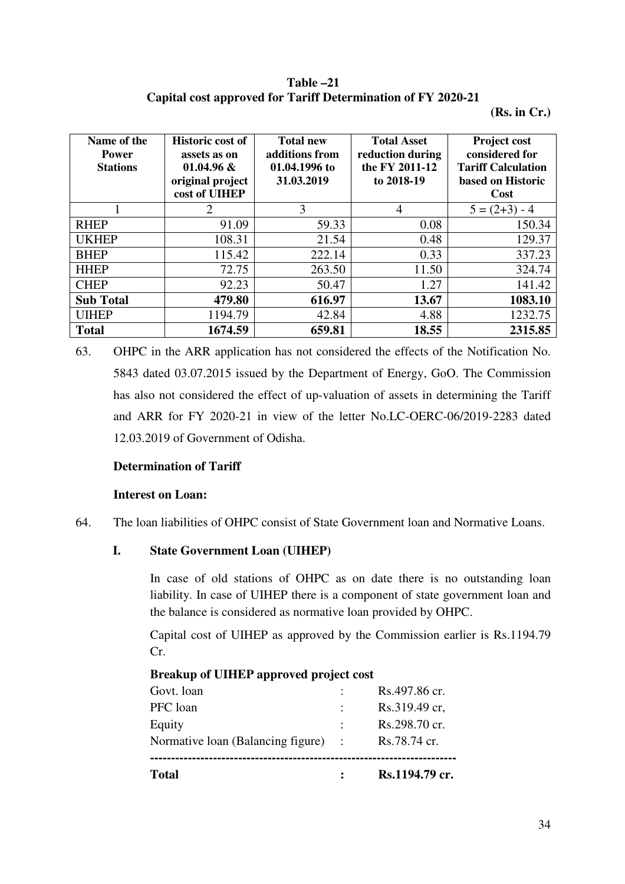**Table –21 Capital cost approved for Tariff Determination of FY 2020-21** 

**(Rs. in Cr.)** 

| Name of the<br><b>Power</b><br><b>Stations</b> | <b>Historic cost of</b><br>assets as on<br>$01.04.96 \&$<br>original project<br>cost of UIHEP | <b>Total new</b><br>additions from<br>01.04.1996 to<br>31.03.2019 | <b>Total Asset</b><br>reduction during<br>the FY 2011-12<br>to 2018-19 | <b>Project cost</b><br>considered for<br><b>Tariff Calculation</b><br>based on Historic<br>Cost |
|------------------------------------------------|-----------------------------------------------------------------------------------------------|-------------------------------------------------------------------|------------------------------------------------------------------------|-------------------------------------------------------------------------------------------------|
|                                                | 2                                                                                             | 3                                                                 | 4                                                                      | $5 = (2+3) - 4$                                                                                 |
| <b>RHEP</b>                                    | 91.09                                                                                         | 59.33                                                             | 0.08                                                                   | 150.34                                                                                          |
| <b>UKHEP</b>                                   | 108.31                                                                                        | 21.54                                                             | 0.48                                                                   | 129.37                                                                                          |
| <b>BHEP</b>                                    | 115.42                                                                                        | 222.14                                                            | 0.33                                                                   | 337.23                                                                                          |
| <b>HHEP</b>                                    | 72.75                                                                                         | 263.50                                                            | 11.50                                                                  | 324.74                                                                                          |
| <b>CHEP</b>                                    | 92.23                                                                                         | 50.47                                                             | 1.27                                                                   | 141.42                                                                                          |
| <b>Sub Total</b>                               | 479.80                                                                                        | 616.97                                                            | 13.67                                                                  | 1083.10                                                                                         |
| <b>UIHEP</b>                                   | 1194.79                                                                                       | 42.84                                                             | 4.88                                                                   | 1232.75                                                                                         |
| <b>Total</b>                                   | 1674.59                                                                                       | 659.81                                                            | 18.55                                                                  | 2315.85                                                                                         |

63. OHPC in the ARR application has not considered the effects of the Notification No. 5843 dated 03.07.2015 issued by the Department of Energy, GoO. The Commission has also not considered the effect of up-valuation of assets in determining the Tariff and ARR for FY 2020-21 in view of the letter No.LC-OERC-06/2019-2283 dated 12.03.2019 of Government of Odisha.

#### **Determination of Tariff**

### **Interest on Loan:**

64. The loan liabilities of OHPC consist of State Government loan and Normative Loans.

### **I. State Government Loan (UIHEP)**

In case of old stations of OHPC as on date there is no outstanding loan liability. In case of UIHEP there is a component of state government loan and the balance is considered as normative loan provided by OHPC.

Capital cost of UIHEP as approved by the Commission earlier is Rs.1194.79 Cr.

| <b>Total</b>                              |                | Rs.1194.79 cr. |
|-------------------------------------------|----------------|----------------|
| Normative loan (Balancing figure)         |                | Rs.78.74 cr.   |
| Equity                                    | $\ddot{\cdot}$ | Rs.298.70 cr.  |
| PFC loan                                  | $\ddot{\cdot}$ | Rs.319.49 cr,  |
| Govt. loan                                |                | Rs.497.86 cr.  |
| Dreamap of Children approved project cost |                |                |

# **Breakup of UIHEP approved project cost**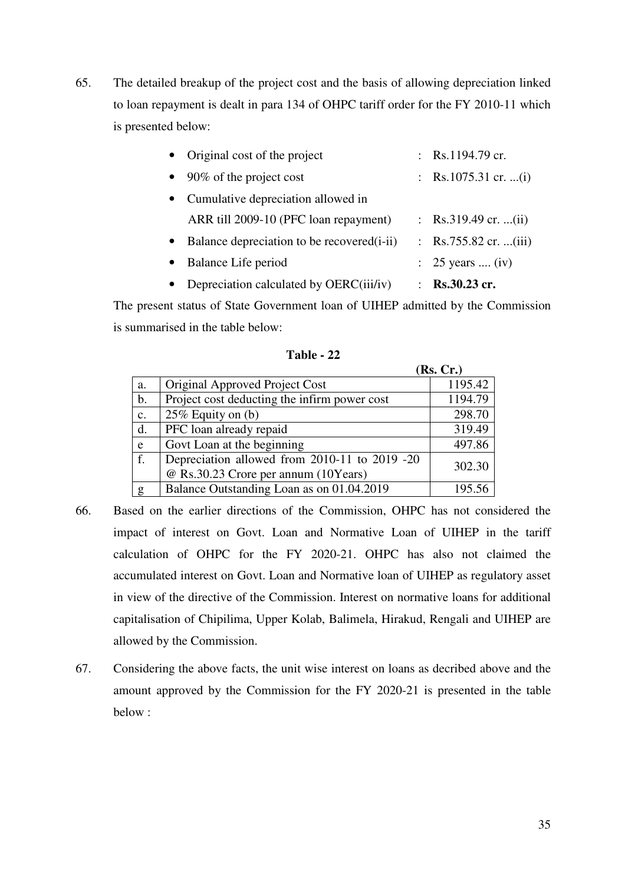65. The detailed breakup of the project cost and the basis of allowing depreciation linked to loan repayment is dealt in para 134 of OHPC tariff order for the FY 2010-11 which is presented below:

| • Original cost of the project                           | : Rs.1194.79 cr.                       |
|----------------------------------------------------------|----------------------------------------|
| 90% of the project cost<br>$\bullet$                     | : Rs.1075.31 cr. (i)                   |
| Cumulative depreciation allowed in<br>$\bullet$          |                                        |
| ARR till 2009-10 (PFC loan repayment)                    | : Rs.319.49 cr. (ii)                   |
| Balance depreciation to be recovered (i-ii)<br>$\bullet$ | : Rs.755.82 cr. (iii)                  |
| Balance Life period<br>$\bullet$                         | : $25 \text{ years} \dots \text{(iv)}$ |
| Depreciation calculated by OERC(iii/iv)<br>$\bullet$     | : Rs.30.23 cr.                         |

The present status of State Government loan of UIHEP admitted by the Commission is summarised in the table below:

|                |                                               | (Rs, Cr.) |
|----------------|-----------------------------------------------|-----------|
| a.             | Original Approved Project Cost                | 1195.42   |
| $\mathbf b$ .  | Project cost deducting the infirm power cost  | 1194.79   |
| $\mathbf{C}$ . | 25% Equity on (b)                             | 298.70    |
| d.             | PFC loan already repaid                       | 319.49    |
| e              | Govt Loan at the beginning                    | 497.86    |
| f.             | Depreciation allowed from 2010-11 to 2019 -20 | 302.30    |
|                | @ Rs.30.23 Crore per annum (10Years)          |           |
| g              | Balance Outstanding Loan as on 01.04.2019     | 195.56    |

**Table - 22**

- 66. Based on the earlier directions of the Commission, OHPC has not considered the impact of interest on Govt. Loan and Normative Loan of UIHEP in the tariff calculation of OHPC for the FY 2020-21. OHPC has also not claimed the accumulated interest on Govt. Loan and Normative loan of UIHEP as regulatory asset in view of the directive of the Commission. Interest on normative loans for additional capitalisation of Chipilima, Upper Kolab, Balimela, Hirakud, Rengali and UIHEP are allowed by the Commission.
- 67. Considering the above facts, the unit wise interest on loans as decribed above and the amount approved by the Commission for the FY 2020-21 is presented in the table below :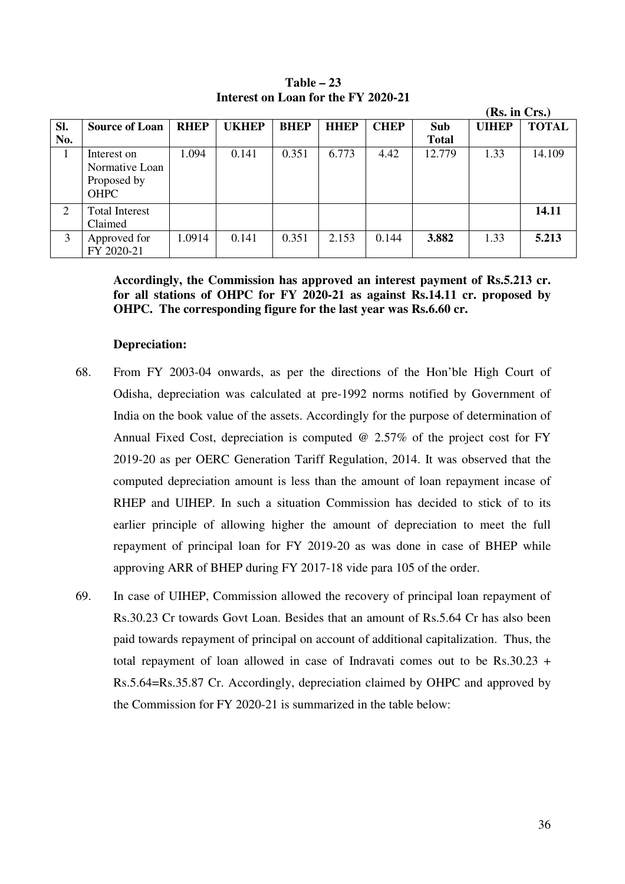|     |                                                             |             |              |             |             |             |              | (Rs. in Crs.) |              |
|-----|-------------------------------------------------------------|-------------|--------------|-------------|-------------|-------------|--------------|---------------|--------------|
| SI. | <b>Source of Loan</b>                                       | <b>RHEP</b> | <b>UKHEP</b> | <b>BHEP</b> | <b>HHEP</b> | <b>CHEP</b> | Sub          | <b>UIHEP</b>  | <b>TOTAL</b> |
| No. |                                                             |             |              |             |             |             | <b>Total</b> |               |              |
| I.  | Interest on<br>Normative Loan<br>Proposed by<br><b>OHPC</b> | 1.094       | 0.141        | 0.351       | 6.773       | 4.42        | 12.779       | 1.33          | 14.109       |
| 2   | <b>Total Interest</b><br>Claimed                            |             |              |             |             |             |              |               | 14.11        |
| 3   | Approved for<br>FY 2020-21                                  | 1.0914      | 0.141        | 0.351       | 2.153       | 0.144       | 3.882        | 1.33          | 5.213        |

**Table – 23 Interest on Loan for the FY 2020-21** 

**Accordingly, the Commission has approved an interest payment of Rs.5.213 cr. for all stations of OHPC for FY 2020-21 as against Rs.14.11 cr. proposed by OHPC. The corresponding figure for the last year was Rs.6.60 cr.** 

#### **Depreciation:**

- 68. From FY 2003-04 onwards, as per the directions of the Hon'ble High Court of Odisha, depreciation was calculated at pre-1992 norms notified by Government of India on the book value of the assets. Accordingly for the purpose of determination of Annual Fixed Cost, depreciation is computed @ 2.57% of the project cost for FY 2019-20 as per OERC Generation Tariff Regulation, 2014. It was observed that the computed depreciation amount is less than the amount of loan repayment incase of RHEP and UIHEP. In such a situation Commission has decided to stick of to its earlier principle of allowing higher the amount of depreciation to meet the full repayment of principal loan for FY 2019-20 as was done in case of BHEP while approving ARR of BHEP during FY 2017-18 vide para 105 of the order.
- 69. In case of UIHEP, Commission allowed the recovery of principal loan repayment of Rs.30.23 Cr towards Govt Loan. Besides that an amount of Rs.5.64 Cr has also been paid towards repayment of principal on account of additional capitalization. Thus, the total repayment of loan allowed in case of Indravati comes out to be Rs.30.23 + Rs.5.64=Rs.35.87 Cr. Accordingly, depreciation claimed by OHPC and approved by the Commission for FY 2020-21 is summarized in the table below: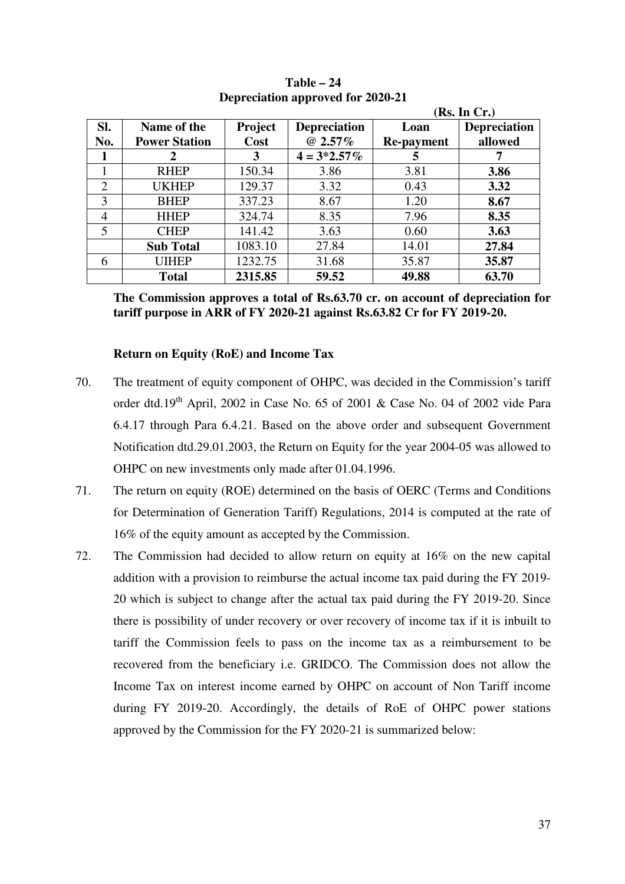|                |                      |         |                     |                   | (Rs. In Cr.)        |
|----------------|----------------------|---------|---------------------|-------------------|---------------------|
| SI.            | Name of the          | Project | <b>Depreciation</b> | Loan              | <b>Depreciation</b> |
| No.            | <b>Power Station</b> | Cost    | $@2.57\%$           | <b>Re-payment</b> | allowed             |
| 1              |                      | 3       | $4 = 3*2.57\%$      | 5                 |                     |
| 1              | <b>RHEP</b>          | 150.34  | 3.86                | 3.81              | 3.86                |
| $\overline{2}$ | <b>UKHEP</b>         | 129.37  | 3.32                | 0.43              | 3.32                |
| 3              | <b>BHEP</b>          | 337.23  | 8.67                | 1.20              | 8.67                |
| $\overline{4}$ | <b>HHEP</b>          | 324.74  | 8.35                | 7.96              | 8.35                |
| 5              | <b>CHEP</b>          | 141.42  | 3.63                | 0.60              | 3.63                |
|                | <b>Sub Total</b>     | 1083.10 | 27.84               | 14.01             | 27.84               |
| 6              | <b>UIHEP</b>         | 1232.75 | 31.68               | 35.87             | 35.87               |
|                | <b>Total</b>         | 2315.85 | 59.52               | 49.88             | 63.70               |

**Table – 24 Depreciation approved for 2020-21** 

**The Commission approves a total of Rs.63.70 cr. on account of depreciation for tariff purpose in ARR of FY 2020-21 against Rs.63.82 Cr for FY 2019-20.** 

### **Return on Equity (RoE) and Income Tax**

- 70. The treatment of equity component of OHPC, was decided in the Commission's tariff order dtd.19<sup>th</sup> April, 2002 in Case No. 65 of 2001 & Case No. 04 of 2002 vide Para 6.4.17 through Para 6.4.21. Based on the above order and subsequent Government Notification dtd.29.01.2003, the Return on Equity for the year 2004-05 was allowed to OHPC on new investments only made after 01.04.1996.
- 71. The return on equity (ROE) determined on the basis of OERC (Terms and Conditions for Determination of Generation Tariff) Regulations, 2014 is computed at the rate of 16% of the equity amount as accepted by the Commission.
- 72. The Commission had decided to allow return on equity at 16% on the new capital addition with a provision to reimburse the actual income tax paid during the FY 2019- 20 which is subject to change after the actual tax paid during the FY 2019-20. Since there is possibility of under recovery or over recovery of income tax if it is inbuilt to tariff the Commission feels to pass on the income tax as a reimbursement to be recovered from the beneficiary i.e. GRIDCO. The Commission does not allow the Income Tax on interest income earned by OHPC on account of Non Tariff income during FY 2019-20. Accordingly, the details of RoE of OHPC power stations approved by the Commission for the FY 2020-21 is summarized below: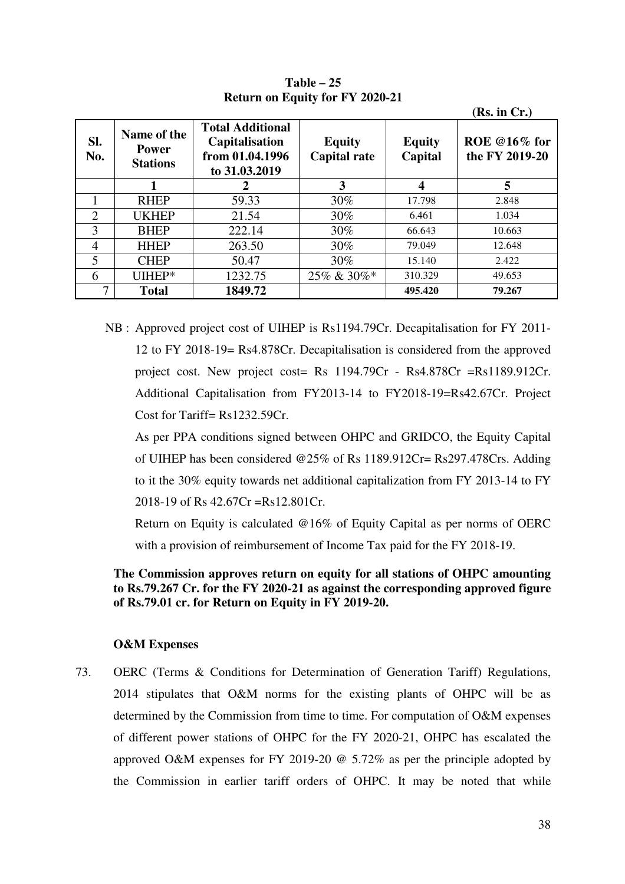|                             |                                                |                                                                               |                                      |                          | (Rs. in Cr.)                   |
|-----------------------------|------------------------------------------------|-------------------------------------------------------------------------------|--------------------------------------|--------------------------|--------------------------------|
| Sl.<br>No.                  | Name of the<br><b>Power</b><br><b>Stations</b> | <b>Total Additional</b><br>Capitalisation<br>from 01.04.1996<br>to 31.03.2019 | <b>Equity</b><br><b>Capital rate</b> | <b>Equity</b><br>Capital | ROE @16% for<br>the FY 2019-20 |
|                             |                                                | 2                                                                             | 3                                    | 4                        | 5                              |
|                             | <b>RHEP</b>                                    | 59.33                                                                         | 30%                                  | 17.798                   | 2.848                          |
| $\mathcal{D}_{\mathcal{L}}$ | <b>UKHEP</b>                                   | 21.54                                                                         | 30%                                  | 6.461                    | 1.034                          |
| 3                           | <b>BHEP</b>                                    | 222.14                                                                        | $30\%$                               | 66.643                   | 10.663                         |
| 4                           | <b>HHEP</b>                                    | 263.50                                                                        | 30%                                  | 79.049                   | 12.648                         |
| 5                           | <b>CHEP</b>                                    | 50.47                                                                         | 30%                                  | 15.140                   | 2.422                          |
| 6                           | UIHEP*                                         | 1232.75                                                                       | 25% & 30%*                           | 310.329                  | 49.653                         |
| 7                           | <b>Total</b>                                   | 1849.72                                                                       |                                      | 495.420                  | 79.267                         |

**Table – 25 Return on Equity for FY 2020-21** 

 NB : Approved project cost of UIHEP is Rs1194.79Cr. Decapitalisation for FY 2011- 12 to FY 2018-19= Rs4.878Cr. Decapitalisation is considered from the approved project cost. New project cost= Rs 1194.79Cr - Rs4.878Cr =Rs1189.912Cr. Additional Capitalisation from FY2013-14 to FY2018-19=Rs42.67Cr. Project Cost for Tariff= Rs1232.59Cr.

 As per PPA conditions signed between OHPC and GRIDCO, the Equity Capital of UIHEP has been considered @25% of Rs 1189.912Cr= Rs297.478Crs. Adding to it the 30% equity towards net additional capitalization from FY 2013-14 to FY 2018-19 of Rs 42.67Cr =Rs12.801Cr.

 Return on Equity is calculated @16% of Equity Capital as per norms of OERC with a provision of reimbursement of Income Tax paid for the FY 2018-19.

# **The Commission approves return on equity for all stations of OHPC amounting to Rs.79.267 Cr. for the FY 2020-21 as against the corresponding approved figure of Rs.79.01 cr. for Return on Equity in FY 2019-20.**

### **O&M Expenses**

73. OERC (Terms & Conditions for Determination of Generation Tariff) Regulations, 2014 stipulates that O&M norms for the existing plants of OHPC will be as determined by the Commission from time to time. For computation of O&M expenses of different power stations of OHPC for the FY 2020-21, OHPC has escalated the approved O&M expenses for FY 2019-20 @ 5.72% as per the principle adopted by the Commission in earlier tariff orders of OHPC. It may be noted that while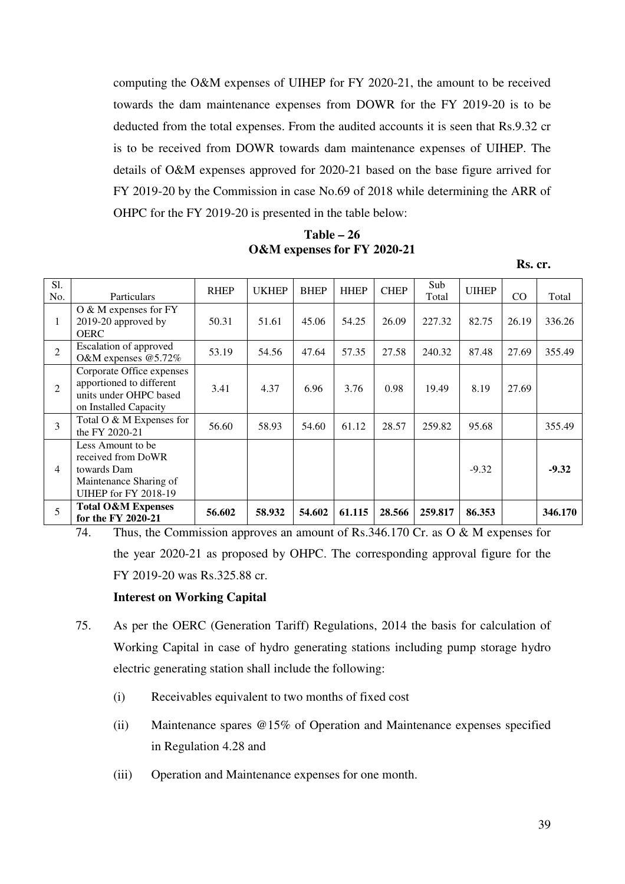computing the O&M expenses of UIHEP for FY 2020-21, the amount to be received towards the dam maintenance expenses from DOWR for the FY 2019-20 is to be deducted from the total expenses. From the audited accounts it is seen that Rs.9.32 cr is to be received from DOWR towards dam maintenance expenses of UIHEP. The details of O&M expenses approved for 2020-21 based on the base figure arrived for FY 2019-20 by the Commission in case No.69 of 2018 while determining the ARR of OHPC for the FY 2019-20 is presented in the table below:

**Table – 26 O&M expenses for FY 2020-21** 

**Rs. cr.** 

| S1.<br>No.     | Particulars                                                                                                      | <b>RHEP</b> | <b>UKHEP</b> | <b>BHEP</b> | <b>HHEP</b> | <b>CHEP</b> | Sub<br>Total | <b>UIHEP</b> | CO    | Total   |
|----------------|------------------------------------------------------------------------------------------------------------------|-------------|--------------|-------------|-------------|-------------|--------------|--------------|-------|---------|
| 1              | $\overline{O}$ & M expenses for FY<br>2019-20 approved by<br><b>OERC</b>                                         | 50.31       | 51.61        | 45.06       | 54.25       | 26.09       | 227.32       | 82.75        | 26.19 | 336.26  |
| $\mathcal{L}$  | Escalation of approved<br>O&M expenses @5.72%                                                                    | 53.19       | 54.56        | 47.64       | 57.35       | 27.58       | 240.32       | 87.48        | 27.69 | 355.49  |
| $\mathfrak{D}$ | Corporate Office expenses<br>apportioned to different<br>units under OHPC based<br>on Installed Capacity         | 3.41        | 4.37         | 6.96        | 3.76        | 0.98        | 19.49        | 8.19         | 27.69 |         |
| 3              | Total O & M Expenses for<br>the FY 2020-21                                                                       | 56.60       | 58.93        | 54.60       | 61.12       | 28.57       | 259.82       | 95.68        |       | 355.49  |
| 4              | Less Amount to be.<br>received from DoWR<br>towards Dam<br>Maintenance Sharing of<br><b>UIHEP for FY 2018-19</b> |             |              |             |             |             |              | $-9.32$      |       | $-9.32$ |
| 5              | <b>Total O&amp;M Expenses</b><br>for the FY 2020-21                                                              | 56.602      | 58.932       | 54.602      | 61.115      | 28.566      | 259.817      | 86.353       |       | 346.170 |

74. Thus, the Commission approves an amount of Rs.346.170 Cr. as O & M expenses for the year 2020-21 as proposed by OHPC. The corresponding approval figure for the FY 2019-20 was Rs.325.88 cr.

#### **Interest on Working Capital**

- 75. As per the OERC (Generation Tariff) Regulations, 2014 the basis for calculation of Working Capital in case of hydro generating stations including pump storage hydro electric generating station shall include the following:
	- (i) Receivables equivalent to two months of fixed cost
	- (ii) Maintenance spares @15% of Operation and Maintenance expenses specified in Regulation 4.28 and
	- (iii) Operation and Maintenance expenses for one month.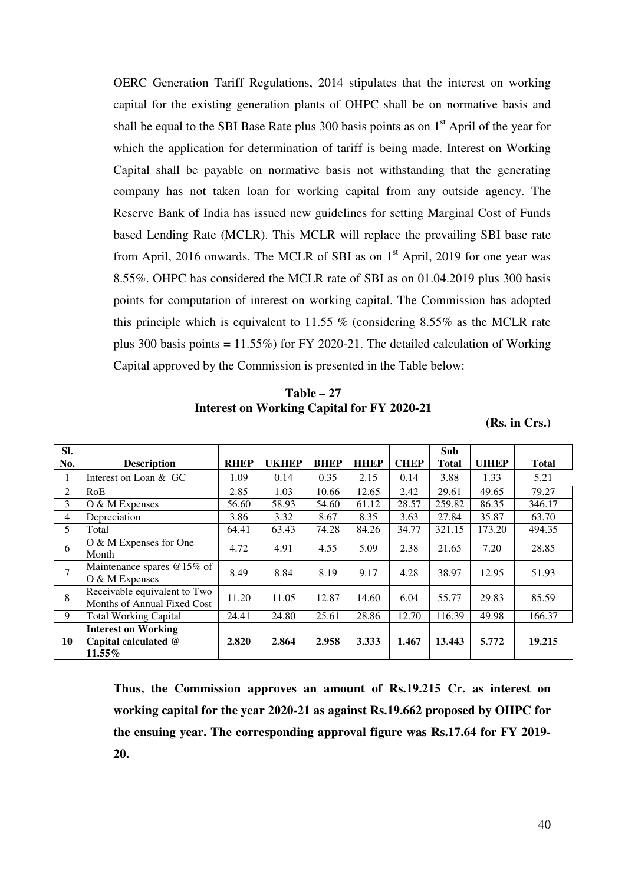OERC Generation Tariff Regulations, 2014 stipulates that the interest on working capital for the existing generation plants of OHPC shall be on normative basis and shall be equal to the SBI Base Rate plus 300 basis points as on  $1<sup>st</sup>$  April of the year for which the application for determination of tariff is being made. Interest on Working Capital shall be payable on normative basis not withstanding that the generating company has not taken loan for working capital from any outside agency. The Reserve Bank of India has issued new guidelines for setting Marginal Cost of Funds based Lending Rate (MCLR). This MCLR will replace the prevailing SBI base rate from April, 2016 onwards. The MCLR of SBI as on  $1<sup>st</sup>$  April, 2019 for one year was 8.55%. OHPC has considered the MCLR rate of SBI as on 01.04.2019 plus 300 basis points for computation of interest on working capital. The Commission has adopted this principle which is equivalent to 11.55 % (considering 8.55% as the MCLR rate plus 300 basis points  $= 11.55\%$ ) for FY 2020-21. The detailed calculation of Working Capital approved by the Commission is presented in the Table below:

**Table – 27 Interest on Working Capital for FY 2020-21** 

**(Rs. in Crs.)** 

| SI. |                                                                 |             |              |             |             |             | <b>Sub</b> |              |              |
|-----|-----------------------------------------------------------------|-------------|--------------|-------------|-------------|-------------|------------|--------------|--------------|
| No. | <b>Description</b>                                              | <b>RHEP</b> | <b>UKHEP</b> | <b>BHEP</b> | <b>HHEP</b> | <b>CHEP</b> | Total      | <b>UIHEP</b> | <b>Total</b> |
| 1   | Interest on Loan & GC                                           | 1.09        | 0.14         | 0.35        | 2.15        | 0.14        | 3.88       | 1.33         | 5.21         |
| 2   | RoE                                                             | 2.85        | 1.03         | 10.66       | 12.65       | 2.42        | 29.61      | 49.65        | 79.27        |
| 3   | O & M Expenses                                                  | 56.60       | 58.93        | 54.60       | 61.12       | 28.57       | 259.82     | 86.35        | 346.17       |
| 4   | Depreciation                                                    | 3.86        | 3.32         | 8.67        | 8.35        | 3.63        | 27.84      | 35.87        | 63.70        |
| 5   | Total                                                           | 64.41       | 63.43        | 74.28       | 84.26       | 34.77       | 321.15     | 173.20       | 494.35       |
| 6   | O & M Expenses for One<br>Month                                 | 4.72        | 4.91         | 4.55        | 5.09        | 2.38        | 21.65      | 7.20         | 28.85        |
| 7   | Maintenance spares @15% of<br>O & M Expenses                    | 8.49        | 8.84         | 8.19        | 9.17        | 4.28        | 38.97      | 12.95        | 51.93        |
| 8   | Receivable equivalent to Two<br>Months of Annual Fixed Cost     | 11.20       | 11.05        | 12.87       | 14.60       | 6.04        | 55.77      | 29.83        | 85.59        |
| 9   | <b>Total Working Capital</b>                                    | 24.41       | 24.80        | 25.61       | 28.86       | 12.70       | 116.39     | 49.98        | 166.37       |
| 10  | <b>Interest on Working</b><br>Capital calculated @<br>$11.55\%$ | 2.820       | 2.864        | 2.958       | 3.333       | 1.467       | 13.443     | 5.772        | 19.215       |

**Thus, the Commission approves an amount of Rs.19.215 Cr. as interest on working capital for the year 2020-21 as against Rs.19.662 proposed by OHPC for the ensuing year. The corresponding approval figure was Rs.17.64 for FY 2019- 20.**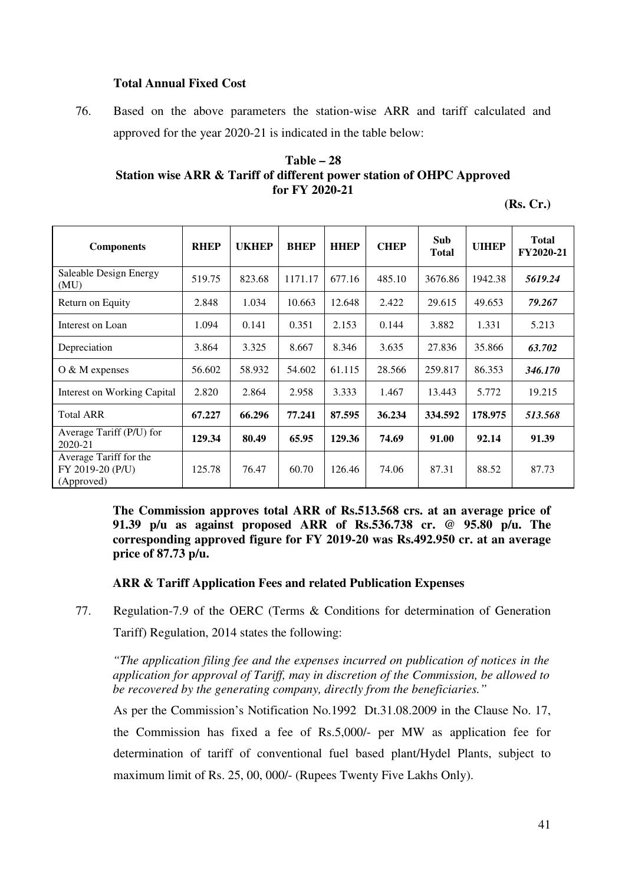# **Total Annual Fixed Cost**

76. Based on the above parameters the station-wise ARR and tariff calculated and approved for the year 2020-21 is indicated in the table below:

### **Table – 28 Station wise ARR & Tariff of different power station of OHPC Approved for FY 2020-21**

| K<br>$\mathbf{\mathcal{L}}$<br>88. |  |
|------------------------------------|--|
|------------------------------------|--|

| <b>Components</b>                                        | <b>RHEP</b> | <b>UKHEP</b> | <b>BHEP</b> | <b>HHEP</b> | <b>CHEP</b> | Sub<br><b>Total</b> | <b>UIHEP</b> | <b>Total</b><br>FY2020-21 |
|----------------------------------------------------------|-------------|--------------|-------------|-------------|-------------|---------------------|--------------|---------------------------|
| Saleable Design Energy<br>(MU)                           | 519.75      | 823.68       | 1171.17     | 677.16      | 485.10      | 3676.86             | 1942.38      | 5619.24                   |
| Return on Equity                                         | 2.848       | 1.034        | 10.663      | 12.648      | 2.422       | 29.615              | 49.653       | 79.267                    |
| Interest on Loan                                         | 1.094       | 0.141        | 0.351       | 2.153       | 0.144       | 3.882               | 1.331        | 5.213                     |
| Depreciation                                             | 3.864       | 3.325        | 8.667       | 8.346       | 3.635       | 27.836              | 35.866       | 63.702                    |
| $O & M$ expenses                                         | 56.602      | 58.932       | 54.602      | 61.115      | 28.566      | 259.817             | 86.353       | 346.170                   |
| Interest on Working Capital                              | 2.820       | 2.864        | 2.958       | 3.333       | 1.467       | 13.443              | 5.772        | 19.215                    |
| <b>Total ARR</b>                                         | 67.227      | 66.296       | 77.241      | 87.595      | 36.234      | 334.592             | 178.975      | 513.568                   |
| Average Tariff (P/U) for<br>$2020 - 21$                  | 129.34      | 80.49        | 65.95       | 129.36      | 74.69       | 91.00               | 92.14        | 91.39                     |
| Average Tariff for the<br>FY 2019-20 (P/U)<br>(Approved) | 125.78      | 76.47        | 60.70       | 126.46      | 74.06       | 87.31               | 88.52        | 87.73                     |

**The Commission approves total ARR of Rs.513.568 crs. at an average price of 91.39 p/u as against proposed ARR of Rs.536.738 cr. @ 95.80 p/u. The corresponding approved figure for FY 2019-20 was Rs.492.950 cr. at an average price of 87.73 p/u.** 

#### **ARR & Tariff Application Fees and related Publication Expenses**

77. Regulation-7.9 of the OERC (Terms & Conditions for determination of Generation

Tariff) Regulation, 2014 states the following:

*"The application filing fee and the expenses incurred on publication of notices in the application for approval of Tariff, may in discretion of the Commission, be allowed to be recovered by the generating company, directly from the beneficiaries."* 

As per the Commission's Notification No.1992 Dt.31.08.2009 in the Clause No. 17, the Commission has fixed a fee of Rs.5,000/- per MW as application fee for determination of tariff of conventional fuel based plant/Hydel Plants, subject to maximum limit of Rs. 25, 00, 000/- (Rupees Twenty Five Lakhs Only).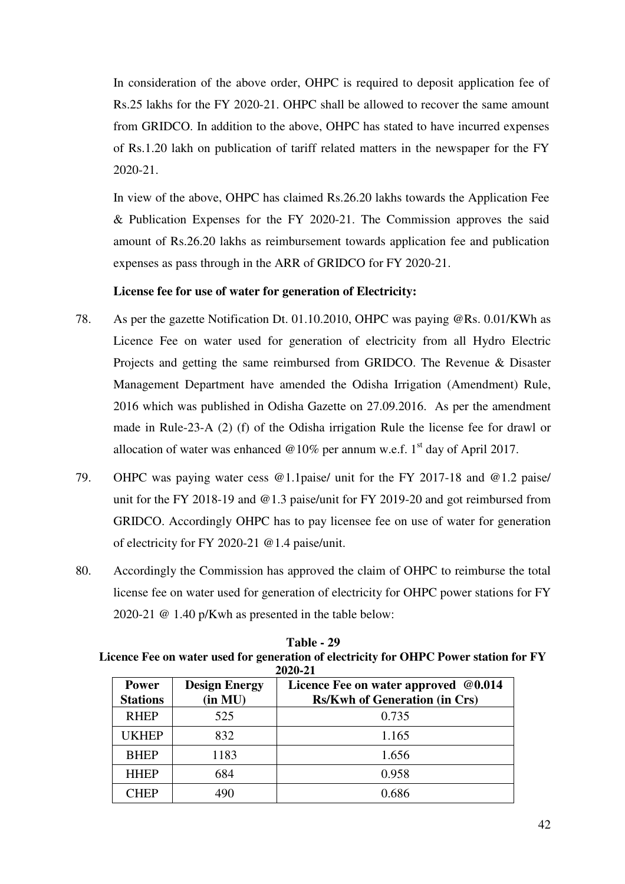In consideration of the above order, OHPC is required to deposit application fee of Rs.25 lakhs for the FY 2020-21. OHPC shall be allowed to recover the same amount from GRIDCO. In addition to the above, OHPC has stated to have incurred expenses of Rs.1.20 lakh on publication of tariff related matters in the newspaper for the FY 2020-21.

In view of the above, OHPC has claimed Rs.26.20 lakhs towards the Application Fee & Publication Expenses for the FY 2020-21. The Commission approves the said amount of Rs.26.20 lakhs as reimbursement towards application fee and publication expenses as pass through in the ARR of GRIDCO for FY 2020-21.

### **License fee for use of water for generation of Electricity:**

- 78. As per the gazette Notification Dt. 01.10.2010, OHPC was paying @Rs. 0.01/KWh as Licence Fee on water used for generation of electricity from all Hydro Electric Projects and getting the same reimbursed from GRIDCO. The Revenue & Disaster Management Department have amended the Odisha Irrigation (Amendment) Rule, 2016 which was published in Odisha Gazette on 27.09.2016. As per the amendment made in Rule-23-A (2) (f) of the Odisha irrigation Rule the license fee for drawl or allocation of water was enhanced  $@10\%$  per annum w.e.f. 1<sup>st</sup> day of April 2017.
- 79. OHPC was paying water cess @1.1paise/ unit for the FY 2017-18 and @1.2 paise/ unit for the FY 2018-19 and @1.3 paise/unit for FY 2019-20 and got reimbursed from GRIDCO. Accordingly OHPC has to pay licensee fee on use of water for generation of electricity for FY 2020-21 @1.4 paise/unit.
- 80. Accordingly the Commission has approved the claim of OHPC to reimburse the total license fee on water used for generation of electricity for OHPC power stations for FY 2020-21 @ 1.40 p/Kwh as presented in the table below:

**Table 1 29** 

|                                 | 2020-21                         |                                                                              |  |  |  |  |  |  |
|---------------------------------|---------------------------------|------------------------------------------------------------------------------|--|--|--|--|--|--|
| <b>Power</b><br><b>Stations</b> | <b>Design Energy</b><br>(in MU) | Licence Fee on water approved @0.014<br><b>Rs/Kwh of Generation (in Crs)</b> |  |  |  |  |  |  |
| <b>RHEP</b>                     | 525                             | 0.735                                                                        |  |  |  |  |  |  |
| <b>UKHEP</b>                    | 832                             | 1.165                                                                        |  |  |  |  |  |  |
| <b>BHEP</b>                     | 1183                            | 1.656                                                                        |  |  |  |  |  |  |
| <b>HHEP</b>                     | 684                             | 0.958                                                                        |  |  |  |  |  |  |
| CHEP                            | 490                             | 0.686                                                                        |  |  |  |  |  |  |

| Table - 29                                                                            |
|---------------------------------------------------------------------------------------|
| Licence Fee on water used for generation of electricity for OHPC Power station for FY |
| 2020-21                                                                               |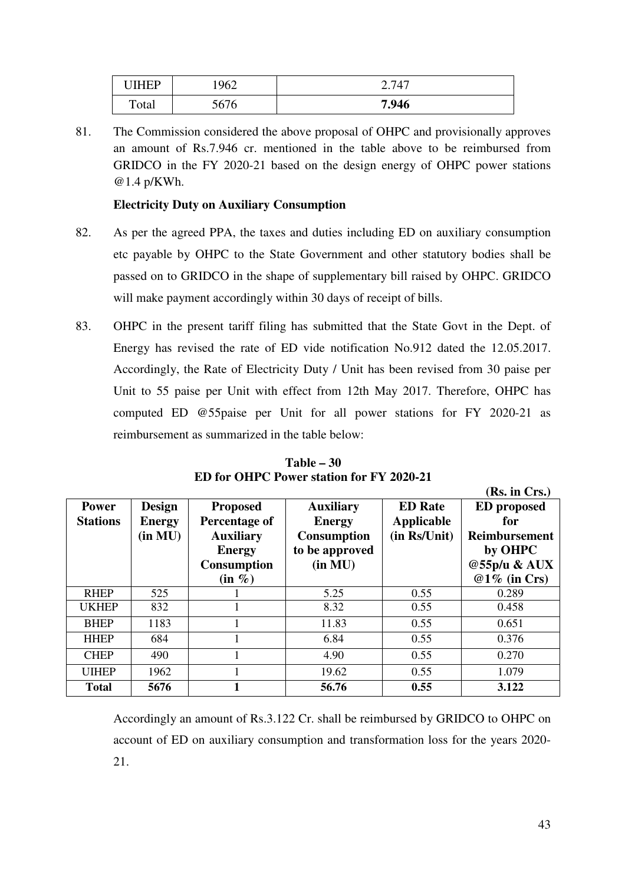| <b>IIHED</b> | 962                | 747   |
|--------------|--------------------|-------|
| Total        | F/H<br>Ð<br>JU / U | 7.946 |

81. The Commission considered the above proposal of OHPC and provisionally approves an amount of Rs.7.946 cr. mentioned in the table above to be reimbursed from GRIDCO in the FY 2020-21 based on the design energy of OHPC power stations @1.4 p/KWh.

# **Electricity Duty on Auxiliary Consumption**

- 82. As per the agreed PPA, the taxes and duties including ED on auxiliary consumption etc payable by OHPC to the State Government and other statutory bodies shall be passed on to GRIDCO in the shape of supplementary bill raised by OHPC. GRIDCO will make payment accordingly within 30 days of receipt of bills.
- 83. OHPC in the present tariff filing has submitted that the State Govt in the Dept. of Energy has revised the rate of ED vide notification No.912 dated the 12.05.2017. Accordingly, the Rate of Electricity Duty / Unit has been revised from 30 paise per Unit to 55 paise per Unit with effect from 12th May 2017. Therefore, OHPC has computed ED @55paise per Unit for all power stations for FY 2020-21 as reimbursement as summarized in the table below:

|                 |               |                    |                    |                   | (Rs. in Crs.)        |
|-----------------|---------------|--------------------|--------------------|-------------------|----------------------|
| <b>Power</b>    | <b>Design</b> | <b>Proposed</b>    | <b>Auxiliary</b>   | <b>ED</b> Rate    | <b>ED</b> proposed   |
| <b>Stations</b> | <b>Energy</b> | Percentage of      | <b>Energy</b>      | <b>Applicable</b> | for                  |
|                 | (in MU)       | <b>Auxiliary</b>   | <b>Consumption</b> | (in Rs/Unit)      | <b>Reimbursement</b> |
|                 |               | <b>Energy</b>      | to be approved     |                   | by OHPC              |
|                 |               | <b>Consumption</b> | (in MU)            |                   | @55p/u & AUX         |
|                 |               | $(in \%)$          |                    |                   | $@1\%$ (in Crs)      |
| <b>RHEP</b>     | 525           |                    | 5.25               | 0.55              | 0.289                |
| <b>UKHEP</b>    | 832           |                    | 8.32               | 0.55              | 0.458                |
| <b>BHEP</b>     | 1183          |                    | 11.83              | 0.55              | 0.651                |
| <b>HHEP</b>     | 684           |                    | 6.84               | 0.55              | 0.376                |
| <b>CHEP</b>     | 490           |                    | 4.90               | 0.55              | 0.270                |
| <b>UIHEP</b>    | 1962          |                    | 19.62              | 0.55              | 1.079                |
| <b>Total</b>    | 5676          |                    | 56.76              | 0.55              | 3.122                |

**Table – 30 ED for OHPC Power station for FY 2020-21** 

Accordingly an amount of Rs.3.122 Cr. shall be reimbursed by GRIDCO to OHPC on account of ED on auxiliary consumption and transformation loss for the years 2020- 21.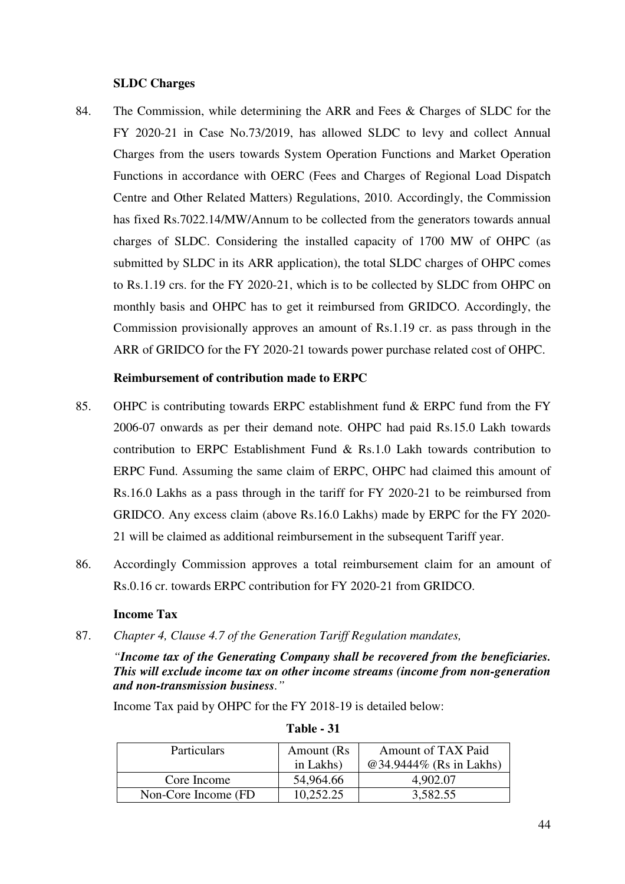### **SLDC Charges**

84. The Commission, while determining the ARR and Fees & Charges of SLDC for the FY 2020-21 in Case No.73/2019, has allowed SLDC to levy and collect Annual Charges from the users towards System Operation Functions and Market Operation Functions in accordance with OERC (Fees and Charges of Regional Load Dispatch Centre and Other Related Matters) Regulations, 2010. Accordingly, the Commission has fixed Rs.7022.14/MW/Annum to be collected from the generators towards annual charges of SLDC. Considering the installed capacity of 1700 MW of OHPC (as submitted by SLDC in its ARR application), the total SLDC charges of OHPC comes to Rs.1.19 crs. for the FY 2020-21, which is to be collected by SLDC from OHPC on monthly basis and OHPC has to get it reimbursed from GRIDCO. Accordingly, the Commission provisionally approves an amount of Rs.1.19 cr. as pass through in the ARR of GRIDCO for the FY 2020-21 towards power purchase related cost of OHPC.

### **Reimbursement of contribution made to ERPC**

- 85. OHPC is contributing towards ERPC establishment fund & ERPC fund from the FY 2006-07 onwards as per their demand note. OHPC had paid Rs.15.0 Lakh towards contribution to ERPC Establishment Fund & Rs.1.0 Lakh towards contribution to ERPC Fund. Assuming the same claim of ERPC, OHPC had claimed this amount of Rs.16.0 Lakhs as a pass through in the tariff for FY 2020-21 to be reimbursed from GRIDCO. Any excess claim (above Rs.16.0 Lakhs) made by ERPC for the FY 2020- 21 will be claimed as additional reimbursement in the subsequent Tariff year.
- 86. Accordingly Commission approves a total reimbursement claim for an amount of Rs.0.16 cr. towards ERPC contribution for FY 2020-21 from GRIDCO.

### **Income Tax**

87. *Chapter 4, Clause 4.7 of the Generation Tariff Regulation mandates,* 

*"Income tax of the Generating Company shall be recovered from the beneficiaries. This will exclude income tax on other income streams (income from non-generation and non-transmission business."* 

Income Tax paid by OHPC for the FY 2018-19 is detailed below:

| <b>Particulars</b>   | Amount (Rs) | <b>Amount of TAX Paid</b> |
|----------------------|-------------|---------------------------|
|                      | in Lakhs)   | @34.9444% (Rs in Lakhs)   |
| Core Income          | 54,964.66   | 4,902.07                  |
| Non-Core Income (FD) | 10.252.25   | 3,582.55                  |

**Table - 31**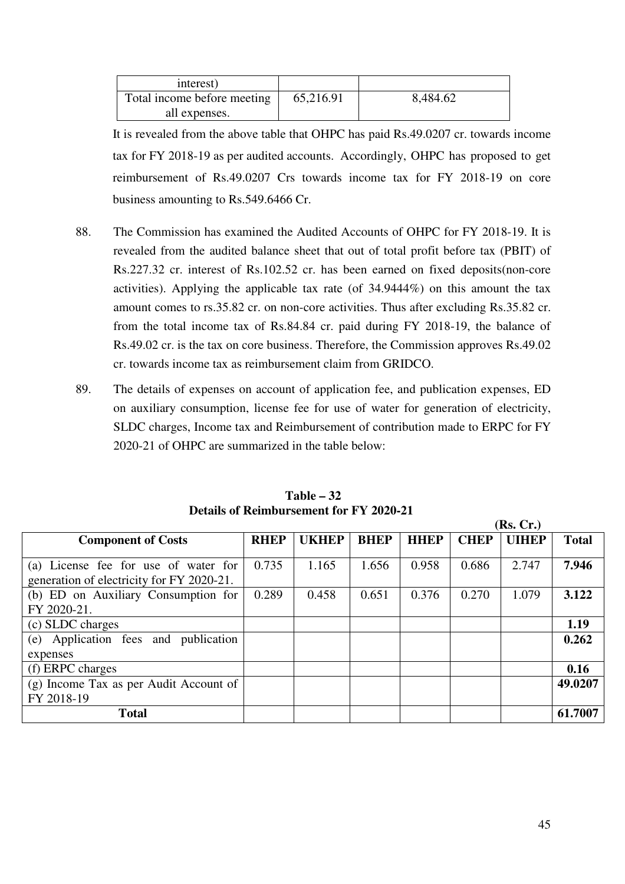| interest)                   |           |          |
|-----------------------------|-----------|----------|
| Total income before meeting | 65,216.91 | 8,484.62 |
| all expenses.               |           |          |

It is revealed from the above table that OHPC has paid Rs.49.0207 cr. towards income tax for FY 2018-19 as per audited accounts. Accordingly, OHPC has proposed to get reimbursement of Rs.49.0207 Crs towards income tax for FY 2018-19 on core business amounting to Rs.549.6466 Cr.

- 88. The Commission has examined the Audited Accounts of OHPC for FY 2018-19. It is revealed from the audited balance sheet that out of total profit before tax (PBIT) of Rs.227.32 cr. interest of Rs.102.52 cr. has been earned on fixed deposits(non-core activities). Applying the applicable tax rate (of 34.9444%) on this amount the tax amount comes to rs.35.82 cr. on non-core activities. Thus after excluding Rs.35.82 cr. from the total income tax of Rs.84.84 cr. paid during FY 2018-19, the balance of Rs.49.02 cr. is the tax on core business. Therefore, the Commission approves Rs.49.02 cr. towards income tax as reimbursement claim from GRIDCO.
- 89. The details of expenses on account of application fee, and publication expenses, ED on auxiliary consumption, license fee for use of water for generation of electricity, SLDC charges, Income tax and Reimbursement of contribution made to ERPC for FY 2020-21 of OHPC are summarized in the table below:

|                                           |             |              |             |             |             | (Rs, Cr.)    |              |
|-------------------------------------------|-------------|--------------|-------------|-------------|-------------|--------------|--------------|
| <b>Component of Costs</b>                 | <b>RHEP</b> | <b>UKHEP</b> | <b>BHEP</b> | <b>HHEP</b> | <b>CHEP</b> | <b>UIHEP</b> | <b>Total</b> |
|                                           |             |              |             |             |             |              |              |
| (a) License fee for use of water for      | 0.735       | 1.165        | 1.656       | 0.958       | 0.686       | 2.747        | 7.946        |
| generation of electricity for FY 2020-21. |             |              |             |             |             |              |              |
| (b) ED on Auxiliary Consumption for       | 0.289       | 0.458        | 0.651       | 0.376       | 0.270       | 1.079        | 3.122        |
| FY 2020-21.                               |             |              |             |             |             |              |              |
| (c) SLDC charges                          |             |              |             |             |             |              | 1.19         |
| (e) Application fees and publication      |             |              |             |             |             |              | 0.262        |
| expenses                                  |             |              |             |             |             |              |              |
| (f) ERPC charges                          |             |              |             |             |             |              | 0.16         |
| (g) Income Tax as per Audit Account of    |             |              |             |             |             |              | 49.0207      |
| FY 2018-19                                |             |              |             |             |             |              |              |
| <b>Total</b>                              |             |              |             |             |             |              | 61.7007      |

# **Table – 32 Details of Reimbursement for FY 2020-21**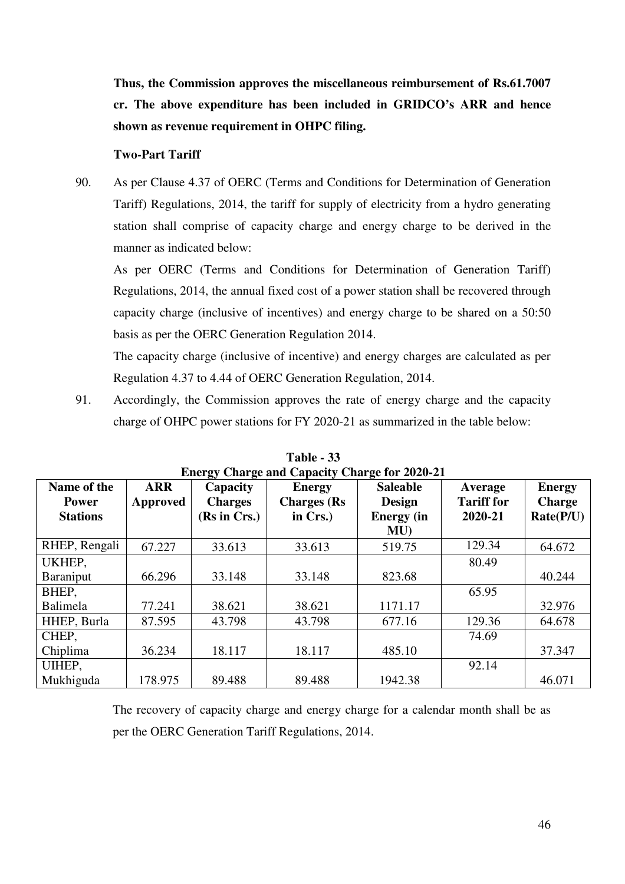**Thus, the Commission approves the miscellaneous reimbursement of Rs.61.7007 cr. The above expenditure has been included in GRIDCO's ARR and hence shown as revenue requirement in OHPC filing.** 

#### **Two-Part Tariff**

90. As per Clause 4.37 of OERC (Terms and Conditions for Determination of Generation Tariff) Regulations, 2014, the tariff for supply of electricity from a hydro generating station shall comprise of capacity charge and energy charge to be derived in the manner as indicated below:

As per OERC (Terms and Conditions for Determination of Generation Tariff) Regulations, 2014, the annual fixed cost of a power station shall be recovered through capacity charge (inclusive of incentives) and energy charge to be shared on a 50:50 basis as per the OERC Generation Regulation 2014.

The capacity charge (inclusive of incentive) and energy charges are calculated as per Regulation 4.37 to 4.44 of OERC Generation Regulation, 2014.

91. Accordingly, the Commission approves the rate of energy charge and the capacity charge of OHPC power stations for FY 2020-21 as summarized in the table below:

| <b>Energy Charge and Capacity Charge for 2020-21</b> |            |                |                    |                   |                   |               |  |  |  |
|------------------------------------------------------|------------|----------------|--------------------|-------------------|-------------------|---------------|--|--|--|
| Name of the                                          | <b>ARR</b> | Capacity       | <b>Energy</b>      | <b>Saleable</b>   | Average           | <b>Energy</b> |  |  |  |
| <b>Power</b>                                         | Approved   | <b>Charges</b> | <b>Charges</b> (Rs | <b>Design</b>     | <b>Tariff for</b> | <b>Charge</b> |  |  |  |
| <b>Stations</b>                                      |            | (Rs in Crs.)   | in Crs.)           | <b>Energy</b> (in | 2020-21           | Rate(P/U)     |  |  |  |
|                                                      |            |                |                    | MU                |                   |               |  |  |  |
| RHEP, Rengali                                        | 67.227     | 33.613         | 33.613             | 519.75            | 129.34            | 64.672        |  |  |  |
| UKHEP,                                               |            |                |                    |                   | 80.49             |               |  |  |  |
| Baraniput                                            | 66.296     | 33.148         | 33.148             | 823.68            |                   | 40.244        |  |  |  |
| BHEP,                                                |            |                |                    |                   | 65.95             |               |  |  |  |
| Balimela                                             | 77.241     | 38.621         | 38.621             | 1171.17           |                   | 32.976        |  |  |  |
| HHEP, Burla                                          | 87.595     | 43.798         | 43.798             | 677.16            | 129.36            | 64.678        |  |  |  |
| CHEP.                                                |            |                |                    |                   | 74.69             |               |  |  |  |
| Chiplima                                             | 36.234     | 18.117         | 18.117             | 485.10            |                   | 37.347        |  |  |  |
| UIHEP,                                               |            |                |                    |                   | 92.14             |               |  |  |  |
| Mukhiguda                                            | 178.975    | 89.488         | 89.488             | 1942.38           |                   | 46.071        |  |  |  |

**Table - 33** 

The recovery of capacity charge and energy charge for a calendar month shall be as per the OERC Generation Tariff Regulations, 2014.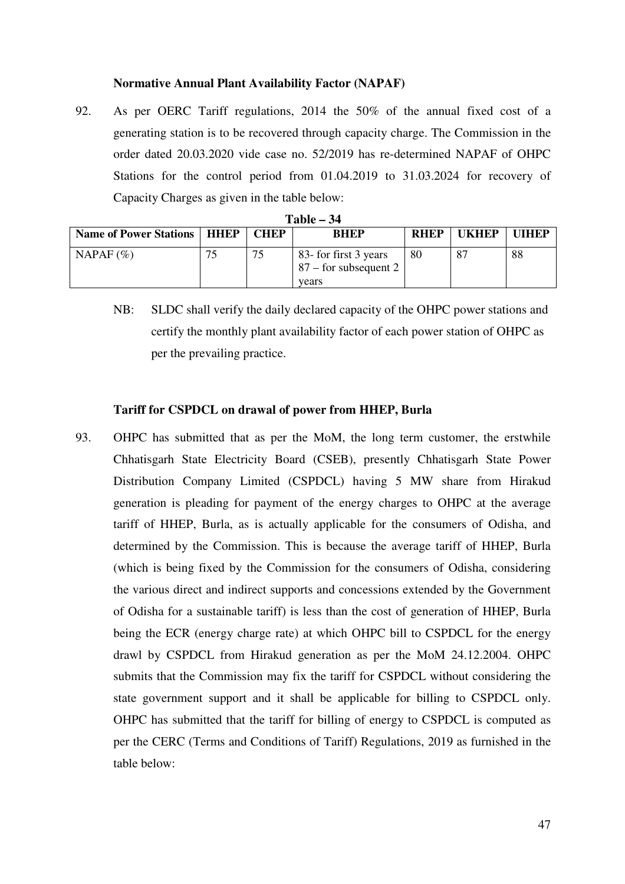### **Normative Annual Plant Availability Factor (NAPAF)**

92. As per OERC Tariff regulations, 2014 the 50% of the annual fixed cost of a generating station is to be recovered through capacity charge. The Commission in the order dated 20.03.2020 vide case no. 52/2019 has re-determined NAPAF of OHPC Stations for the control period from 01.04.2019 to 31.03.2024 for recovery of Capacity Charges as given in the table below:

| --------                             |    |             |                                                           |             |              |              |  |  |  |
|--------------------------------------|----|-------------|-----------------------------------------------------------|-------------|--------------|--------------|--|--|--|
| <b>Name of Power Stations   HHEP</b> |    | <b>CHEP</b> | <b>BHEP</b>                                               | <b>RHEP</b> | <b>UKHEP</b> | <b>UIHEP</b> |  |  |  |
| NAPAF $(\% )$                        | 75 | 75          | 83- for first 3 years<br>$87 -$ for subsequent 2<br>vears | 80          | 87           | 88           |  |  |  |

| <b>Table</b> : | 34 |
|----------------|----|
|----------------|----|

NB: SLDC shall verify the daily declared capacity of the OHPC power stations and certify the monthly plant availability factor of each power station of OHPC as per the prevailing practice.

### **Tariff for CSPDCL on drawal of power from HHEP, Burla**

93. OHPC has submitted that as per the MoM, the long term customer, the erstwhile Chhatisgarh State Electricity Board (CSEB), presently Chhatisgarh State Power Distribution Company Limited (CSPDCL) having 5 MW share from Hirakud generation is pleading for payment of the energy charges to OHPC at the average tariff of HHEP, Burla, as is actually applicable for the consumers of Odisha, and determined by the Commission. This is because the average tariff of HHEP, Burla (which is being fixed by the Commission for the consumers of Odisha, considering the various direct and indirect supports and concessions extended by the Government of Odisha for a sustainable tariff) is less than the cost of generation of HHEP, Burla being the ECR (energy charge rate) at which OHPC bill to CSPDCL for the energy drawl by CSPDCL from Hirakud generation as per the MoM 24.12.2004. OHPC submits that the Commission may fix the tariff for CSPDCL without considering the state government support and it shall be applicable for billing to CSPDCL only. OHPC has submitted that the tariff for billing of energy to CSPDCL is computed as per the CERC (Terms and Conditions of Tariff) Regulations, 2019 as furnished in the table below: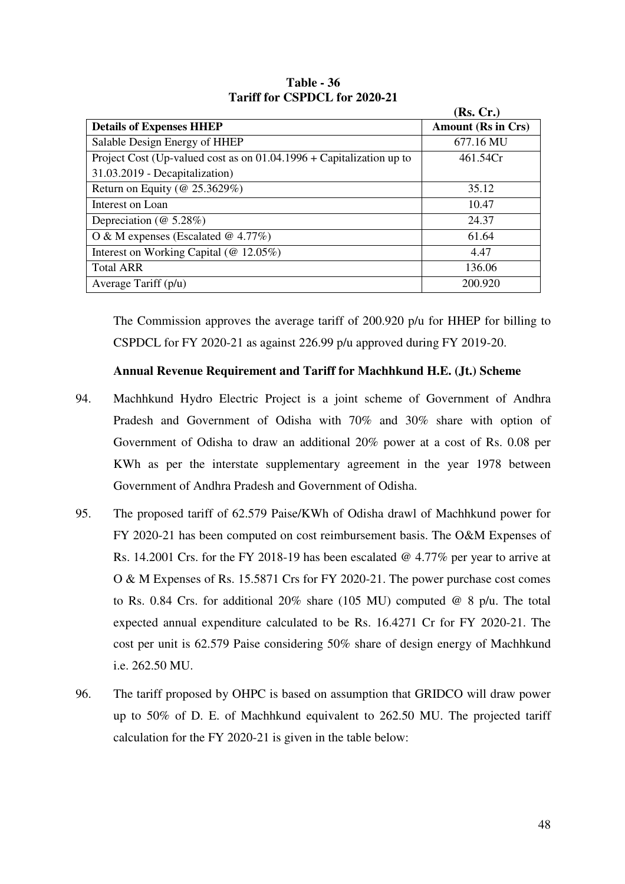|                                                                        | (Rs, Cr.)                 |
|------------------------------------------------------------------------|---------------------------|
| <b>Details of Expenses HHEP</b>                                        | <b>Amount (Rs in Crs)</b> |
| Salable Design Energy of HHEP                                          | 677.16 MU                 |
| Project Cost (Up-valued cost as on $01.04.1996 +$ Capitalization up to | 461.54Cr                  |
| 31.03.2019 - Decapitalization)                                         |                           |
| Return on Equity ( $@ 25.3629\%$ )                                     | 35.12                     |
| Interest on Loan                                                       | 10.47                     |
| Depreciation ( $@5.28\%)$                                              | 24.37                     |
| O & M expenses (Escalated @ 4.77%)                                     | 61.64                     |
| Interest on Working Capital (@ 12.05%)                                 | 4.47                      |
| <b>Total ARR</b>                                                       | 136.06                    |
| Average Tariff (p/u)                                                   | 200.920                   |

**Table - 36 Tariff for CSPDCL for 2020-21** 

The Commission approves the average tariff of 200.920 p/u for HHEP for billing to CSPDCL for FY 2020-21 as against 226.99 p/u approved during FY 2019-20.

# **Annual Revenue Requirement and Tariff for Machhkund H.E. (Jt.) Scheme**

- 94. Machhkund Hydro Electric Project is a joint scheme of Government of Andhra Pradesh and Government of Odisha with 70% and 30% share with option of Government of Odisha to draw an additional 20% power at a cost of Rs. 0.08 per KWh as per the interstate supplementary agreement in the year 1978 between Government of Andhra Pradesh and Government of Odisha.
- 95. The proposed tariff of 62.579 Paise/KWh of Odisha drawl of Machhkund power for FY 2020-21 has been computed on cost reimbursement basis. The O&M Expenses of Rs. 14.2001 Crs. for the FY 2018-19 has been escalated @ 4.77% per year to arrive at O & M Expenses of Rs. 15.5871 Crs for FY 2020-21. The power purchase cost comes to Rs. 0.84 Crs. for additional 20% share (105 MU) computed  $\omega$  8 p/u. The total expected annual expenditure calculated to be Rs. 16.4271 Cr for FY 2020-21. The cost per unit is 62.579 Paise considering 50% share of design energy of Machhkund i.e. 262.50 MU.
- 96. The tariff proposed by OHPC is based on assumption that GRIDCO will draw power up to 50% of D. E. of Machhkund equivalent to 262.50 MU. The projected tariff calculation for the FY 2020-21 is given in the table below: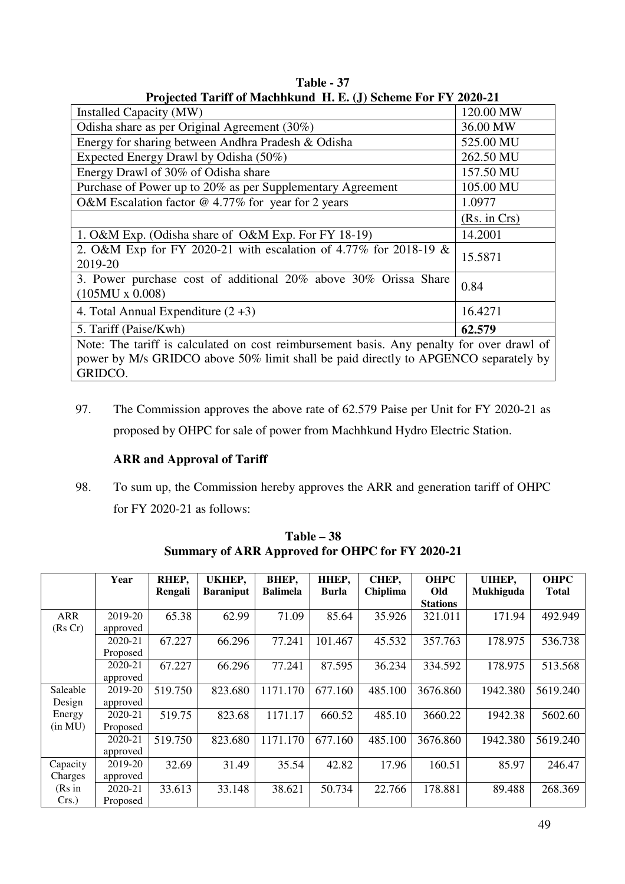| Trojecteu Tarni of Machinsunu Ti. E. (J) Scheme For FT 2020-21                            |              |
|-------------------------------------------------------------------------------------------|--------------|
| <b>Installed Capacity (MW)</b>                                                            | 120.00 MW    |
| Odisha share as per Original Agreement (30%)                                              | 36.00 MW     |
| Energy for sharing between Andhra Pradesh & Odisha                                        | 525.00 MU    |
| Expected Energy Drawl by Odisha (50%)                                                     | 262.50 MU    |
| Energy Drawl of 30% of Odisha share                                                       | 157.50 MU    |
| Purchase of Power up to 20% as per Supplementary Agreement                                | 105.00 MU    |
| O&M Escalation factor $@$ 4.77% for year for 2 years                                      | 1.0977       |
|                                                                                           | (Rs. in Crs) |
| 1. O&M Exp. (Odisha share of O&M Exp. For FY 18-19)                                       | 14.2001      |
| 2. O&M Exp for FY 2020-21 with escalation of 4.77% for 2018-19 &<br>2019-20               | 15.5871      |
| 3. Power purchase cost of additional 20% above 30% Orissa Share<br>$(105MU \times 0.008)$ | 0.84         |
| 4. Total Annual Expenditure $(2+3)$                                                       | 16.4271      |
| 5. Tariff (Paise/Kwh)                                                                     | 62.579       |
| Note: The tariff is calculated on cost reimbursement basis. Any penalty for over drawl of |              |
| power by M/s GRIDCO above 50% limit shall be paid directly to APGENCO separately by       |              |
| GRIDCO.                                                                                   |              |

**Table - 37 Projected Tariff of Machhkund H. E. (J) Scheme For FY 2020-21** 

97. The Commission approves the above rate of 62.579 Paise per Unit for FY 2020-21 as proposed by OHPC for sale of power from Machhkund Hydro Electric Station.

# **ARR and Approval of Tariff**

98. To sum up, the Commission hereby approves the ARR and generation tariff of OHPC for FY 2020-21 as follows:

|            | Year     | RHEP,   | UKHEP,           | BHEP,           | HHEP,   | CHEP,    | <b>OHPC</b>     | <b>UIHEP,</b> | <b>OHPC</b>  |
|------------|----------|---------|------------------|-----------------|---------|----------|-----------------|---------------|--------------|
|            |          | Rengali | <b>Baraniput</b> | <b>Balimela</b> | Burla   | Chiplima | Old             | Mukhiguda     | <b>Total</b> |
|            |          |         |                  |                 |         |          | <b>Stations</b> |               |              |
| <b>ARR</b> | 2019-20  | 65.38   | 62.99            | 71.09           | 85.64   | 35.926   | 321.011         | 171.94        | 492.949      |
| (Rs Cr)    | approved |         |                  |                 |         |          |                 |               |              |
|            | 2020-21  | 67.227  | 66.296           | 77.241          | 101.467 | 45.532   | 357.763         | 178.975       | 536.738      |
|            | Proposed |         |                  |                 |         |          |                 |               |              |
|            | 2020-21  | 67.227  | 66.296           | 77.241          | 87.595  | 36.234   | 334.592         | 178.975       | 513.568      |
|            | approved |         |                  |                 |         |          |                 |               |              |
| Saleable   | 2019-20  | 519.750 | 823.680          | 1171.170        | 677.160 | 485.100  | 3676.860        | 1942.380      | 5619.240     |
| Design     | approved |         |                  |                 |         |          |                 |               |              |
| Energy     | 2020-21  | 519.75  | 823.68           | 1171.17         | 660.52  | 485.10   | 3660.22         | 1942.38       | 5602.60      |
| (in MU)    | Proposed |         |                  |                 |         |          |                 |               |              |
|            | 2020-21  | 519.750 | 823.680          | 1171.170        | 677.160 | 485.100  | 3676.860        | 1942.380      | 5619.240     |
|            | approved |         |                  |                 |         |          |                 |               |              |
| Capacity   | 2019-20  | 32.69   | 31.49            | 35.54           | 42.82   | 17.96    | 160.51          | 85.97         | 246.47       |
| Charges    | approved |         |                  |                 |         |          |                 |               |              |
| (Rs in     | 2020-21  | 33.613  | 33.148           | 38.621          | 50.734  | 22.766   | 178.881         | 89.488        | 268.369      |
| Crs.       | Proposed |         |                  |                 |         |          |                 |               |              |

**Table – 38 Summary of ARR Approved for OHPC for FY 2020-21**